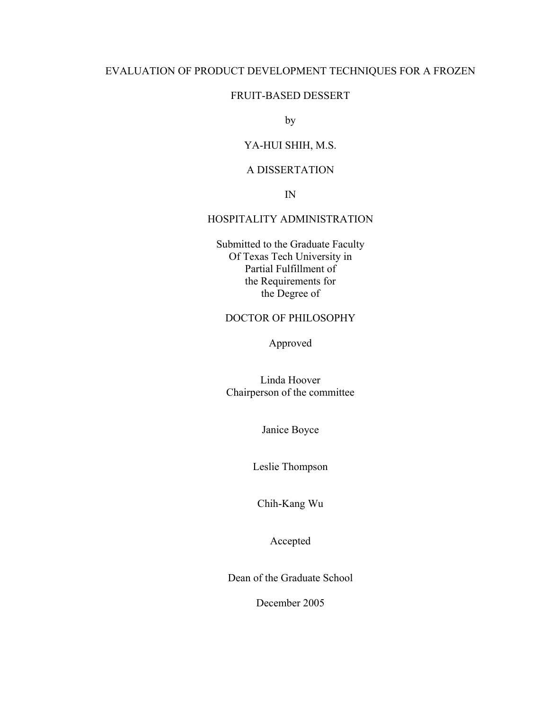# EVALUATION OF PRODUCT DEVELOPMENT TECHNIQUES FOR A FROZEN

## FRUIT-BASED DESSERT

by

# YA-HUI SHIH, M.S.

# A DISSERTATION

IN

# HOSPITALITY ADMINISTRATION

Submitted to the Graduate Faculty Of Texas Tech University in Partial Fulfillment of the Requirements for the Degree of

## DOCTOR OF PHILOSOPHY

Approved

Linda Hoover Chairperson of the committee

Janice Boyce

Leslie Thompson

Chih-Kang Wu

Accepted

Dean of the Graduate School

December 2005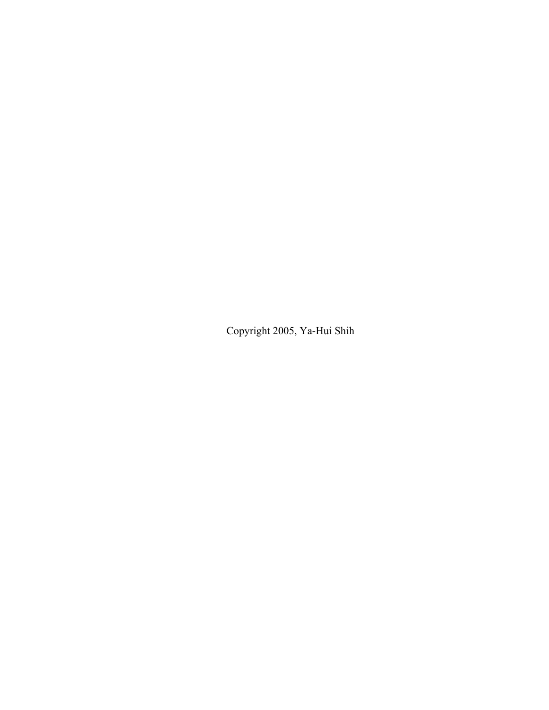Copyright 2005, Ya-Hui Shih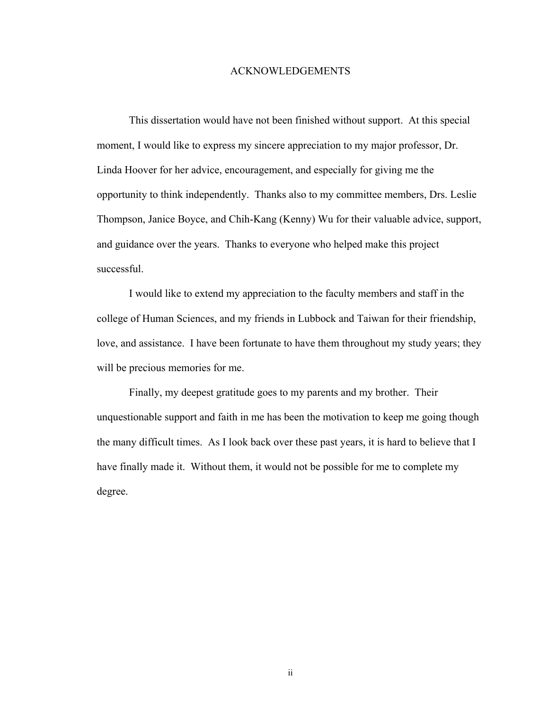#### ACKNOWLEDGEMENTS

This dissertation would have not been finished without support. At this special moment, I would like to express my sincere appreciation to my major professor, Dr. Linda Hoover for her advice, encouragement, and especially for giving me the opportunity to think independently. Thanks also to my committee members, Drs. Leslie Thompson, Janice Boyce, and Chih-Kang (Kenny) Wu for their valuable advice, support, and guidance over the years. Thanks to everyone who helped make this project successful.

I would like to extend my appreciation to the faculty members and staff in the college of Human Sciences, and my friends in Lubbock and Taiwan for their friendship, love, and assistance. I have been fortunate to have them throughout my study years; they will be precious memories for me.

Finally, my deepest gratitude goes to my parents and my brother. Their unquestionable support and faith in me has been the motivation to keep me going though the many difficult times. As I look back over these past years, it is hard to believe that I have finally made it. Without them, it would not be possible for me to complete my degree.

ii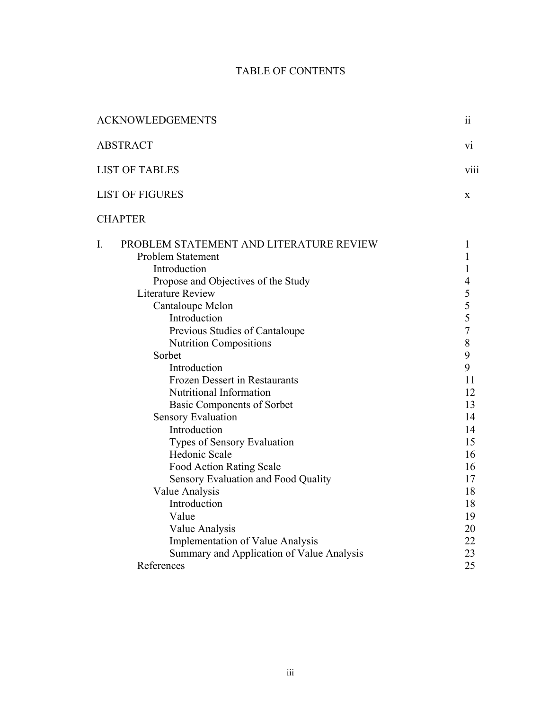# TABLE OF CONTENTS

| <b>ACKNOWLEDGEMENTS</b>                                                   | $\overline{\mathbf{ii}}$       |
|---------------------------------------------------------------------------|--------------------------------|
| <b>ABSTRACT</b>                                                           | vi                             |
| <b>LIST OF TABLES</b>                                                     | V111                           |
| <b>LIST OF FIGURES</b>                                                    | X                              |
| <b>CHAPTER</b>                                                            |                                |
| I.<br>PROBLEM STATEMENT AND LITERATURE REVIEW<br><b>Problem Statement</b> | 1<br>1                         |
| Introduction                                                              | 1                              |
| Propose and Objectives of the Study                                       | 4                              |
| <b>Literature Review</b>                                                  |                                |
| Cantaloupe Melon                                                          | $\frac{5}{5}$<br>$\frac{5}{7}$ |
| Introduction                                                              |                                |
| Previous Studies of Cantaloupe                                            |                                |
| <b>Nutrition Compositions</b>                                             | 8                              |
| Sorbet                                                                    | 9                              |
| Introduction                                                              | 9                              |
| <b>Frozen Dessert in Restaurants</b>                                      | 11                             |
| Nutritional Information                                                   | 12                             |
| <b>Basic Components of Sorbet</b>                                         | 13                             |
| <b>Sensory Evaluation</b>                                                 | 14                             |
| Introduction                                                              | 14                             |
| Types of Sensory Evaluation                                               | 15                             |
| Hedonic Scale                                                             | 16                             |
| <b>Food Action Rating Scale</b>                                           | 16                             |
| Sensory Evaluation and Food Quality                                       | 17                             |
| Value Analysis                                                            | 18                             |
| Introduction                                                              | 18                             |
| Value                                                                     | 19                             |
| Value Analysis                                                            | 20                             |
| <b>Implementation of Value Analysis</b>                                   | 22                             |
| Summary and Application of Value Analysis                                 | 23                             |
| References                                                                | 25                             |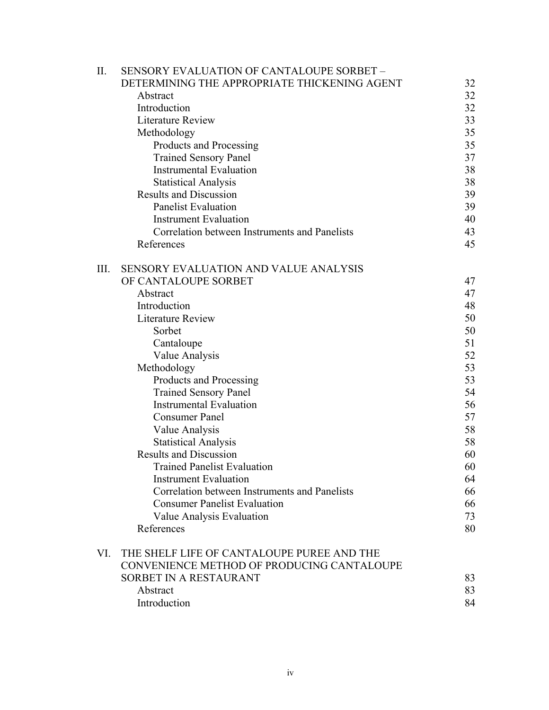| II.  | SENSORY EVALUATION OF CANTALOUPE SORBET -     |    |
|------|-----------------------------------------------|----|
|      | DETERMINING THE APPROPRIATE THICKENING AGENT  | 32 |
|      | Abstract                                      | 32 |
|      | Introduction                                  | 32 |
|      | <b>Literature Review</b>                      | 33 |
|      | Methodology                                   | 35 |
|      | Products and Processing                       | 35 |
|      | <b>Trained Sensory Panel</b>                  | 37 |
|      | <b>Instrumental Evaluation</b>                | 38 |
|      | <b>Statistical Analysis</b>                   | 38 |
|      | <b>Results and Discussion</b>                 | 39 |
|      | <b>Panelist Evaluation</b>                    | 39 |
|      | <b>Instrument Evaluation</b>                  | 40 |
|      | Correlation between Instruments and Panelists | 43 |
|      | References                                    | 45 |
| III. | SENSORY EVALUATION AND VALUE ANALYSIS         |    |
|      | OF CANTALOUPE SORBET                          | 47 |
|      | Abstract                                      | 47 |
|      | Introduction                                  | 48 |
|      | <b>Literature Review</b>                      | 50 |
|      | Sorbet                                        | 50 |
|      | Cantaloupe                                    | 51 |
|      | Value Analysis                                | 52 |
|      | Methodology                                   | 53 |
|      | Products and Processing                       | 53 |
|      | <b>Trained Sensory Panel</b>                  | 54 |
|      | <b>Instrumental Evaluation</b>                | 56 |
|      | <b>Consumer Panel</b>                         | 57 |
|      | Value Analysis                                | 58 |
|      | <b>Statistical Analysis</b>                   | 58 |
|      | <b>Results and Discussion</b>                 | 60 |
|      | <b>Trained Panelist Evaluation</b>            | 60 |
|      | <b>Instrument Evaluation</b>                  | 64 |
|      | Correlation between Instruments and Panelists | 66 |
|      | <b>Consumer Panelist Evaluation</b>           | 66 |
|      | Value Analysis Evaluation                     | 73 |
|      | References                                    | 80 |
| VI.  | THE SHELF LIFE OF CANTALOUPE PUREE AND THE    |    |
|      | CONVENIENCE METHOD OF PRODUCING CANTALOUPE    |    |
|      | SORBET IN A RESTAURANT                        | 83 |
|      | Abstract                                      | 83 |
|      | Introduction                                  | 84 |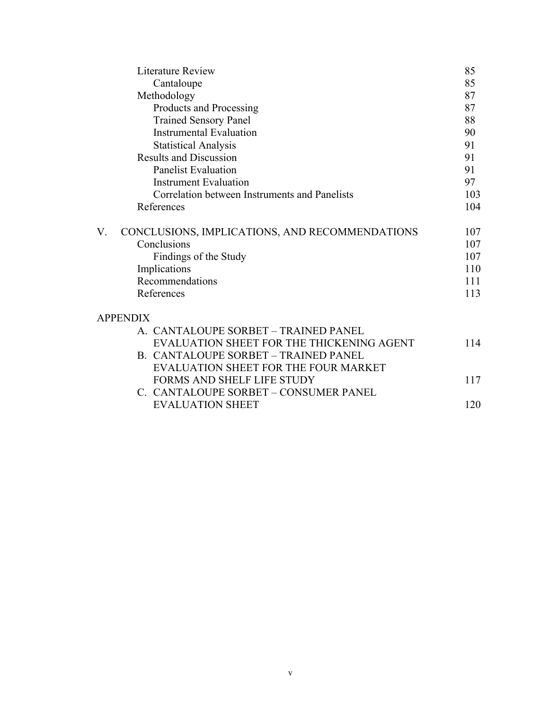| Literature Review                                    | 85  |
|------------------------------------------------------|-----|
| Cantaloupe                                           | 85  |
| Methodology                                          | 87  |
| Products and Processing                              | 87  |
| <b>Trained Sensory Panel</b>                         | 88  |
| <b>Instrumental Evaluation</b>                       | 90  |
| <b>Statistical Analysis</b>                          | 91  |
| <b>Results and Discussion</b>                        | 91  |
| <b>Panelist Evaluation</b>                           | 91  |
| <b>Instrument Evaluation</b>                         | 97  |
| Correlation between Instruments and Panelists        | 103 |
| References                                           | 104 |
| CONCLUSIONS, IMPLICATIONS, AND RECOMMENDATIONS<br>V. | 107 |
| Conclusions                                          | 107 |
| Findings of the Study                                | 107 |
| Implications                                         | 110 |
| Recommendations                                      | 111 |
| References                                           | 113 |
| <b>APPENDIX</b>                                      |     |
| A. CANTALOUPE SORBET - TRAINED PANEL                 |     |
| EVALUATION SHEET FOR THE THICKENING AGENT            | 114 |
| <b>B. CANTALOUPE SORBET - TRAINED PANEL</b>          |     |
| EVALUATION SHEET FOR THE FOUR MARKET                 |     |
| FORMS AND SHELF LIFE STUDY                           | 117 |
| C. CANTALOUPE SORBET - CONSUMER PANEL                |     |
| <b>EVALUATION SHEET</b>                              | 120 |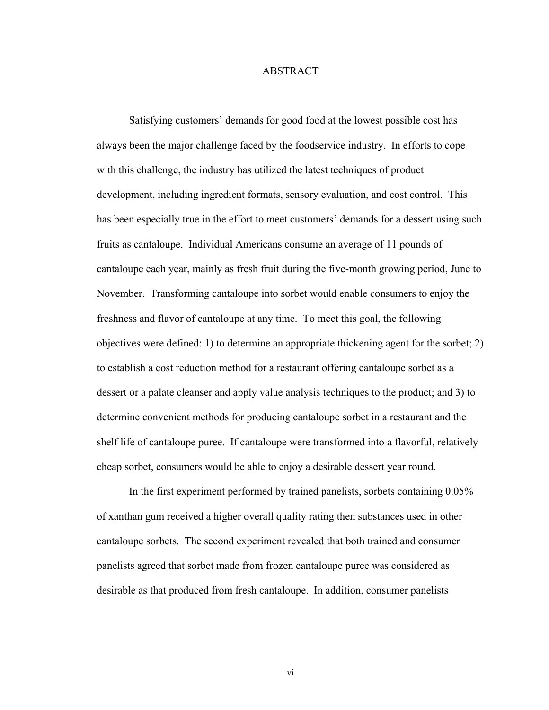#### ABSTRACT

Satisfying customers' demands for good food at the lowest possible cost has always been the major challenge faced by the foodservice industry. In efforts to cope with this challenge, the industry has utilized the latest techniques of product development, including ingredient formats, sensory evaluation, and cost control. This has been especially true in the effort to meet customers' demands for a dessert using such fruits as cantaloupe. Individual Americans consume an average of 11 pounds of cantaloupe each year, mainly as fresh fruit during the five-month growing period, June to November. Transforming cantaloupe into sorbet would enable consumers to enjoy the freshness and flavor of cantaloupe at any time. To meet this goal, the following objectives were defined: 1) to determine an appropriate thickening agent for the sorbet; 2) to establish a cost reduction method for a restaurant offering cantaloupe sorbet as a dessert or a palate cleanser and apply value analysis techniques to the product; and 3) to determine convenient methods for producing cantaloupe sorbet in a restaurant and the shelf life of cantaloupe puree. If cantaloupe were transformed into a flavorful, relatively cheap sorbet, consumers would be able to enjoy a desirable dessert year round.

In the first experiment performed by trained panelists, sorbets containing 0.05% of xanthan gum received a higher overall quality rating then substances used in other cantaloupe sorbets. The second experiment revealed that both trained and consumer panelists agreed that sorbet made from frozen cantaloupe puree was considered as desirable as that produced from fresh cantaloupe. In addition, consumer panelists

vi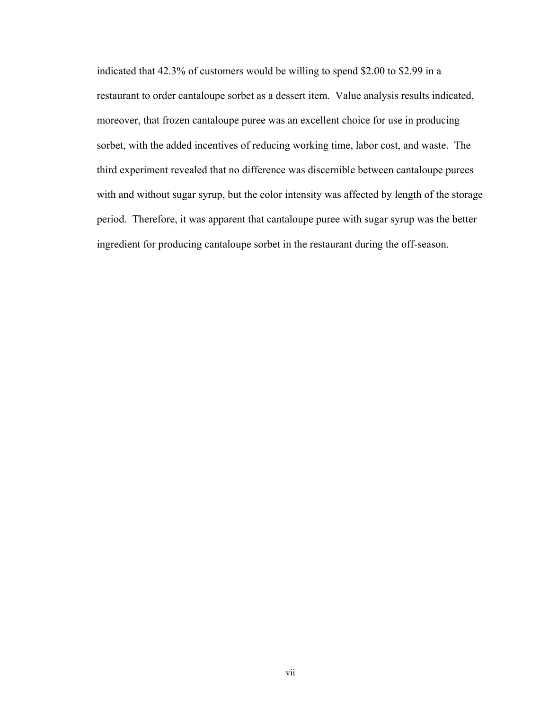indicated that 42.3% of customers would be willing to spend \$2.00 to \$2.99 in a restaurant to order cantaloupe sorbet as a dessert item. Value analysis results indicated, moreover, that frozen cantaloupe puree was an excellent choice for use in producing sorbet, with the added incentives of reducing working time, labor cost, and waste. The third experiment revealed that no difference was discernible between cantaloupe purees with and without sugar syrup, but the color intensity was affected by length of the storage period. Therefore, it was apparent that cantaloupe puree with sugar syrup was the better ingredient for producing cantaloupe sorbet in the restaurant during the off-season.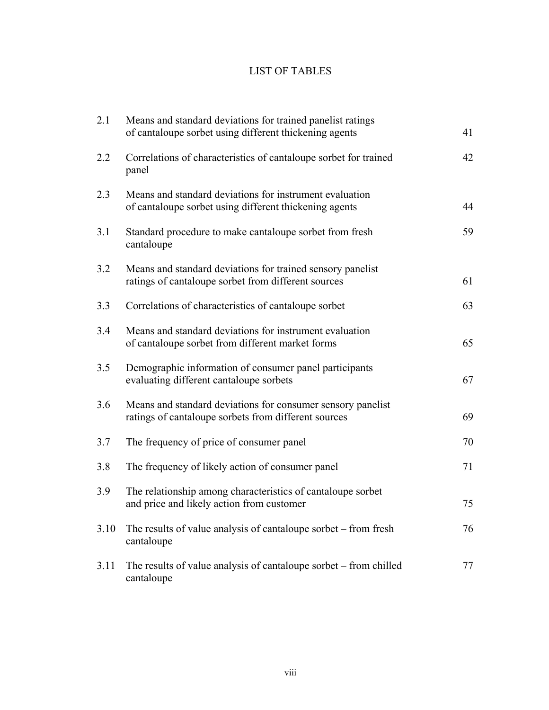# LIST OF TABLES

| 2.1  | Means and standard deviations for trained panelist ratings<br>of cantaloupe sorbet using different thickening agents | 41 |
|------|----------------------------------------------------------------------------------------------------------------------|----|
| 2.2  | Correlations of characteristics of cantaloupe sorbet for trained<br>panel                                            | 42 |
| 2.3  | Means and standard deviations for instrument evaluation<br>of cantaloupe sorbet using different thickening agents    | 44 |
| 3.1  | Standard procedure to make cantaloupe sorbet from fresh<br>cantaloupe                                                | 59 |
| 3.2  | Means and standard deviations for trained sensory panelist<br>ratings of cantaloupe sorbet from different sources    | 61 |
| 3.3  | Correlations of characteristics of cantaloupe sorbet                                                                 | 63 |
| 3.4  | Means and standard deviations for instrument evaluation<br>of cantaloupe sorbet from different market forms          | 65 |
| 3.5  | Demographic information of consumer panel participants<br>evaluating different cantaloupe sorbets                    | 67 |
| 3.6  | Means and standard deviations for consumer sensory panelist<br>ratings of cantaloupe sorbets from different sources  | 69 |
| 3.7  | The frequency of price of consumer panel                                                                             | 70 |
| 3.8  | The frequency of likely action of consumer panel                                                                     | 71 |
| 3.9  | The relationship among characteristics of cantaloupe sorbet<br>and price and likely action from customer             | 75 |
| 3.10 | The results of value analysis of cantaloupe sorbet – from fresh<br>cantaloupe                                        | 76 |
| 3.11 | The results of value analysis of cantaloupe sorbet – from chilled<br>cantaloupe                                      | 77 |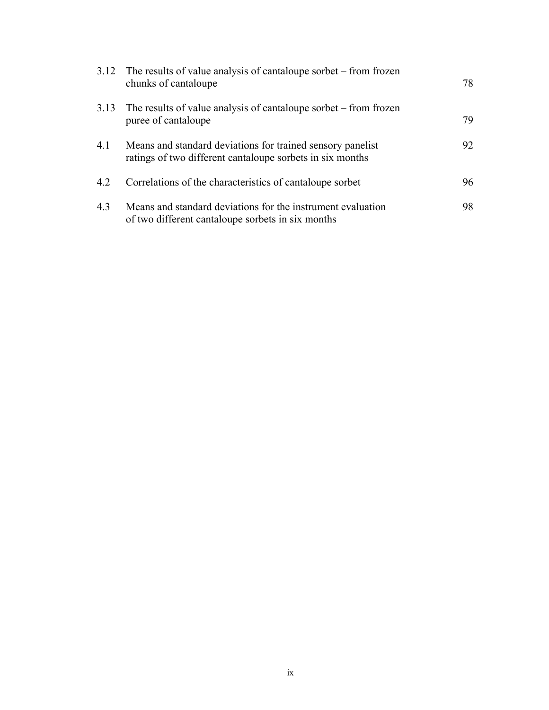|      | 3.12 The results of value analysis of cantaloupe sorbet – from frozen<br>chunks of cantaloupe                           | 78 |
|------|-------------------------------------------------------------------------------------------------------------------------|----|
| 3.13 | The results of value analysis of cantaloupe sorbet – from frozen<br>puree of cantaloupe                                 | 79 |
| 4.1  | Means and standard deviations for trained sensory panelist<br>ratings of two different cantaloupe sorbets in six months | 92 |
| 4.2  | Correlations of the characteristics of cantaloupe sorbet                                                                | 96 |
| 4.3  | Means and standard deviations for the instrument evaluation<br>of two different cantaloupe sorbets in six months        | 98 |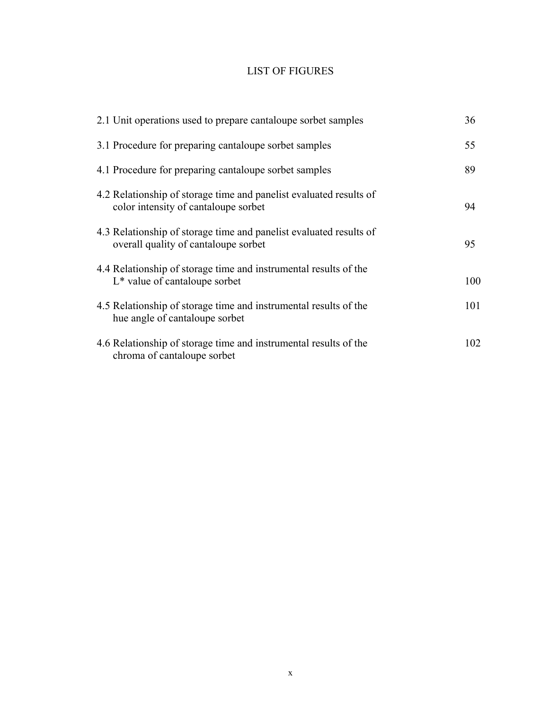# LIST OF FIGURES

| 2.1 Unit operations used to prepare cantaloupe sorbet samples                                              | 36  |
|------------------------------------------------------------------------------------------------------------|-----|
| 3.1 Procedure for preparing cantaloupe sorbet samples                                                      | 55  |
| 4.1 Procedure for preparing cantaloupe sorbet samples                                                      | 89  |
| 4.2 Relationship of storage time and panelist evaluated results of<br>color intensity of cantaloupe sorbet | 94  |
| 4.3 Relationship of storage time and panelist evaluated results of<br>overall quality of cantaloupe sorbet | 95  |
| 4.4 Relationship of storage time and instrumental results of the<br>$L^*$ value of cantaloupe sorbet       | 100 |
| 4.5 Relationship of storage time and instrumental results of the<br>hue angle of cantaloupe sorbet         | 101 |
| 4.6 Relationship of storage time and instrumental results of the<br>chroma of cantaloupe sorbet            | 102 |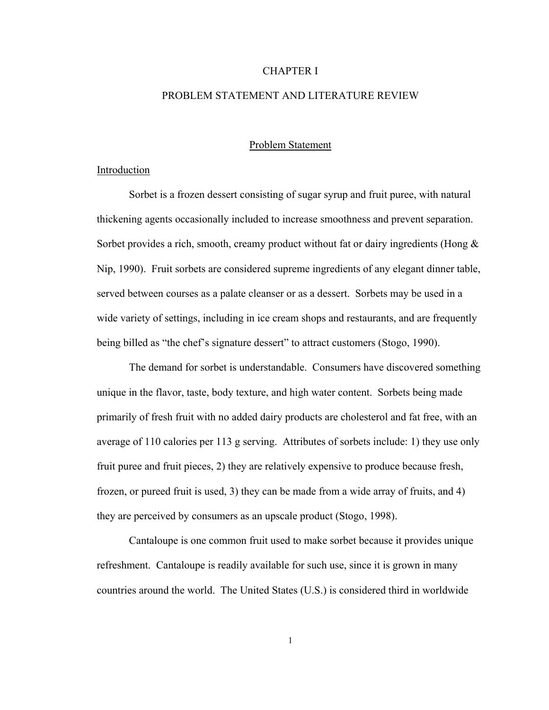#### CHAPTER I

## PROBLEM STATEMENT AND LITERATURE REVIEW

#### Problem Statement

#### Introduction

Sorbet is a frozen dessert consisting of sugar syrup and fruit puree, with natural thickening agents occasionally included to increase smoothness and prevent separation. Sorbet provides a rich, smooth, creamy product without fat or dairy ingredients (Hong & Nip, 1990). Fruit sorbets are considered supreme ingredients of any elegant dinner table, served between courses as a palate cleanser or as a dessert. Sorbets may be used in a wide variety of settings, including in ice cream shops and restaurants, and are frequently being billed as "the chef's signature dessert" to attract customers (Stogo, 1990).

The demand for sorbet is understandable. Consumers have discovered something unique in the flavor, taste, body texture, and high water content. Sorbets being made primarily of fresh fruit with no added dairy products are cholesterol and fat free, with an average of 110 calories per 113 g serving. Attributes of sorbets include: 1) they use only fruit puree and fruit pieces, 2) they are relatively expensive to produce because fresh, frozen, or pureed fruit is used, 3) they can be made from a wide array of fruits, and 4) they are perceived by consumers as an upscale product (Stogo, 1998).

Cantaloupe is one common fruit used to make sorbet because it provides unique refreshment. Cantaloupe is readily available for such use, since it is grown in many countries around the world. The United States (U.S.) is considered third in worldwide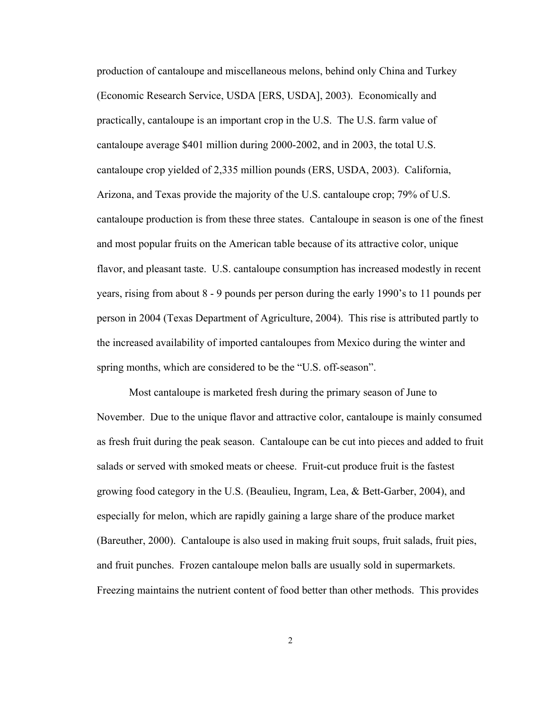production of cantaloupe and miscellaneous melons, behind only China and Turkey (Economic Research Service, USDA [ERS, USDA], 2003). Economically and practically, cantaloupe is an important crop in the U.S. The U.S. farm value of cantaloupe average \$401 million during 2000-2002, and in 2003, the total U.S. cantaloupe crop yielded of 2,335 million pounds (ERS, USDA, 2003). California, Arizona, and Texas provide the majority of the U.S. cantaloupe crop; 79% of U.S. cantaloupe production is from these three states. Cantaloupe in season is one of the finest and most popular fruits on the American table because of its attractive color, unique flavor, and pleasant taste. U.S. cantaloupe consumption has increased modestly in recent years, rising from about 8 - 9 pounds per person during the early 1990's to 11 pounds per person in 2004 (Texas Department of Agriculture, 2004). This rise is attributed partly to the increased availability of imported cantaloupes from Mexico during the winter and spring months, which are considered to be the "U.S. off-season".

Most cantaloupe is marketed fresh during the primary season of June to November. Due to the unique flavor and attractive color, cantaloupe is mainly consumed as fresh fruit during the peak season. Cantaloupe can be cut into pieces and added to fruit salads or served with smoked meats or cheese. Fruit-cut produce fruit is the fastest growing food category in the U.S. (Beaulieu, Ingram, Lea, & Bett-Garber, 2004), and especially for melon, which are rapidly gaining a large share of the produce market (Bareuther, 2000). Cantaloupe is also used in making fruit soups, fruit salads, fruit pies, and fruit punches. Frozen cantaloupe melon balls are usually sold in supermarkets. Freezing maintains the nutrient content of food better than other methods. This provides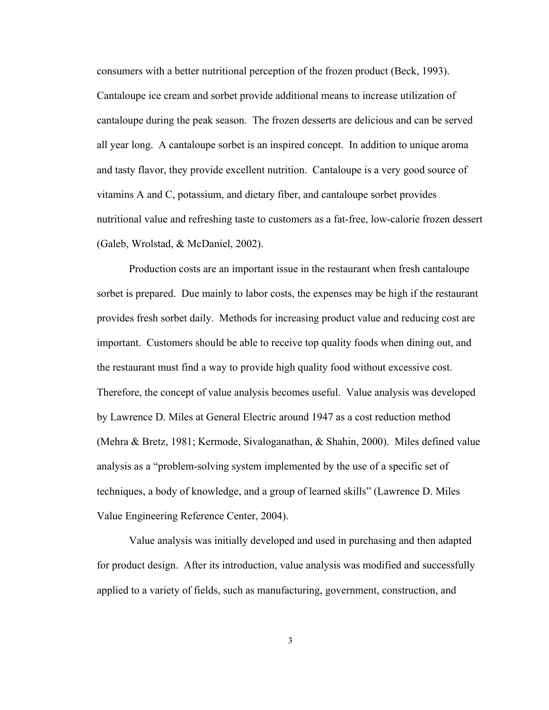consumers with a better nutritional perception of the frozen product (Beck, 1993). Cantaloupe ice cream and sorbet provide additional means to increase utilization of cantaloupe during the peak season. The frozen desserts are delicious and can be served all year long. A cantaloupe sorbet is an inspired concept. In addition to unique aroma and tasty flavor, they provide excellent nutrition. Cantaloupe is a very good source of vitamins A and C, potassium, and dietary fiber, and cantaloupe sorbet provides nutritional value and refreshing taste to customers as a fat-free, low-calorie frozen dessert (Galeb, Wrolstad, & McDaniel, 2002).

Production costs are an important issue in the restaurant when fresh cantaloupe sorbet is prepared. Due mainly to labor costs, the expenses may be high if the restaurant provides fresh sorbet daily. Methods for increasing product value and reducing cost are important. Customers should be able to receive top quality foods when dining out, and the restaurant must find a way to provide high quality food without excessive cost. Therefore, the concept of value analysis becomes useful. Value analysis was developed by Lawrence D. Miles at General Electric around 1947 as a cost reduction method (Mehra & Bretz, 1981; Kermode, Sivaloganathan, & Shahin, 2000). Miles defined value analysis as a "problem-solving system implemented by the use of a specific set of techniques, a body of knowledge, and a group of learned skills" (Lawrence D. Miles Value Engineering Reference Center, 2004).

Value analysis was initially developed and used in purchasing and then adapted for product design. After its introduction, value analysis was modified and successfully applied to a variety of fields, such as manufacturing, government, construction, and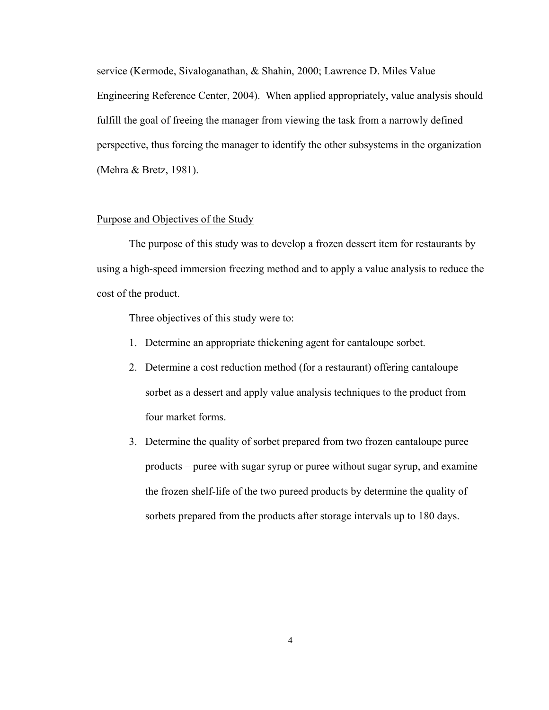service (Kermode, Sivaloganathan, & Shahin, 2000; Lawrence D. Miles Value Engineering Reference Center, 2004). When applied appropriately, value analysis should fulfill the goal of freeing the manager from viewing the task from a narrowly defined perspective, thus forcing the manager to identify the other subsystems in the organization (Mehra & Bretz, 1981).

### Purpose and Objectives of the Study

The purpose of this study was to develop a frozen dessert item for restaurants by using a high-speed immersion freezing method and to apply a value analysis to reduce the cost of the product.

Three objectives of this study were to:

- 1. Determine an appropriate thickening agent for cantaloupe sorbet.
- 2. Determine a cost reduction method (for a restaurant) offering cantaloupe sorbet as a dessert and apply value analysis techniques to the product from four market forms.
- 3. Determine the quality of sorbet prepared from two frozen cantaloupe puree products – puree with sugar syrup or puree without sugar syrup, and examine the frozen shelf-life of the two pureed products by determine the quality of sorbets prepared from the products after storage intervals up to 180 days.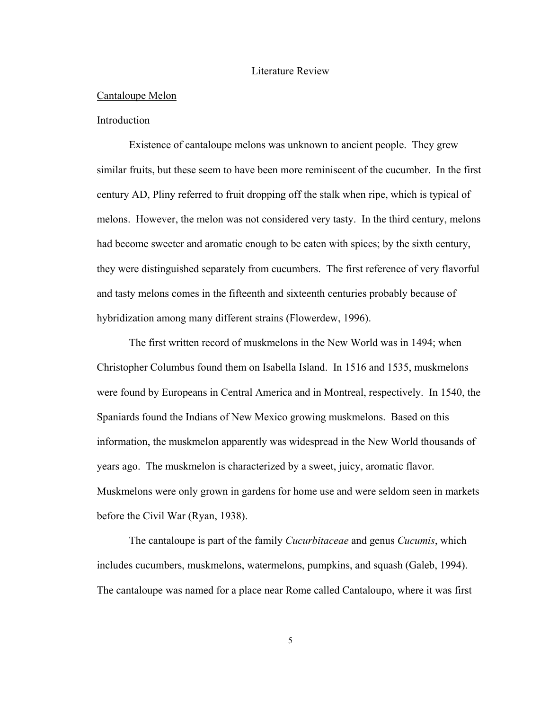#### Literature Review

#### Cantaloupe Melon

#### **Introduction**

Existence of cantaloupe melons was unknown to ancient people. They grew similar fruits, but these seem to have been more reminiscent of the cucumber. In the first century AD, Pliny referred to fruit dropping off the stalk when ripe, which is typical of melons. However, the melon was not considered very tasty. In the third century, melons had become sweeter and aromatic enough to be eaten with spices; by the sixth century, they were distinguished separately from cucumbers. The first reference of very flavorful and tasty melons comes in the fifteenth and sixteenth centuries probably because of hybridization among many different strains (Flowerdew, 1996).

The first written record of muskmelons in the New World was in 1494; when Christopher Columbus found them on Isabella Island. In 1516 and 1535, muskmelons were found by Europeans in Central America and in Montreal, respectively. In 1540, the Spaniards found the Indians of New Mexico growing muskmelons. Based on this information, the muskmelon apparently was widespread in the New World thousands of years ago. The muskmelon is characterized by a sweet, juicy, aromatic flavor. Muskmelons were only grown in gardens for home use and were seldom seen in markets before the Civil War (Ryan, 1938).

The cantaloupe is part of the family *Cucurbitaceae* and genus *Cucumis*, which includes cucumbers, muskmelons, watermelons, pumpkins, and squash (Galeb, 1994). The cantaloupe was named for a place near Rome called Cantaloupo, where it was first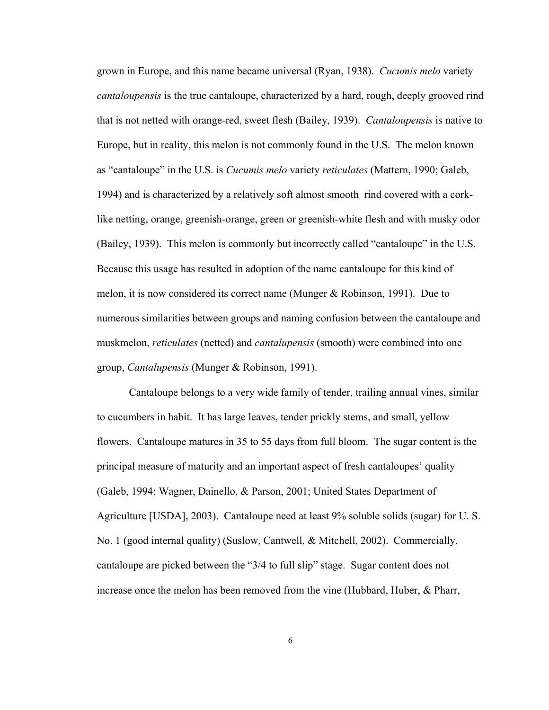grown in Europe, and this name became universal (Ryan, 1938). *Cucumis melo* variety *cantaloupensis* is the true cantaloupe, characterized by a hard, rough, deeply grooved rind that is not netted with orange-red, sweet flesh (Bailey, 1939). *Cantaloupensis* is native to Europe, but in reality, this melon is not commonly found in the U.S. The melon known as "cantaloupe" in the U.S. is *Cucumis melo* variety *reticulates* (Mattern, 1990; Galeb, 1994) and is characterized by a relatively soft almost smooth rind covered with a corklike netting, orange, greenish-orange, green or greenish-white flesh and with musky odor (Bailey, 1939). This melon is commonly but incorrectly called "cantaloupe" in the U.S. Because this usage has resulted in adoption of the name cantaloupe for this kind of melon, it is now considered its correct name (Munger & Robinson, 1991). Due to numerous similarities between groups and naming confusion between the cantaloupe and muskmelon, *reticulates* (netted) and *cantalupensis* (smooth) were combined into one group, *Cantalupensis* (Munger & Robinson, 1991).

Cantaloupe belongs to a very wide family of tender, trailing annual vines, similar to cucumbers in habit. It has large leaves, tender prickly stems, and small, yellow flowers. Cantaloupe matures in 35 to 55 days from full bloom. The sugar content is the principal measure of maturity and an important aspect of fresh cantaloupes' quality (Galeb, 1994; Wagner, Dainello, & Parson, 2001; United States Department of Agriculture [USDA], 2003). Cantaloupe need at least 9% soluble solids (sugar) for U. S. No. 1 (good internal quality) (Suslow, Cantwell, & Mitchell, 2002). Commercially, cantaloupe are picked between the "3/4 to full slip" stage. Sugar content does not increase once the melon has been removed from the vine (Hubbard, Huber, & Pharr,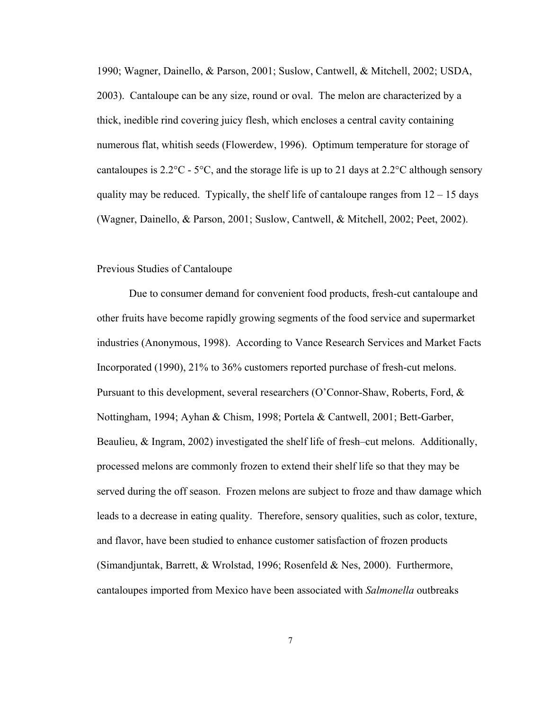1990; Wagner, Dainello, & Parson, 2001; Suslow, Cantwell, & Mitchell, 2002; USDA, 2003). Cantaloupe can be any size, round or oval. The melon are characterized by a thick, inedible rind covering juicy flesh, which encloses a central cavity containing numerous flat, whitish seeds (Flowerdew, 1996). Optimum temperature for storage of cantaloupes is  $2.2^{\circ}\text{C}$  - 5°C, and the storage life is up to 21 days at  $2.2^{\circ}\text{C}$  although sensory quality may be reduced. Typically, the shelf life of cantaloupe ranges from  $12 - 15$  days (Wagner, Dainello, & Parson, 2001; Suslow, Cantwell, & Mitchell, 2002; Peet, 2002).

#### Previous Studies of Cantaloupe

Due to consumer demand for convenient food products, fresh-cut cantaloupe and other fruits have become rapidly growing segments of the food service and supermarket industries (Anonymous, 1998). According to Vance Research Services and Market Facts Incorporated (1990), 21% to 36% customers reported purchase of fresh-cut melons. Pursuant to this development, several researchers (O'Connor-Shaw, Roberts, Ford, & Nottingham, 1994; Ayhan & Chism, 1998; Portela & Cantwell, 2001; Bett-Garber, Beaulieu, & Ingram, 2002) investigated the shelf life of fresh–cut melons. Additionally, processed melons are commonly frozen to extend their shelf life so that they may be served during the off season. Frozen melons are subject to froze and thaw damage which leads to a decrease in eating quality. Therefore, sensory qualities, such as color, texture, and flavor, have been studied to enhance customer satisfaction of frozen products (Simandjuntak, Barrett, & Wrolstad, 1996; Rosenfeld & Nes, 2000). Furthermore, cantaloupes imported from Mexico have been associated with *Salmonella* outbreaks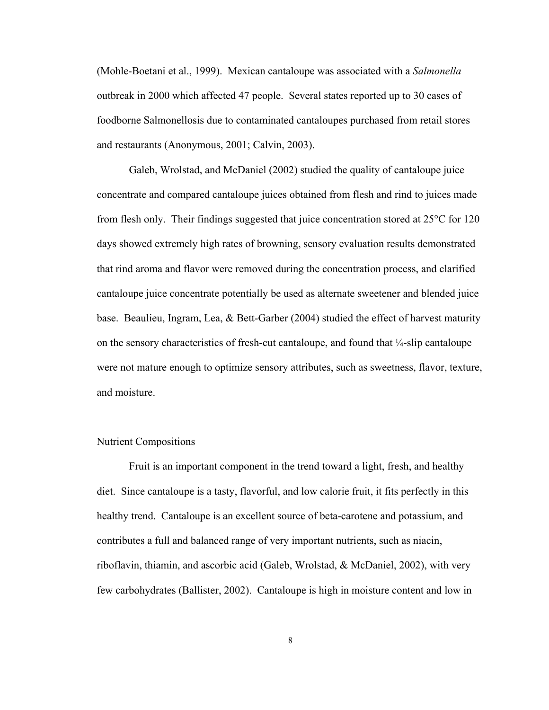(Mohle-Boetani et al., 1999). Mexican cantaloupe was associated with a *Salmonella* outbreak in 2000 which affected 47 people. Several states reported up to 30 cases of foodborne Salmonellosis due to contaminated cantaloupes purchased from retail stores and restaurants (Anonymous, 2001; Calvin, 2003).

Galeb, Wrolstad, and McDaniel (2002) studied the quality of cantaloupe juice concentrate and compared cantaloupe juices obtained from flesh and rind to juices made from flesh only. Their findings suggested that juice concentration stored at 25°C for 120 days showed extremely high rates of browning, sensory evaluation results demonstrated that rind aroma and flavor were removed during the concentration process, and clarified cantaloupe juice concentrate potentially be used as alternate sweetener and blended juice base. Beaulieu, Ingram, Lea, & Bett-Garber (2004) studied the effect of harvest maturity on the sensory characteristics of fresh-cut cantaloupe, and found that  $\frac{1}{4}$ -slip cantaloupe were not mature enough to optimize sensory attributes, such as sweetness, flavor, texture, and moisture.

#### Nutrient Compositions

Fruit is an important component in the trend toward a light, fresh, and healthy diet. Since cantaloupe is a tasty, flavorful, and low calorie fruit, it fits perfectly in this healthy trend. Cantaloupe is an excellent source of beta-carotene and potassium, and contributes a full and balanced range of very important nutrients, such as niacin, riboflavin, thiamin, and ascorbic acid (Galeb, Wrolstad, & McDaniel, 2002), with very few carbohydrates (Ballister, 2002). Cantaloupe is high in moisture content and low in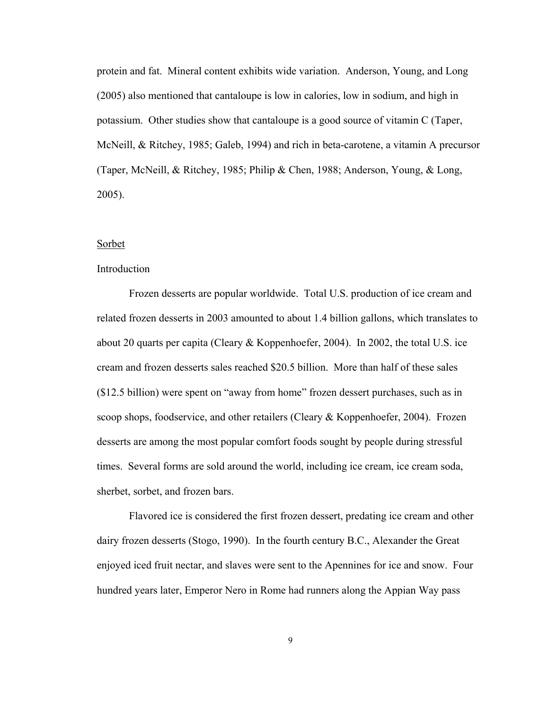protein and fat. Mineral content exhibits wide variation. Anderson, Young, and Long (2005) also mentioned that cantaloupe is low in calories, low in sodium, and high in potassium. Other studies show that cantaloupe is a good source of vitamin C (Taper, McNeill, & Ritchey, 1985; Galeb, 1994) and rich in beta-carotene, a vitamin A precursor (Taper, McNeill, & Ritchey, 1985; Philip & Chen, 1988; Anderson, Young, & Long, 2005).

#### Sorbet

### Introduction

Frozen desserts are popular worldwide. Total U.S. production of ice cream and related frozen desserts in 2003 amounted to about 1.4 billion gallons, which translates to about 20 quarts per capita (Cleary & Koppenhoefer, 2004). In 2002, the total U.S. ice cream and frozen desserts sales reached \$20.5 billion. More than half of these sales (\$12.5 billion) were spent on "away from home" frozen dessert purchases, such as in scoop shops, foodservice, and other retailers (Cleary & Koppenhoefer, 2004). Frozen desserts are among the most popular comfort foods sought by people during stressful times. Several forms are sold around the world, including ice cream, ice cream soda, sherbet, sorbet, and frozen bars.

Flavored ice is considered the first frozen dessert, predating ice cream and other dairy frozen desserts (Stogo, 1990). In the fourth century B.C., Alexander the Great enjoyed iced fruit nectar, and slaves were sent to the Apennines for ice and snow. Four hundred years later, Emperor Nero in Rome had runners along the Appian Way pass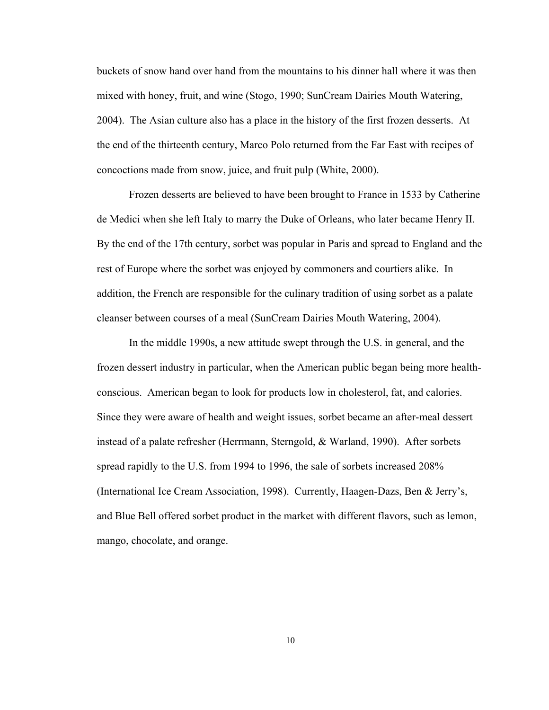buckets of snow hand over hand from the mountains to his dinner hall where it was then mixed with honey, fruit, and wine (Stogo, 1990; SunCream Dairies Mouth Watering, 2004). The Asian culture also has a place in the history of the first frozen desserts. At the end of the thirteenth century, Marco Polo returned from the Far East with recipes of concoctions made from snow, juice, and fruit pulp (White, 2000).

Frozen desserts are believed to have been brought to France in 1533 by Catherine de Medici when she left Italy to marry the Duke of Orleans, who later became Henry II. By the end of the 17th century, sorbet was popular in Paris and spread to England and the rest of Europe where the sorbet was enjoyed by commoners and courtiers alike. In addition, the French are responsible for the culinary tradition of using sorbet as a palate cleanser between courses of a meal (SunCream Dairies Mouth Watering, 2004).

In the middle 1990s, a new attitude swept through the U.S. in general, and the frozen dessert industry in particular, when the American public began being more healthconscious. American began to look for products low in cholesterol, fat, and calories. Since they were aware of health and weight issues, sorbet became an after-meal dessert instead of a palate refresher (Herrmann, Sterngold, & Warland, 1990). After sorbets spread rapidly to the U.S. from 1994 to 1996, the sale of sorbets increased 208% (International Ice Cream Association, 1998). Currently, Haagen-Dazs, Ben & Jerry's, and Blue Bell offered sorbet product in the market with different flavors, such as lemon, mango, chocolate, and orange.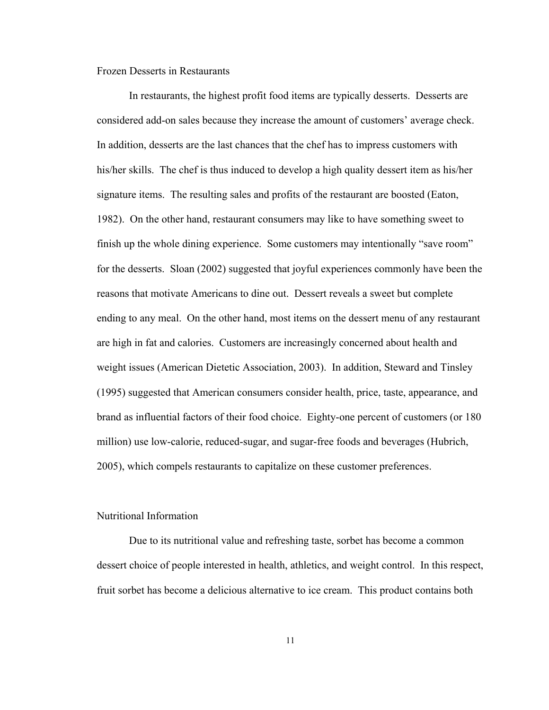Frozen Desserts in Restaurants

In restaurants, the highest profit food items are typically desserts. Desserts are considered add-on sales because they increase the amount of customers' average check. In addition, desserts are the last chances that the chef has to impress customers with his/her skills. The chef is thus induced to develop a high quality dessert item as his/her signature items. The resulting sales and profits of the restaurant are boosted (Eaton, 1982). On the other hand, restaurant consumers may like to have something sweet to finish up the whole dining experience. Some customers may intentionally "save room" for the desserts. Sloan (2002) suggested that joyful experiences commonly have been the reasons that motivate Americans to dine out. Dessert reveals a sweet but complete ending to any meal. On the other hand, most items on the dessert menu of any restaurant are high in fat and calories. Customers are increasingly concerned about health and weight issues (American Dietetic Association, 2003). In addition, Steward and Tinsley (1995) suggested that American consumers consider health, price, taste, appearance, and brand as influential factors of their food choice. Eighty-one percent of customers (or 180 million) use low-calorie, reduced-sugar, and sugar-free foods and beverages (Hubrich, 2005), which compels restaurants to capitalize on these customer preferences.

## Nutritional Information

Due to its nutritional value and refreshing taste, sorbet has become a common dessert choice of people interested in health, athletics, and weight control. In this respect, fruit sorbet has become a delicious alternative to ice cream. This product contains both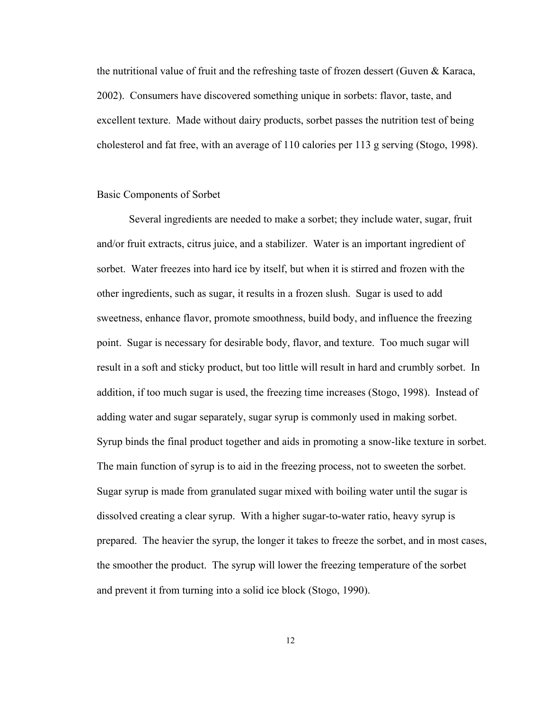the nutritional value of fruit and the refreshing taste of frozen dessert (Guven  $\&$  Karaca, 2002). Consumers have discovered something unique in sorbets: flavor, taste, and excellent texture. Made without dairy products, sorbet passes the nutrition test of being cholesterol and fat free, with an average of 110 calories per 113 g serving (Stogo, 1998).

#### Basic Components of Sorbet

Several ingredients are needed to make a sorbet; they include water, sugar, fruit and/or fruit extracts, citrus juice, and a stabilizer. Water is an important ingredient of sorbet. Water freezes into hard ice by itself, but when it is stirred and frozen with the other ingredients, such as sugar, it results in a frozen slush. Sugar is used to add sweetness, enhance flavor, promote smoothness, build body, and influence the freezing point. Sugar is necessary for desirable body, flavor, and texture. Too much sugar will result in a soft and sticky product, but too little will result in hard and crumbly sorbet. In addition, if too much sugar is used, the freezing time increases (Stogo, 1998). Instead of adding water and sugar separately, sugar syrup is commonly used in making sorbet. Syrup binds the final product together and aids in promoting a snow-like texture in sorbet. The main function of syrup is to aid in the freezing process, not to sweeten the sorbet. Sugar syrup is made from granulated sugar mixed with boiling water until the sugar is dissolved creating a clear syrup. With a higher sugar-to-water ratio, heavy syrup is prepared. The heavier the syrup, the longer it takes to freeze the sorbet, and in most cases, the smoother the product. The syrup will lower the freezing temperature of the sorbet and prevent it from turning into a solid ice block (Stogo, 1990).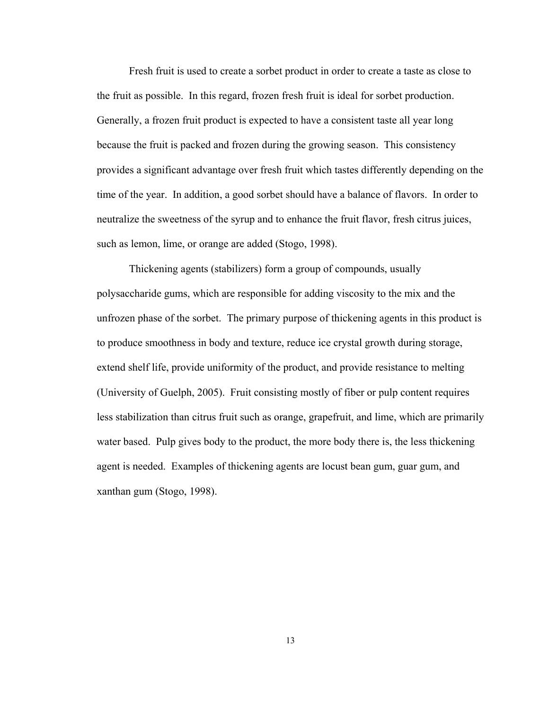Fresh fruit is used to create a sorbet product in order to create a taste as close to the fruit as possible. In this regard, frozen fresh fruit is ideal for sorbet production. Generally, a frozen fruit product is expected to have a consistent taste all year long because the fruit is packed and frozen during the growing season. This consistency provides a significant advantage over fresh fruit which tastes differently depending on the time of the year. In addition, a good sorbet should have a balance of flavors. In order to neutralize the sweetness of the syrup and to enhance the fruit flavor, fresh citrus juices, such as lemon, lime, or orange are added (Stogo, 1998).

Thickening agents (stabilizers) form a group of compounds, usually polysaccharide gums, which are responsible for adding viscosity to the mix and the unfrozen phase of the sorbet. The primary purpose of thickening agents in this product is to produce smoothness in body and texture, reduce ice crystal growth during storage, extend shelf life, provide uniformity of the product, and provide resistance to melting (University of Guelph, 2005). Fruit consisting mostly of fiber or pulp content requires less stabilization than citrus fruit such as orange, grapefruit, and lime, which are primarily water based. Pulp gives body to the product, the more body there is, the less thickening agent is needed. Examples of thickening agents are locust bean gum, guar gum, and xanthan gum (Stogo, 1998).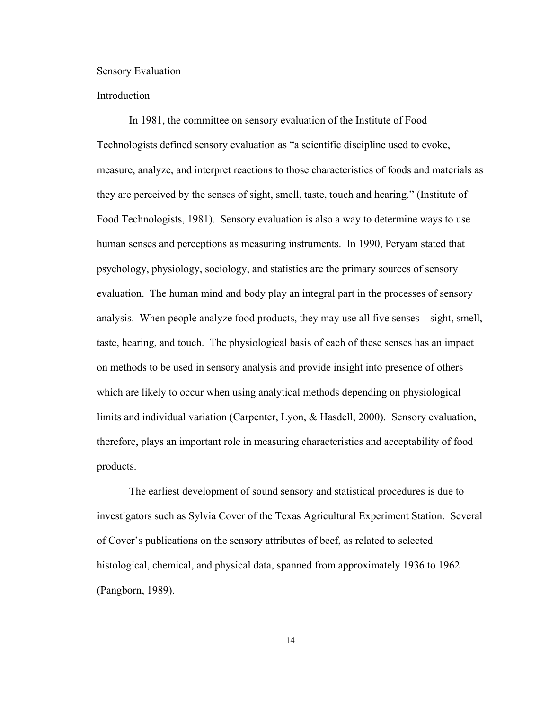### Sensory Evaluation

### Introduction

In 1981, the committee on sensory evaluation of the Institute of Food Technologists defined sensory evaluation as "a scientific discipline used to evoke, measure, analyze, and interpret reactions to those characteristics of foods and materials as they are perceived by the senses of sight, smell, taste, touch and hearing." (Institute of Food Technologists, 1981). Sensory evaluation is also a way to determine ways to use human senses and perceptions as measuring instruments. In 1990, Peryam stated that psychology, physiology, sociology, and statistics are the primary sources of sensory evaluation. The human mind and body play an integral part in the processes of sensory analysis. When people analyze food products, they may use all five senses – sight, smell, taste, hearing, and touch. The physiological basis of each of these senses has an impact on methods to be used in sensory analysis and provide insight into presence of others which are likely to occur when using analytical methods depending on physiological limits and individual variation (Carpenter, Lyon, & Hasdell, 2000). Sensory evaluation, therefore, plays an important role in measuring characteristics and acceptability of food products.

The earliest development of sound sensory and statistical procedures is due to investigators such as Sylvia Cover of the Texas Agricultural Experiment Station. Several of Cover's publications on the sensory attributes of beef, as related to selected histological, chemical, and physical data, spanned from approximately 1936 to 1962 (Pangborn, 1989).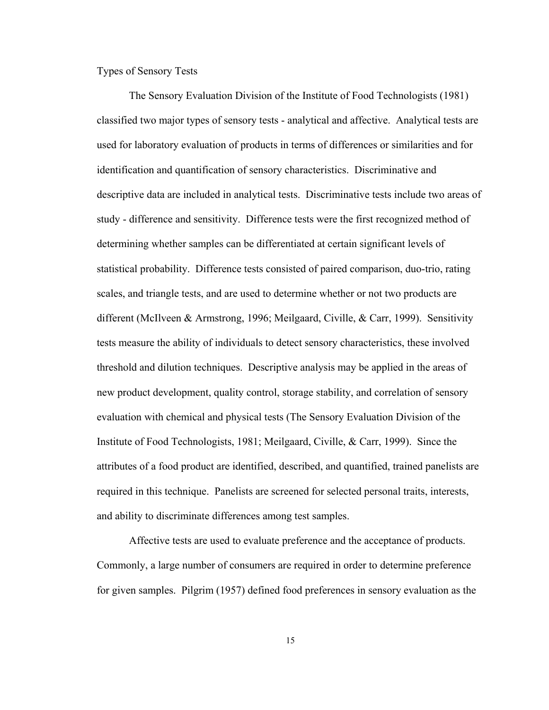Types of Sensory Tests

The Sensory Evaluation Division of the Institute of Food Technologists (1981) classified two major types of sensory tests - analytical and affective. Analytical tests are used for laboratory evaluation of products in terms of differences or similarities and for identification and quantification of sensory characteristics. Discriminative and descriptive data are included in analytical tests. Discriminative tests include two areas of study - difference and sensitivity. Difference tests were the first recognized method of determining whether samples can be differentiated at certain significant levels of statistical probability. Difference tests consisted of paired comparison, duo-trio, rating scales, and triangle tests, and are used to determine whether or not two products are different (McIlveen & Armstrong, 1996; Meilgaard, Civille, & Carr, 1999). Sensitivity tests measure the ability of individuals to detect sensory characteristics, these involved threshold and dilution techniques. Descriptive analysis may be applied in the areas of new product development, quality control, storage stability, and correlation of sensory evaluation with chemical and physical tests (The Sensory Evaluation Division of the Institute of Food Technologists, 1981; Meilgaard, Civille, & Carr, 1999). Since the attributes of a food product are identified, described, and quantified, trained panelists are required in this technique. Panelists are screened for selected personal traits, interests, and ability to discriminate differences among test samples.

Affective tests are used to evaluate preference and the acceptance of products. Commonly, a large number of consumers are required in order to determine preference for given samples. Pilgrim (1957) defined food preferences in sensory evaluation as the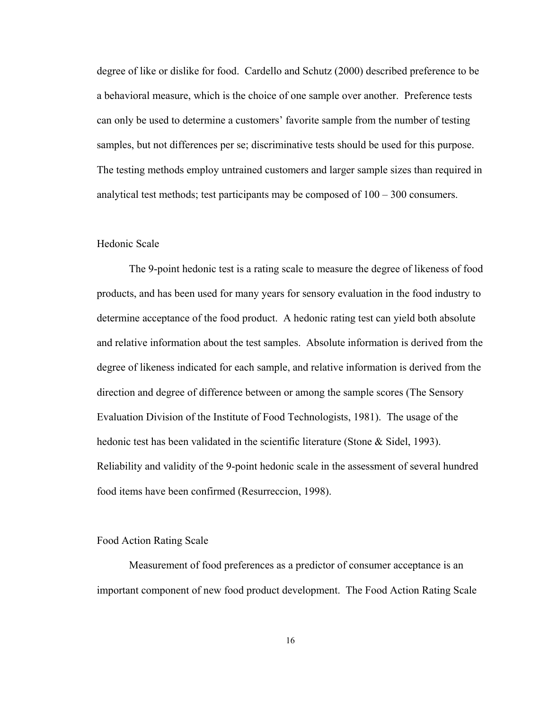degree of like or dislike for food. Cardello and Schutz (2000) described preference to be a behavioral measure, which is the choice of one sample over another. Preference tests can only be used to determine a customers' favorite sample from the number of testing samples, but not differences per se; discriminative tests should be used for this purpose. The testing methods employ untrained customers and larger sample sizes than required in analytical test methods; test participants may be composed of 100 – 300 consumers.

## Hedonic Scale

The 9-point hedonic test is a rating scale to measure the degree of likeness of food products, and has been used for many years for sensory evaluation in the food industry to determine acceptance of the food product. A hedonic rating test can yield both absolute and relative information about the test samples. Absolute information is derived from the degree of likeness indicated for each sample, and relative information is derived from the direction and degree of difference between or among the sample scores (The Sensory Evaluation Division of the Institute of Food Technologists, 1981). The usage of the hedonic test has been validated in the scientific literature (Stone & Sidel, 1993). Reliability and validity of the 9-point hedonic scale in the assessment of several hundred food items have been confirmed (Resurreccion, 1998).

#### Food Action Rating Scale

Measurement of food preferences as a predictor of consumer acceptance is an important component of new food product development. The Food Action Rating Scale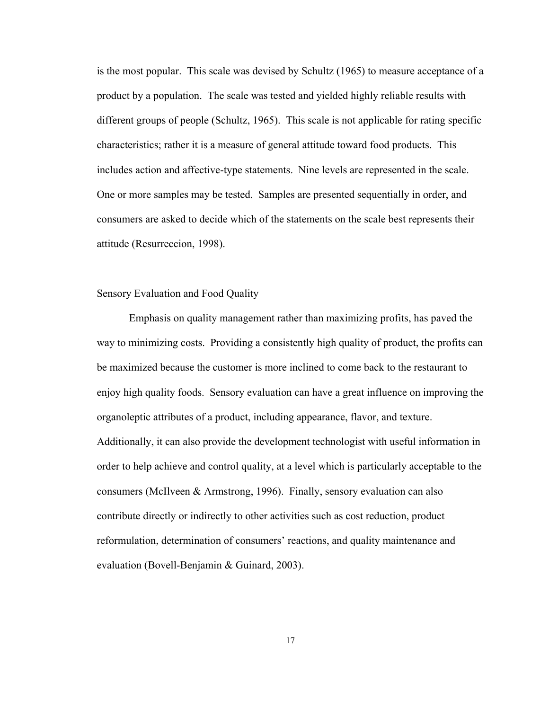is the most popular. This scale was devised by Schultz (1965) to measure acceptance of a product by a population. The scale was tested and yielded highly reliable results with different groups of people (Schultz, 1965). This scale is not applicable for rating specific characteristics; rather it is a measure of general attitude toward food products. This includes action and affective-type statements. Nine levels are represented in the scale. One or more samples may be tested. Samples are presented sequentially in order, and consumers are asked to decide which of the statements on the scale best represents their attitude (Resurreccion, 1998).

## Sensory Evaluation and Food Quality

Emphasis on quality management rather than maximizing profits, has paved the way to minimizing costs. Providing a consistently high quality of product, the profits can be maximized because the customer is more inclined to come back to the restaurant to enjoy high quality foods. Sensory evaluation can have a great influence on improving the organoleptic attributes of a product, including appearance, flavor, and texture. Additionally, it can also provide the development technologist with useful information in order to help achieve and control quality, at a level which is particularly acceptable to the consumers (McIlveen & Armstrong, 1996). Finally, sensory evaluation can also contribute directly or indirectly to other activities such as cost reduction, product reformulation, determination of consumers' reactions, and quality maintenance and evaluation (Bovell-Benjamin & Guinard, 2003).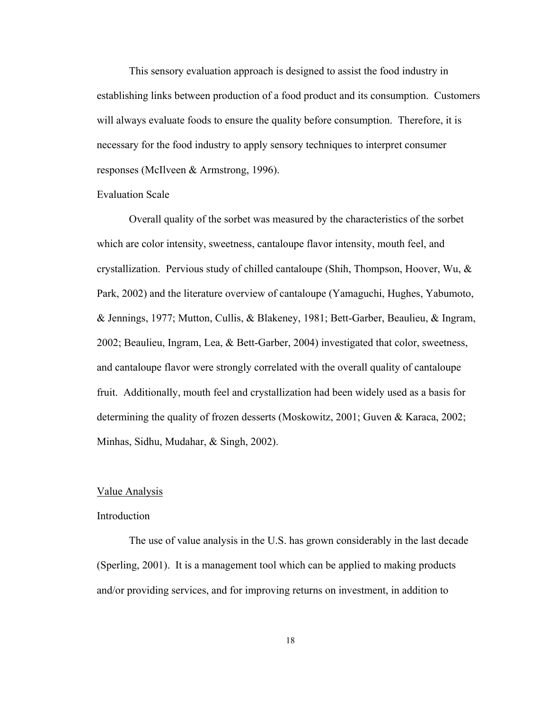This sensory evaluation approach is designed to assist the food industry in establishing links between production of a food product and its consumption. Customers will always evaluate foods to ensure the quality before consumption. Therefore, it is necessary for the food industry to apply sensory techniques to interpret consumer responses (McIlveen & Armstrong, 1996).

### Evaluation Scale

Overall quality of the sorbet was measured by the characteristics of the sorbet which are color intensity, sweetness, cantaloupe flavor intensity, mouth feel, and crystallization. Pervious study of chilled cantaloupe (Shih, Thompson, Hoover, Wu, & Park, 2002) and the literature overview of cantaloupe (Yamaguchi, Hughes, Yabumoto, & Jennings, 1977; Mutton, Cullis, & Blakeney, 1981; Bett-Garber, Beaulieu, & Ingram, 2002; Beaulieu, Ingram, Lea, & Bett-Garber, 2004) investigated that color, sweetness, and cantaloupe flavor were strongly correlated with the overall quality of cantaloupe fruit. Additionally, mouth feel and crystallization had been widely used as a basis for determining the quality of frozen desserts (Moskowitz, 2001; Guven & Karaca, 2002; Minhas, Sidhu, Mudahar, & Singh, 2002).

#### Value Analysis

#### Introduction

The use of value analysis in the U.S. has grown considerably in the last decade (Sperling, 2001). It is a management tool which can be applied to making products and/or providing services, and for improving returns on investment, in addition to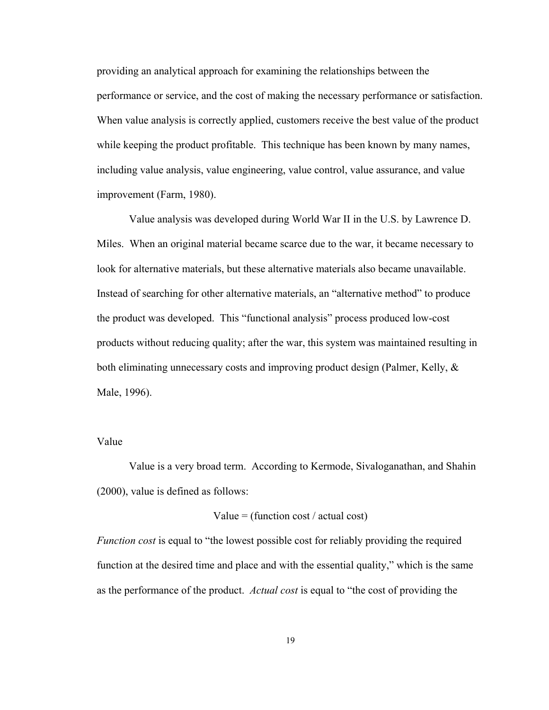providing an analytical approach for examining the relationships between the performance or service, and the cost of making the necessary performance or satisfaction. When value analysis is correctly applied, customers receive the best value of the product while keeping the product profitable. This technique has been known by many names, including value analysis, value engineering, value control, value assurance, and value improvement (Farm, 1980).

Value analysis was developed during World War II in the U.S. by Lawrence D. Miles. When an original material became scarce due to the war, it became necessary to look for alternative materials, but these alternative materials also became unavailable. Instead of searching for other alternative materials, an "alternative method" to produce the product was developed. This "functional analysis" process produced low-cost products without reducing quality; after the war, this system was maintained resulting in both eliminating unnecessary costs and improving product design (Palmer, Kelly, & Male, 1996).

## Value

Value is a very broad term. According to Kermode, Sivaloganathan, and Shahin (2000), value is defined as follows:

### Value = (function cost / actual cost)

*Function cost* is equal to "the lowest possible cost for reliably providing the required function at the desired time and place and with the essential quality," which is the same as the performance of the product. *Actual cost* is equal to "the cost of providing the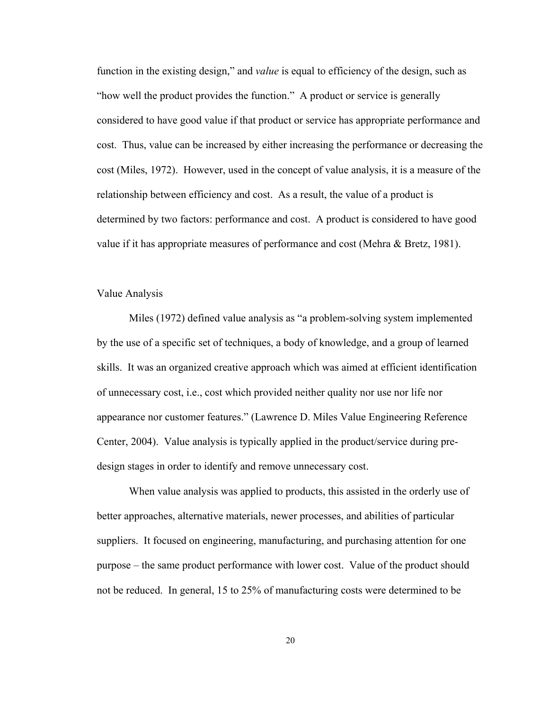function in the existing design," and *value* is equal to efficiency of the design, such as "how well the product provides the function." A product or service is generally considered to have good value if that product or service has appropriate performance and cost. Thus, value can be increased by either increasing the performance or decreasing the cost (Miles, 1972). However, used in the concept of value analysis, it is a measure of the relationship between efficiency and cost. As a result, the value of a product is determined by two factors: performance and cost. A product is considered to have good value if it has appropriate measures of performance and cost (Mehra & Bretz, 1981).

### Value Analysis

Miles (1972) defined value analysis as "a problem-solving system implemented by the use of a specific set of techniques, a body of knowledge, and a group of learned skills. It was an organized creative approach which was aimed at efficient identification of unnecessary cost, i.e., cost which provided neither quality nor use nor life nor appearance nor customer features." (Lawrence D. Miles Value Engineering Reference Center, 2004). Value analysis is typically applied in the product/service during predesign stages in order to identify and remove unnecessary cost.

When value analysis was applied to products, this assisted in the orderly use of better approaches, alternative materials, newer processes, and abilities of particular suppliers. It focused on engineering, manufacturing, and purchasing attention for one purpose – the same product performance with lower cost. Value of the product should not be reduced. In general, 15 to 25% of manufacturing costs were determined to be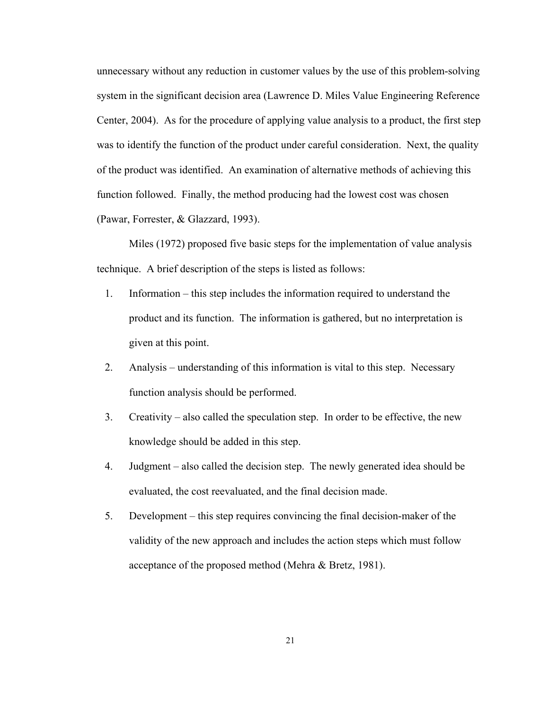unnecessary without any reduction in customer values by the use of this problem-solving system in the significant decision area (Lawrence D. Miles Value Engineering Reference Center, 2004). As for the procedure of applying value analysis to a product, the first step was to identify the function of the product under careful consideration. Next, the quality of the product was identified. An examination of alternative methods of achieving this function followed. Finally, the method producing had the lowest cost was chosen (Pawar, Forrester, & Glazzard, 1993).

Miles (1972) proposed five basic steps for the implementation of value analysis technique. A brief description of the steps is listed as follows:

- 1. Information this step includes the information required to understand the product and its function. The information is gathered, but no interpretation is given at this point.
- 2. Analysis understanding of this information is vital to this step. Necessary function analysis should be performed.
- 3. Creativity also called the speculation step. In order to be effective, the new knowledge should be added in this step.
- 4. Judgment also called the decision step. The newly generated idea should be evaluated, the cost reevaluated, and the final decision made.
- 5. Development this step requires convincing the final decision-maker of the validity of the new approach and includes the action steps which must follow acceptance of the proposed method (Mehra & Bretz, 1981).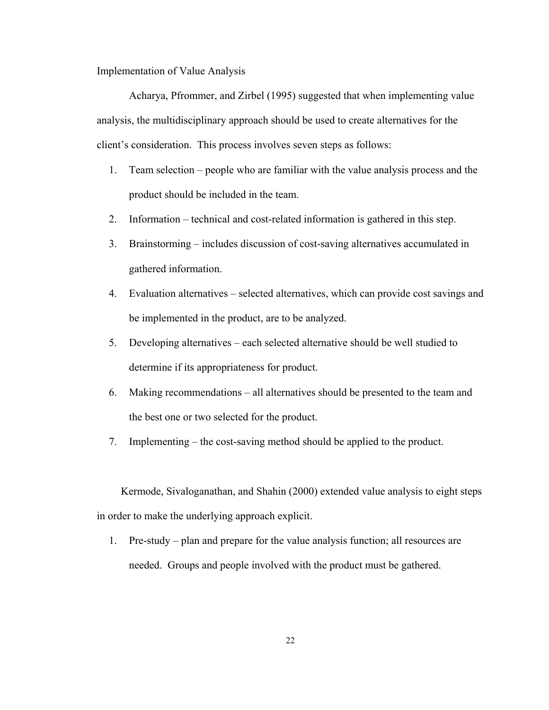Implementation of Value Analysis

Acharya, Pfrommer, and Zirbel (1995) suggested that when implementing value analysis, the multidisciplinary approach should be used to create alternatives for the client's consideration. This process involves seven steps as follows:

- 1. Team selection people who are familiar with the value analysis process and the product should be included in the team.
- 2. Information technical and cost-related information is gathered in this step.
- 3. Brainstorming includes discussion of cost-saving alternatives accumulated in gathered information.
- 4. Evaluation alternatives selected alternatives, which can provide cost savings and be implemented in the product, are to be analyzed.
- 5. Developing alternatives each selected alternative should be well studied to determine if its appropriateness for product.
- 6. Making recommendations all alternatives should be presented to the team and the best one or two selected for the product.
- 7. Implementing the cost-saving method should be applied to the product.

Kermode, Sivaloganathan, and Shahin (2000) extended value analysis to eight steps in order to make the underlying approach explicit.

1. Pre-study – plan and prepare for the value analysis function; all resources are needed. Groups and people involved with the product must be gathered.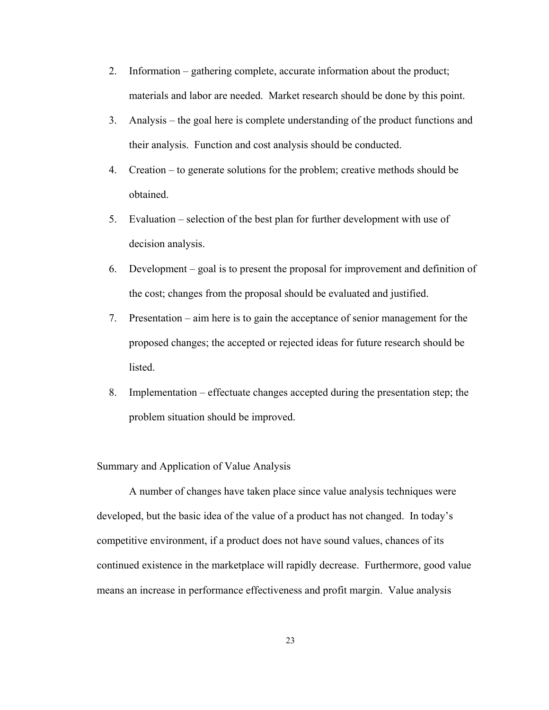- 2. Information gathering complete, accurate information about the product; materials and labor are needed. Market research should be done by this point.
- 3. Analysis the goal here is complete understanding of the product functions and their analysis. Function and cost analysis should be conducted.
- 4. Creation to generate solutions for the problem; creative methods should be obtained.
- 5. Evaluation selection of the best plan for further development with use of decision analysis.
- 6. Development goal is to present the proposal for improvement and definition of the cost; changes from the proposal should be evaluated and justified.
- 7. Presentation aim here is to gain the acceptance of senior management for the proposed changes; the accepted or rejected ideas for future research should be listed.
- 8. Implementation effectuate changes accepted during the presentation step; the problem situation should be improved.

## Summary and Application of Value Analysis

A number of changes have taken place since value analysis techniques were developed, but the basic idea of the value of a product has not changed. In today's competitive environment, if a product does not have sound values, chances of its continued existence in the marketplace will rapidly decrease. Furthermore, good value means an increase in performance effectiveness and profit margin. Value analysis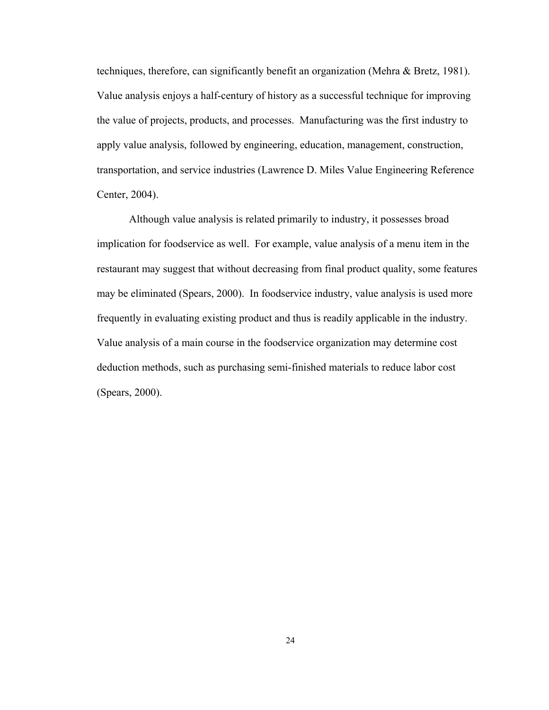techniques, therefore, can significantly benefit an organization (Mehra & Bretz, 1981). Value analysis enjoys a half-century of history as a successful technique for improving the value of projects, products, and processes. Manufacturing was the first industry to apply value analysis, followed by engineering, education, management, construction, transportation, and service industries (Lawrence D. Miles Value Engineering Reference Center, 2004).

Although value analysis is related primarily to industry, it possesses broad implication for foodservice as well. For example, value analysis of a menu item in the restaurant may suggest that without decreasing from final product quality, some features may be eliminated (Spears, 2000). In foodservice industry, value analysis is used more frequently in evaluating existing product and thus is readily applicable in the industry. Value analysis of a main course in the foodservice organization may determine cost deduction methods, such as purchasing semi-finished materials to reduce labor cost (Spears, 2000).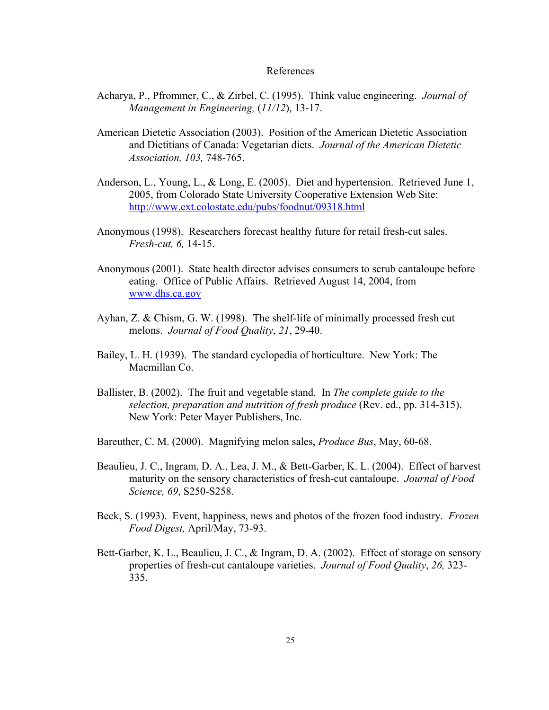#### References

- Acharya, P., Pfrommer, C., & Zirbel, C. (1995). Think value engineering. *Journal of Management in Engineering,* (*11/12*), 13-17.
- American Dietetic Association (2003). Position of the American Dietetic Association and Dietitians of Canada: Vegetarian diets. *Journal of the American Dietetic Association, 103,* 748-765.
- Anderson, L., Young, L., & Long, E. (2005). Diet and hypertension. Retrieved June 1, 2005, from Colorado State University Cooperative Extension Web Site: http://www.ext.colostate.edu/pubs/foodnut/09318.html
- Anonymous (1998). Researchers forecast healthy future for retail fresh-cut sales. *Fresh-cut, 6,* 14-15.
- Anonymous (2001). State health director advises consumers to scrub cantaloupe before eating. Office of Public Affairs. Retrieved August 14, 2004, from www.dhs.ca.gov
- Ayhan, Z. & Chism, G. W. (1998). The shelf-life of minimally processed fresh cut melons. *Journal of Food Quality*, *21*, 29-40.
- Bailey, L. H. (1939). The standard cyclopedia of horticulture. New York: The Macmillan Co.
- Ballister, B. (2002). The fruit and vegetable stand. In *The complete guide to the selection, preparation and nutrition of fresh produce* (Rev. ed., pp. 314-315). New York: Peter Mayer Publishers, Inc.
- Bareuther, C. M. (2000). Magnifying melon sales, *Produce Bus*, May, 60-68.
- Beaulieu, J. C., Ingram, D. A., Lea, J. M., & Bett-Garber, K. L. (2004). Effect of harvest maturity on the sensory characteristics of fresh-cut cantaloupe. *Journal of Food Science, 69*, S250-S258.
- Beck, S. (1993). Event, happiness, news and photos of the frozen food industry. *Frozen Food Digest,* April/May, 73-93.
- Bett-Garber, K. L., Beaulieu, J. C., & Ingram, D. A. (2002). Effect of storage on sensory properties of fresh-cut cantaloupe varieties. *Journal of Food Quality*, *26,* 323- 335.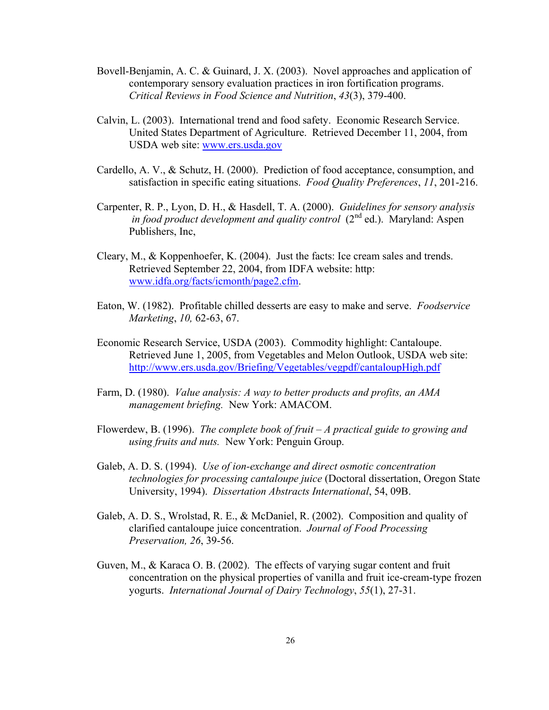- Bovell-Benjamin, A. C. & Guinard, J. X. (2003). Novel approaches and application of contemporary sensory evaluation practices in iron fortification programs. *Critical Reviews in Food Science and Nutrition*, *43*(3), 379-400.
- Calvin, L. (2003). International trend and food safety. Economic Research Service. United States Department of Agriculture. Retrieved December 11, 2004, from USDA web site: www.ers.usda.gov
- Cardello, A. V., & Schutz, H. (2000). Prediction of food acceptance, consumption, and satisfaction in specific eating situations. *Food Quality Preferences*, *11*, 201-216.
- Carpenter, R. P., Lyon, D. H., & Hasdell, T. A. (2000). *Guidelines for sensory analysis in food product development and quality control* (2<sup>nd</sup> ed.). Maryland: Aspen Publishers, Inc,
- Cleary, M., & Koppenhoefer, K. (2004). Just the facts: Ice cream sales and trends. Retrieved September 22, 2004, from IDFA website: http: www.idfa.org/facts/icmonth/page2.cfm.
- Eaton, W. (1982). Profitable chilled desserts are easy to make and serve. *Foodservice Marketing*, *10,* 62-63, 67.
- Economic Research Service, USDA (2003). Commodity highlight: Cantaloupe. Retrieved June 1, 2005, from Vegetables and Melon Outlook, USDA web site: http://www.ers.usda.gov/Briefing/Vegetables/vegpdf/cantaloupHigh.pdf
- Farm, D. (1980). *Value analysis: A way to better products and profits, an AMA management briefing.* New York: AMACOM.
- Flowerdew, B. (1996). *The complete book of fruit A practical guide to growing and using fruits and nuts.* New York: Penguin Group.
- Galeb, A. D. S. (1994). *Use of ion-exchange and direct osmotic concentration technologies for processing cantaloupe juice* (Doctoral dissertation, Oregon State University, 1994). *Dissertation Abstracts International*, 54, 09B.
- Galeb, A. D. S., Wrolstad, R. E., & McDaniel, R. (2002). Composition and quality of clarified cantaloupe juice concentration. *Journal of Food Processing Preservation, 26*, 39-56.
- Guven, M., & Karaca O. B. (2002). The effects of varying sugar content and fruit concentration on the physical properties of vanilla and fruit ice-cream-type frozen yogurts. *International Journal of Dairy Technology*, *55*(1), 27-31.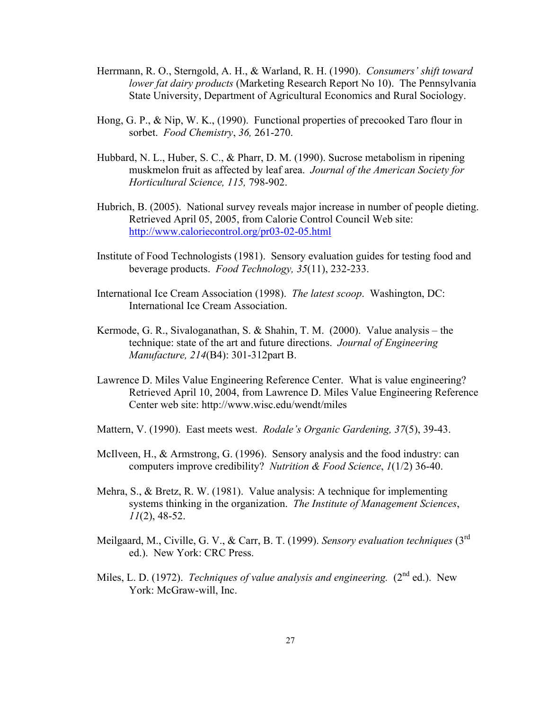- Herrmann, R. O., Sterngold, A. H., & Warland, R. H. (1990). *Consumers' shift toward lower fat dairy products* (Marketing Research Report No 10). The Pennsylvania State University, Department of Agricultural Economics and Rural Sociology.
- Hong, G. P., & Nip, W. K., (1990). Functional properties of precooked Taro flour in sorbet. *Food Chemistry*, *36,* 261-270.
- Hubbard, N. L., Huber, S. C., & Pharr, D. M. (1990). Sucrose metabolism in ripening muskmelon fruit as affected by leaf area. *Journal of the American Society for Horticultural Science, 115,* 798-902.
- Hubrich, B. (2005). National survey reveals major increase in number of people dieting. Retrieved April 05, 2005, from Calorie Control Council Web site: http://www.caloriecontrol.org/pr03-02-05.html
- Institute of Food Technologists (1981). Sensory evaluation guides for testing food and beverage products. *Food Technology, 35*(11), 232-233.
- International Ice Cream Association (1998). *The latest scoop*. Washington, DC: International Ice Cream Association.
- Kermode, G. R., Sivaloganathan, S. & Shahin, T. M. (2000). Value analysis the technique: state of the art and future directions. *Journal of Engineering Manufacture, 214*(B4): 301-312part B.
- Lawrence D. Miles Value Engineering Reference Center. What is value engineering? Retrieved April 10, 2004, from Lawrence D. Miles Value Engineering Reference Center web site: http://www.wisc.edu/wendt/miles
- Mattern, V. (1990). East meets west. *Rodale's Organic Gardening, 37*(5), 39-43.
- McIlveen, H., & Armstrong, G. (1996). Sensory analysis and the food industry: can computers improve credibility? *Nutrition & Food Science*, *1*(1/2) 36-40.
- Mehra, S., & Bretz, R. W. (1981). Value analysis: A technique for implementing systems thinking in the organization. *The Institute of Management Sciences*, *11*(2), 48-52.
- Meilgaard, M., Civille, G. V., & Carr, B. T. (1999). *Sensory evaluation techniques* (3rd ed.). New York: CRC Press.
- Miles, L. D. (1972). *Techniques of value analysis and engineering.* (2<sup>nd</sup> ed.). New York: McGraw-will, Inc.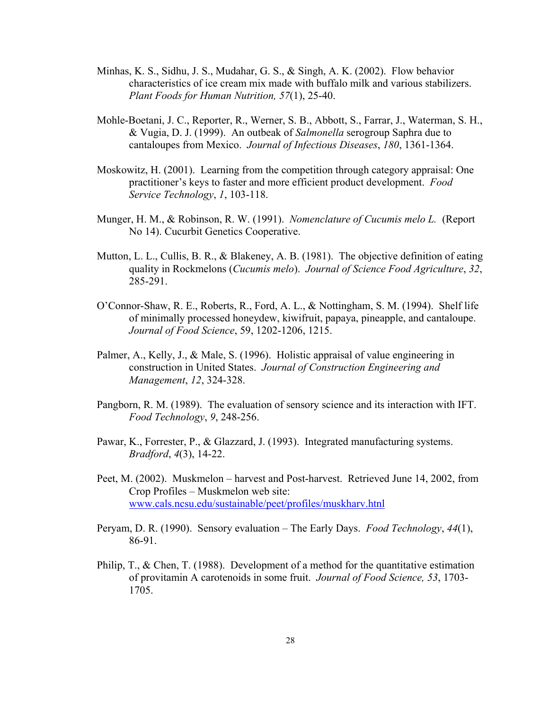- Minhas, K. S., Sidhu, J. S., Mudahar, G. S., & Singh, A. K. (2002). Flow behavior characteristics of ice cream mix made with buffalo milk and various stabilizers. *Plant Foods for Human Nutrition, 57*(1), 25-40.
- Mohle-Boetani, J. C., Reporter, R., Werner, S. B., Abbott, S., Farrar, J., Waterman, S. H., & Vugia, D. J. (1999). An outbeak of *Salmonella* serogroup Saphra due to cantaloupes from Mexico. *Journal of Infectious Diseases*, *180*, 1361-1364.
- Moskowitz, H. (2001). Learning from the competition through category appraisal: One practitioner's keys to faster and more efficient product development. *Food Service Technology*, *1*, 103-118.
- Munger, H. M., & Robinson, R. W. (1991). *Nomenclature of Cucumis melo L.* (Report No 14). Cucurbit Genetics Cooperative.
- Mutton, L. L., Cullis, B. R., & Blakeney, A. B. (1981). The objective definition of eating quality in Rockmelons (*Cucumis melo*). *Journal of Science Food Agriculture*, *32*, 285-291.
- O'Connor-Shaw, R. E., Roberts, R., Ford, A. L., & Nottingham, S. M. (1994). Shelf life of minimally processed honeydew, kiwifruit, papaya, pineapple, and cantaloupe. *Journal of Food Science*, 59, 1202-1206, 1215.
- Palmer, A., Kelly, J., & Male, S. (1996). Holistic appraisal of value engineering in construction in United States. *Journal of Construction Engineering and Management*, *12*, 324-328.
- Pangborn, R. M. (1989). The evaluation of sensory science and its interaction with IFT. *Food Technology*, *9*, 248-256.
- Pawar, K., Forrester, P., & Glazzard, J. (1993). Integrated manufacturing systems. *Bradford*, *4*(3), 14-22.
- Peet, M. (2002). Muskmelon harvest and Post-harvest. Retrieved June 14, 2002, from Crop Profiles – Muskmelon web site: www.cals.ncsu.edu/sustainable/peet/profiles/muskharv.htnl
- Peryam, D. R. (1990). Sensory evaluation The Early Days. *Food Technology*, *44*(1), 86-91.
- Philip, T., & Chen, T. (1988). Development of a method for the quantitative estimation of provitamin A carotenoids in some fruit. *Journal of Food Science, 53*, 1703- 1705.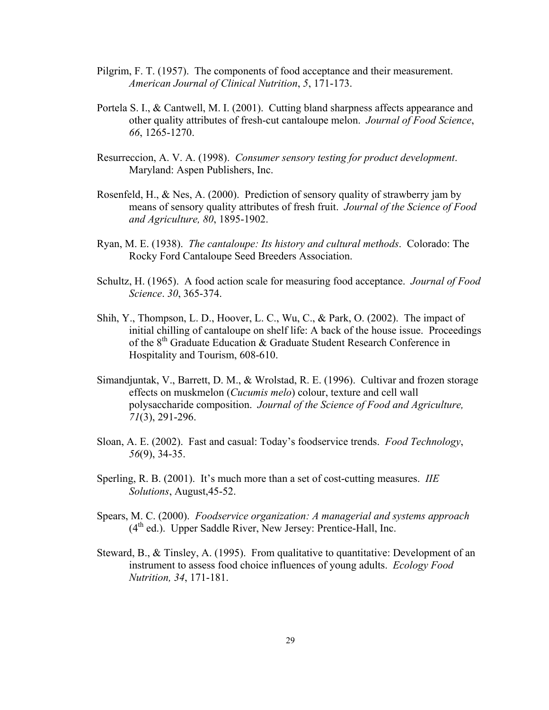- Pilgrim, F. T. (1957). The components of food acceptance and their measurement. *American Journal of Clinical Nutrition*, *5*, 171-173.
- Portela S. I., & Cantwell, M. I. (2001). Cutting bland sharpness affects appearance and other quality attributes of fresh-cut cantaloupe melon. *Journal of Food Science*, *66*, 1265-1270.
- Resurreccion, A. V. A. (1998). *Consumer sensory testing for product development*. Maryland: Aspen Publishers, Inc.
- Rosenfeld, H., & Nes, A. (2000). Prediction of sensory quality of strawberry jam by means of sensory quality attributes of fresh fruit. *Journal of the Science of Food and Agriculture, 80*, 1895-1902.
- Ryan, M. E. (1938). *The cantaloupe: Its history and cultural methods*. Colorado: The Rocky Ford Cantaloupe Seed Breeders Association.
- Schultz, H. (1965). A food action scale for measuring food acceptance. *Journal of Food Science*. *30*, 365-374.
- Shih, Y., Thompson, L. D., Hoover, L. C., Wu, C., & Park, O. (2002). The impact of initial chilling of cantaloupe on shelf life: A back of the house issue. Proceedings of the  $8<sup>th</sup>$  Graduate Education & Graduate Student Research Conference in Hospitality and Tourism, 608-610.
- Simandjuntak, V., Barrett, D. M., & Wrolstad, R. E. (1996). Cultivar and frozen storage effects on muskmelon (*Cucumis melo*) colour, texture and cell wall polysaccharide composition. *Journal of the Science of Food and Agriculture, 71*(3), 291-296.
- Sloan, A. E. (2002). Fast and casual: Today's foodservice trends. *Food Technology*, *56*(9), 34-35.
- Sperling, R. B. (2001). It's much more than a set of cost-cutting measures. *IIE Solutions*, August,45-52.
- Spears, M. C. (2000). *Foodservice organization: A managerial and systems approach*   $(4<sup>th</sup>$  ed.). Upper Saddle River, New Jersey: Prentice-Hall, Inc.
- Steward, B., & Tinsley, A. (1995). From qualitative to quantitative: Development of an instrument to assess food choice influences of young adults. *Ecology Food Nutrition, 34*, 171-181.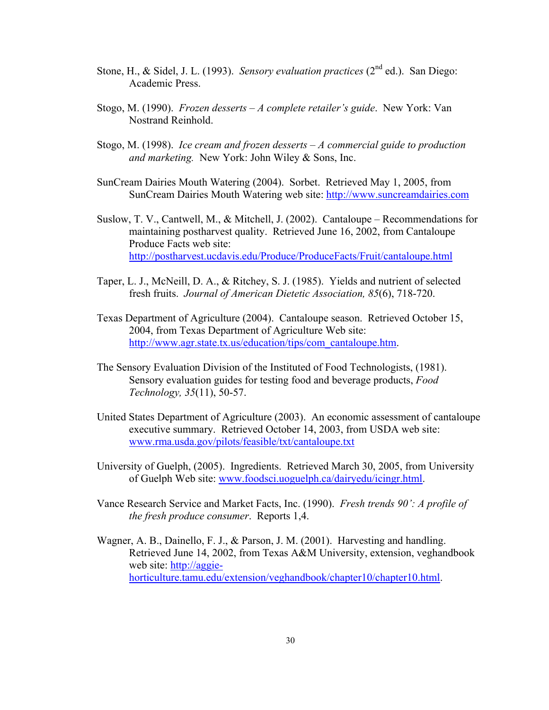- Stone, H., & Sidel, J. L. (1993). *Sensory evaluation practices* (2<sup>nd</sup> ed.). San Diego: Academic Press.
- Stogo, M. (1990). *Frozen desserts A complete retailer's guide*. New York: Van Nostrand Reinhold.
- Stogo, M. (1998). *Ice cream and frozen desserts A commercial guide to production and marketing.* New York: John Wiley & Sons, Inc.
- SunCream Dairies Mouth Watering (2004). Sorbet. Retrieved May 1, 2005, from SunCream Dairies Mouth Watering web site: http://www.suncreamdairies.com
- Suslow, T. V., Cantwell, M., & Mitchell, J. (2002). Cantaloupe Recommendations for maintaining postharvest quality. Retrieved June 16, 2002, from Cantaloupe Produce Facts web site: http://postharvest.ucdavis.edu/Produce/ProduceFacts/Fruit/cantaloupe.html
- Taper, L. J., McNeill, D. A., & Ritchey, S. J. (1985). Yields and nutrient of selected fresh fruits. *Journal of American Dietetic Association, 85*(6), 718-720.
- Texas Department of Agriculture (2004). Cantaloupe season. Retrieved October 15, 2004, from Texas Department of Agriculture Web site: http://www.agr.state.tx.us/education/tips/com\_cantaloupe.htm.
- The Sensory Evaluation Division of the Instituted of Food Technologists, (1981). Sensory evaluation guides for testing food and beverage products, *Food Technology, 35*(11), 50-57.
- United States Department of Agriculture (2003). An economic assessment of cantaloupe executive summary. Retrieved October 14, 2003, from USDA web site: www.rma.usda.gov/pilots/feasible/txt/cantaloupe.txt
- University of Guelph, (2005). Ingredients. Retrieved March 30, 2005, from University of Guelph Web site: www.foodsci.uoguelph.ca/dairyedu/icingr.html.
- Vance Research Service and Market Facts, Inc. (1990). *Fresh trends 90': A profile of the fresh produce consumer*. Reports 1,4.
- Wagner, A. B., Dainello, F. J., & Parson, J. M. (2001). Harvesting and handling. Retrieved June 14, 2002, from Texas A&M University, extension, veghandbook web site: http://aggiehorticulture.tamu.edu/extension/veghandbook/chapter10/chapter10.html.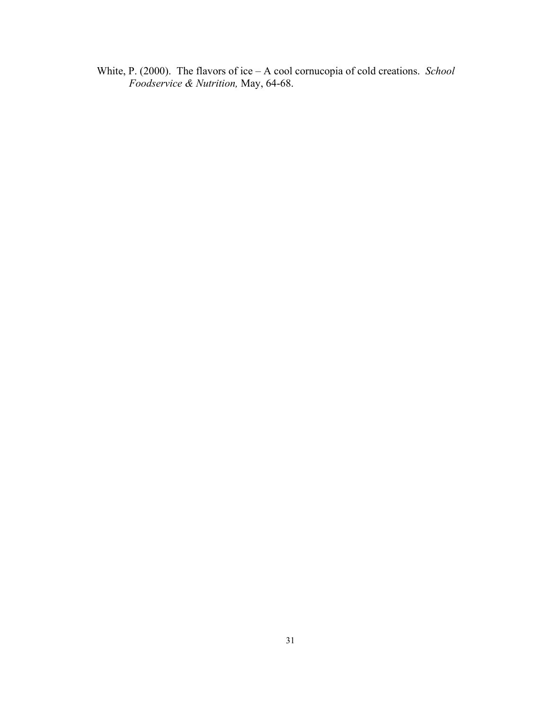White, P. (2000). The flavors of ice – A cool cornucopia of cold creations. *School Foodservice & Nutrition,* May, 64-68.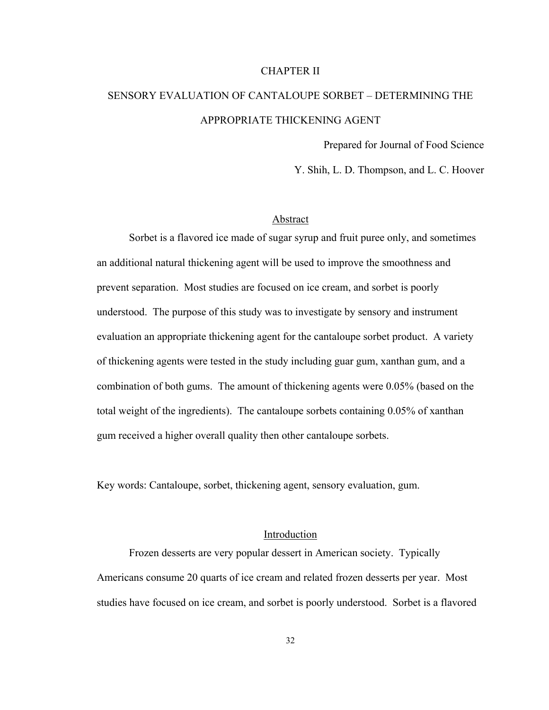#### CHAPTER II

# SENSORY EVALUATION OF CANTALOUPE SORBET – DETERMINING THE APPROPRIATE THICKENING AGENT

Prepared for Journal of Food Science

Y. Shih, L. D. Thompson, and L. C. Hoover

# Abstract

Sorbet is a flavored ice made of sugar syrup and fruit puree only, and sometimes an additional natural thickening agent will be used to improve the smoothness and prevent separation. Most studies are focused on ice cream, and sorbet is poorly understood. The purpose of this study was to investigate by sensory and instrument evaluation an appropriate thickening agent for the cantaloupe sorbet product. A variety of thickening agents were tested in the study including guar gum, xanthan gum, and a combination of both gums. The amount of thickening agents were 0.05% (based on the total weight of the ingredients). The cantaloupe sorbets containing 0.05% of xanthan gum received a higher overall quality then other cantaloupe sorbets.

Key words: Cantaloupe, sorbet, thickening agent, sensory evaluation, gum.

#### Introduction

Frozen desserts are very popular dessert in American society. Typically Americans consume 20 quarts of ice cream and related frozen desserts per year. Most studies have focused on ice cream, and sorbet is poorly understood. Sorbet is a flavored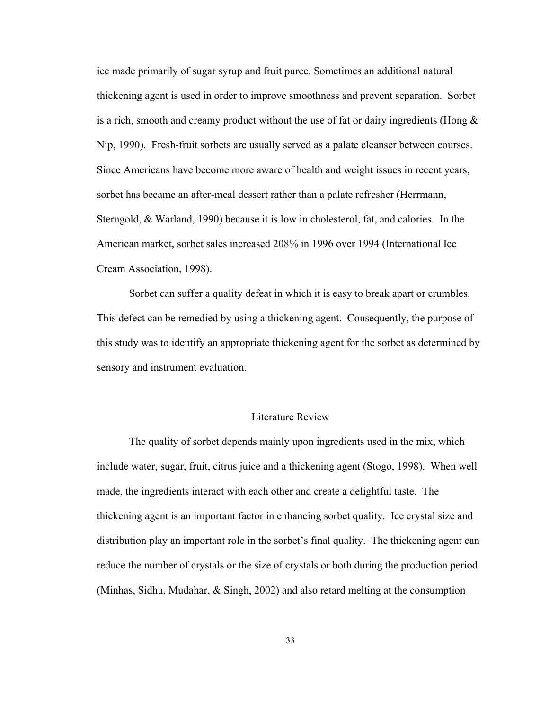ice made primarily of sugar syrup and fruit puree. Sometimes an additional natural thickening agent is used in order to improve smoothness and prevent separation. Sorbet is a rich, smooth and creamy product without the use of fat or dairy ingredients (Hong  $\&$ Nip, 1990). Fresh-fruit sorbets are usually served as a palate cleanser between courses. Since Americans have become more aware of health and weight issues in recent years, sorbet has became an after-meal dessert rather than a palate refresher (Herrmann, Sterngold, & Warland, 1990) because it is low in cholesterol, fat, and calories. In the American market, sorbet sales increased 208% in 1996 over 1994 (International Ice Cream Association, 1998).

Sorbet can suffer a quality defeat in which it is easy to break apart or crumbles. This defect can be remedied by using a thickening agent. Consequently, the purpose of this study was to identify an appropriate thickening agent for the sorbet as determined by sensory and instrument evaluation.

#### Literature Review

The quality of sorbet depends mainly upon ingredients used in the mix, which include water, sugar, fruit, citrus juice and a thickening agent (Stogo, 1998). When well made, the ingredients interact with each other and create a delightful taste. The thickening agent is an important factor in enhancing sorbet quality. Ice crystal size and distribution play an important role in the sorbet's final quality. The thickening agent can reduce the number of crystals or the size of crystals or both during the production period (Minhas, Sidhu, Mudahar, & Singh, 2002) and also retard melting at the consumption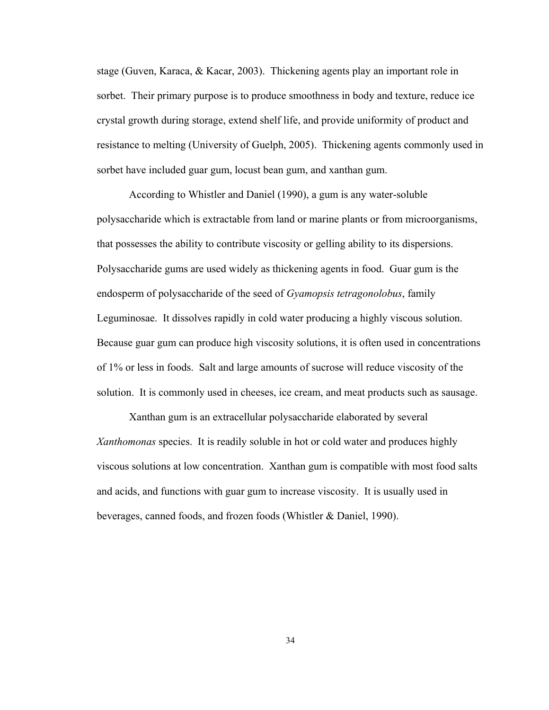stage (Guven, Karaca, & Kacar, 2003). Thickening agents play an important role in sorbet. Their primary purpose is to produce smoothness in body and texture, reduce ice crystal growth during storage, extend shelf life, and provide uniformity of product and resistance to melting (University of Guelph, 2005). Thickening agents commonly used in sorbet have included guar gum, locust bean gum, and xanthan gum.

According to Whistler and Daniel (1990), a gum is any water-soluble polysaccharide which is extractable from land or marine plants or from microorganisms, that possesses the ability to contribute viscosity or gelling ability to its dispersions. Polysaccharide gums are used widely as thickening agents in food. Guar gum is the endosperm of polysaccharide of the seed of *Gyamopsis tetragonolobus*, family Leguminosae. It dissolves rapidly in cold water producing a highly viscous solution. Because guar gum can produce high viscosity solutions, it is often used in concentrations of 1% or less in foods. Salt and large amounts of sucrose will reduce viscosity of the solution. It is commonly used in cheeses, ice cream, and meat products such as sausage.

Xanthan gum is an extracellular polysaccharide elaborated by several *Xanthomonas* species. It is readily soluble in hot or cold water and produces highly viscous solutions at low concentration. Xanthan gum is compatible with most food salts and acids, and functions with guar gum to increase viscosity. It is usually used in beverages, canned foods, and frozen foods (Whistler & Daniel, 1990).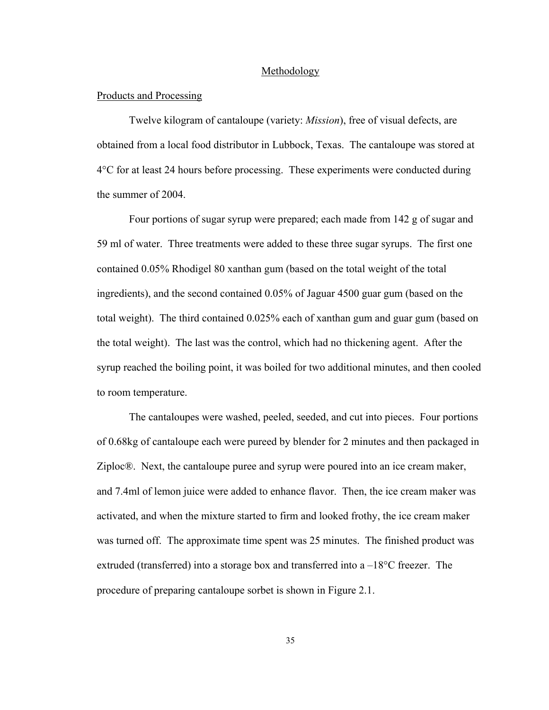#### Methodology

#### Products and Processing

Twelve kilogram of cantaloupe (variety: *Mission*), free of visual defects, are obtained from a local food distributor in Lubbock, Texas. The cantaloupe was stored at 4°C for at least 24 hours before processing. These experiments were conducted during the summer of 2004.

Four portions of sugar syrup were prepared; each made from 142 g of sugar and 59 ml of water. Three treatments were added to these three sugar syrups. The first one contained 0.05% Rhodigel 80 xanthan gum (based on the total weight of the total ingredients), and the second contained 0.05% of Jaguar 4500 guar gum (based on the total weight). The third contained 0.025% each of xanthan gum and guar gum (based on the total weight). The last was the control, which had no thickening agent. After the syrup reached the boiling point, it was boiled for two additional minutes, and then cooled to room temperature.

The cantaloupes were washed, peeled, seeded, and cut into pieces. Four portions of 0.68kg of cantaloupe each were pureed by blender for 2 minutes and then packaged in Ziploc®. Next, the cantaloupe puree and syrup were poured into an ice cream maker, and 7.4ml of lemon juice were added to enhance flavor. Then, the ice cream maker was activated, and when the mixture started to firm and looked frothy, the ice cream maker was turned off. The approximate time spent was 25 minutes. The finished product was extruded (transferred) into a storage box and transferred into a  $-18^{\circ}$ C freezer. The procedure of preparing cantaloupe sorbet is shown in Figure 2.1.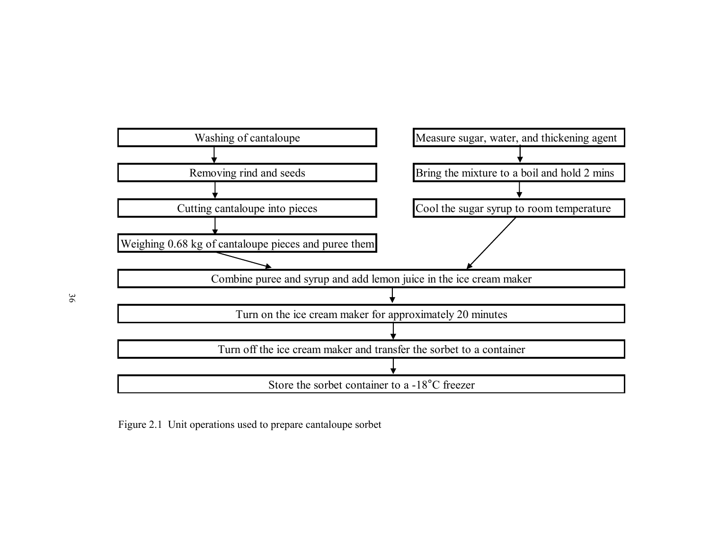

Figure 2.1 Unit operations used to prepare cantaloupe sorbet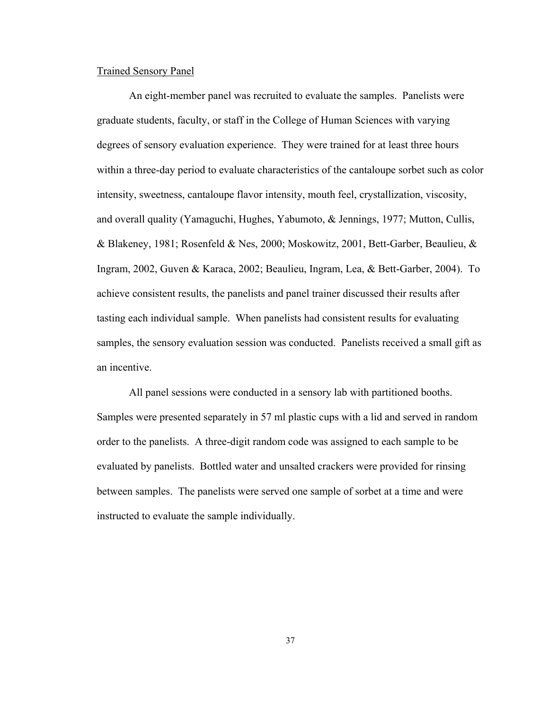## Trained Sensory Panel

An eight-member panel was recruited to evaluate the samples. Panelists were graduate students, faculty, or staff in the College of Human Sciences with varying degrees of sensory evaluation experience. They were trained for at least three hours within a three-day period to evaluate characteristics of the cantaloupe sorbet such as color intensity, sweetness, cantaloupe flavor intensity, mouth feel, crystallization, viscosity, and overall quality (Yamaguchi, Hughes, Yabumoto, & Jennings, 1977; Mutton, Cullis, & Blakeney, 1981; Rosenfeld & Nes, 2000; Moskowitz, 2001, Bett-Garber, Beaulieu, & Ingram, 2002, Guven & Karaca, 2002; Beaulieu, Ingram, Lea, & Bett-Garber, 2004). To achieve consistent results, the panelists and panel trainer discussed their results after tasting each individual sample. When panelists had consistent results for evaluating samples, the sensory evaluation session was conducted. Panelists received a small gift as an incentive.

All panel sessions were conducted in a sensory lab with partitioned booths. Samples were presented separately in 57 ml plastic cups with a lid and served in random order to the panelists. A three-digit random code was assigned to each sample to be evaluated by panelists. Bottled water and unsalted crackers were provided for rinsing between samples. The panelists were served one sample of sorbet at a time and were instructed to evaluate the sample individually.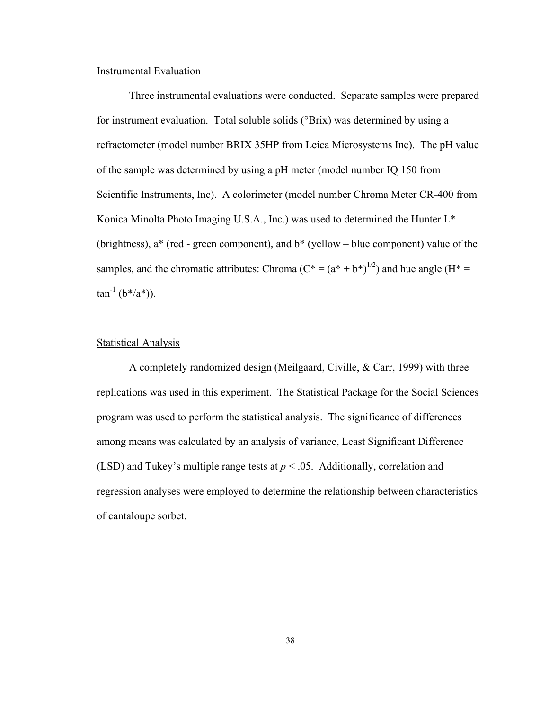## Instrumental Evaluation

Three instrumental evaluations were conducted. Separate samples were prepared for instrument evaluation. Total soluble solids (°Brix) was determined by using a refractometer (model number BRIX 35HP from Leica Microsystems Inc). The pH value of the sample was determined by using a pH meter (model number IQ 150 from Scientific Instruments, Inc). A colorimeter (model number Chroma Meter CR-400 from Konica Minolta Photo Imaging U.S.A., Inc.) was used to determined the Hunter L\* (brightness),  $a^*$  (red - green component), and  $b^*$  (yellow – blue component) value of the samples, and the chromatic attributes: Chroma  $(C^* = (a^* + b^*)^{1/2})$  and hue angle  $(H^* =$  $\tan^{-1} (b^*/a^*))$ .

# Statistical Analysis

A completely randomized design (Meilgaard, Civille, & Carr, 1999) with three replications was used in this experiment. The Statistical Package for the Social Sciences program was used to perform the statistical analysis. The significance of differences among means was calculated by an analysis of variance, Least Significant Difference (LSD) and Tukey's multiple range tests at  $p < .05$ . Additionally, correlation and regression analyses were employed to determine the relationship between characteristics of cantaloupe sorbet.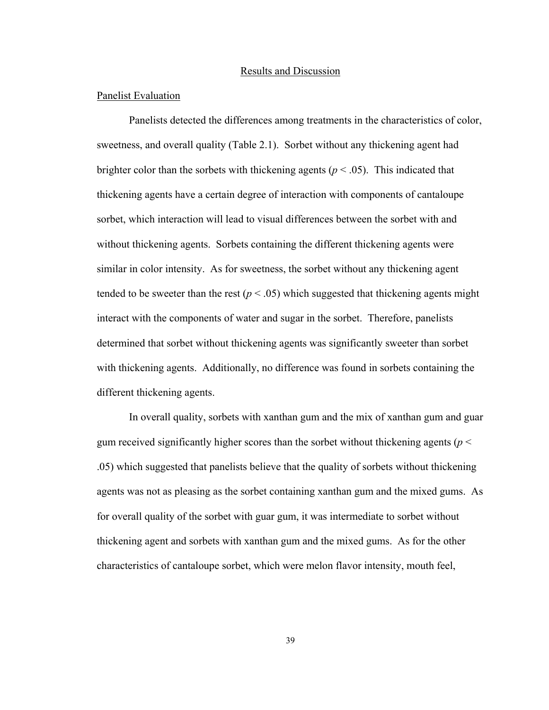#### Results and Discussion

# Panelist Evaluation

Panelists detected the differences among treatments in the characteristics of color, sweetness, and overall quality (Table 2.1). Sorbet without any thickening agent had brighter color than the sorbets with thickening agents ( $p < .05$ ). This indicated that thickening agents have a certain degree of interaction with components of cantaloupe sorbet, which interaction will lead to visual differences between the sorbet with and without thickening agents. Sorbets containing the different thickening agents were similar in color intensity. As for sweetness, the sorbet without any thickening agent tended to be sweeter than the rest ( $p < .05$ ) which suggested that thickening agents might interact with the components of water and sugar in the sorbet. Therefore, panelists determined that sorbet without thickening agents was significantly sweeter than sorbet with thickening agents. Additionally, no difference was found in sorbets containing the different thickening agents.

In overall quality, sorbets with xanthan gum and the mix of xanthan gum and guar gum received significantly higher scores than the sorbet without thickening agents ( $p <$ .05) which suggested that panelists believe that the quality of sorbets without thickening agents was not as pleasing as the sorbet containing xanthan gum and the mixed gums. As for overall quality of the sorbet with guar gum, it was intermediate to sorbet without thickening agent and sorbets with xanthan gum and the mixed gums. As for the other characteristics of cantaloupe sorbet, which were melon flavor intensity, mouth feel,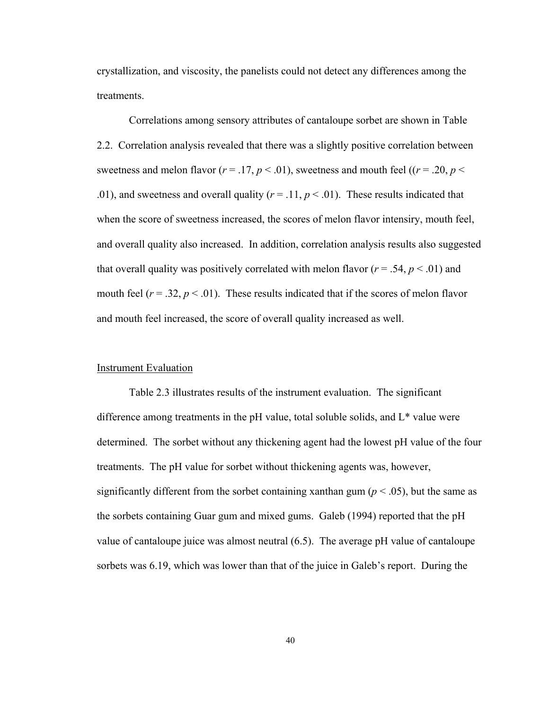crystallization, and viscosity, the panelists could not detect any differences among the treatments.

Correlations among sensory attributes of cantaloupe sorbet are shown in Table 2.2. Correlation analysis revealed that there was a slightly positive correlation between sweetness and melon flavor ( $r = .17$ ,  $p < .01$ ), sweetness and mouth feel (( $r = .20$ ,  $p <$ .01), and sweetness and overall quality ( $r = .11$ ,  $p < .01$ ). These results indicated that when the score of sweetness increased, the scores of melon flavor intensiry, mouth feel, and overall quality also increased. In addition, correlation analysis results also suggested that overall quality was positively correlated with melon flavor ( $r = .54$ ,  $p < .01$ ) and mouth feel  $(r = .32, p < .01)$ . These results indicated that if the scores of melon flavor and mouth feel increased, the score of overall quality increased as well.

# Instrument Evaluation

Table 2.3 illustrates results of the instrument evaluation. The significant difference among treatments in the pH value, total soluble solids, and  $L^*$  value were determined. The sorbet without any thickening agent had the lowest pH value of the four treatments. The pH value for sorbet without thickening agents was, however, significantly different from the sorbet containing xanthan gum ( $p < .05$ ), but the same as the sorbets containing Guar gum and mixed gums. Galeb (1994) reported that the pH value of cantaloupe juice was almost neutral (6.5). The average pH value of cantaloupe sorbets was 6.19, which was lower than that of the juice in Galeb's report. During the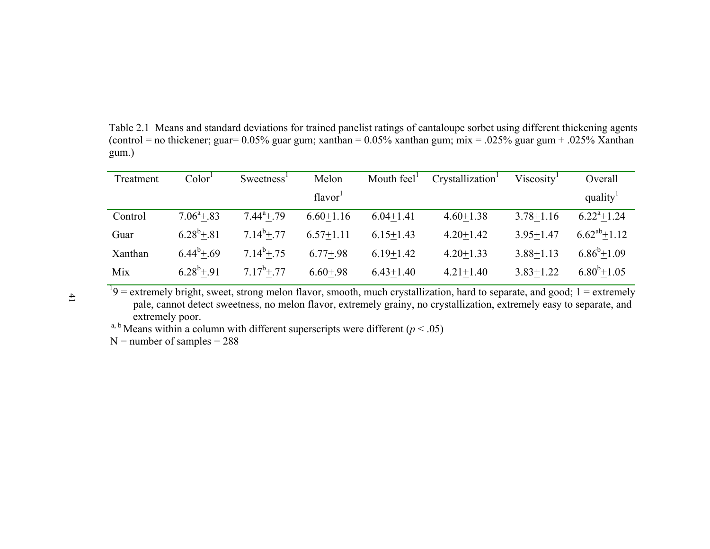Table 2.1 Means and standard deviations for trained panelist ratings of cantaloupe sorbet using different thickening agents (control = no thickener; guar=  $0.05\%$  guar gum; xanthan =  $0.05\%$  xanthan gum; mix =  $.025\%$  guar gum +  $.025\%$  Xanthan gum.)

| Treatment | Color <sup>1</sup>  | Sweetness <sup>1</sup> | Melon               | Mouth $feel1$ | Crystallization <sup>1</sup> | Viscosity <sup>1</sup> | Overall               |
|-----------|---------------------|------------------------|---------------------|---------------|------------------------------|------------------------|-----------------------|
|           |                     |                        | flavor <sup>1</sup> |               |                              |                        | quality <sup>1</sup>  |
| Control   | $7.06^{\circ}$ +.83 | $7.44^a+.79$           | $6.60 + 1.16$       | $6.04+1.41$   | $4.60 + 1.38$                | $3.78 + 1.16$          | $6.22^{a}+1.24$       |
| Guar      | $6.28^{b}+.81$      | $7.14^b+.77$           | $6.57 + 1.11$       | $6.15 + 1.43$ | $4.20 + 1.42$                | $3.95 + 1.47$          | $6.62^{ab} + 1.12$    |
| Xanthan   | $6.44^b+.69$        | $7.14^b+.75$           | $6.77 + .98$        | $6.19 + 1.42$ | $4.20 + 1.33$                | $3.88 + 1.13$          | $6.86^{b} + 1.09$     |
| Mix       | $6.28^{b}+.91$      | $7.17^b+.77$           | $6.60 + .98$        | $6.43 + 1.40$ | $4.21 + 1.40$                | $3.83 + 1.22$          | $6.80^{\rm b} + 1.05$ |

 $19$  = extremely bright, sweet, strong melon flavor, smooth, much crystallization, hard to separate, and good;  $1$  = extremely pale, cannot detect sweetness, no melon flavor, extremely grainy, no crystallization, extremely easy to separate, and extremely poor.

<sup>a, b</sup> Means within a column with different superscripts were different ( $p < .05$ )

 $N =$  number of samples  $= 288$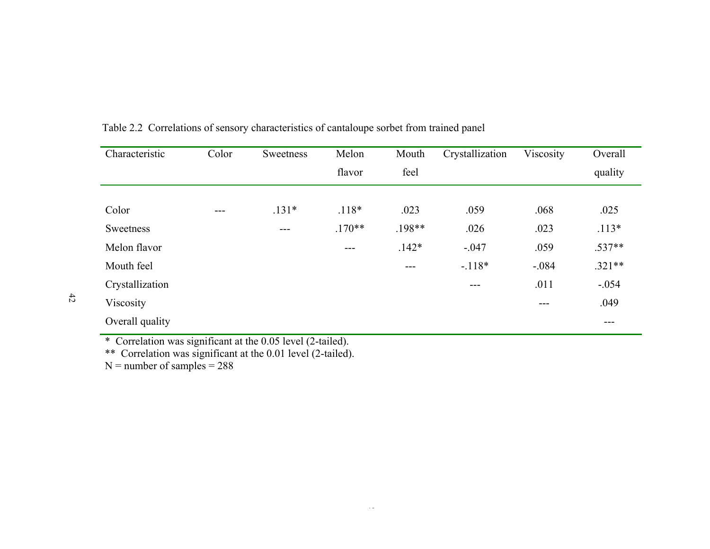| Characteristic  | Color | Sweetness | Melon    | Mouth   | Crystallization | Viscosity | Overall  |
|-----------------|-------|-----------|----------|---------|-----------------|-----------|----------|
|                 |       |           | flavor   | feel    |                 |           | quality  |
|                 |       |           |          |         |                 |           |          |
| Color           | $---$ | $.131*$   | $.118*$  | .023    | .059            | .068      | .025     |
| Sweetness       |       | $---$     | $.170**$ | .198**  | .026            | .023      | $.113*$  |
| Melon flavor    |       |           | $---$    | $.142*$ | $-.047$         | .059      | $.537**$ |
| Mouth feel      |       |           |          | $---$   | $-118*$         | $-.084$   | $.321**$ |
| Crystallization |       |           |          |         | ---             | .011      | $-.054$  |
| Viscosity       |       |           |          |         |                 | $---$     | .049     |
| Overall quality |       |           |          |         |                 |           | $---$    |

Table 2.2 Correlations of sensory characteristics of cantaloupe sorbet from trained panel

\* Correlation was significant at the 0.05 level (2-tailed).

\*\* Correlation was significant at the 0.01 level (2-tailed).

 $N =$  number of samples  $= 288$ 

 $42\,$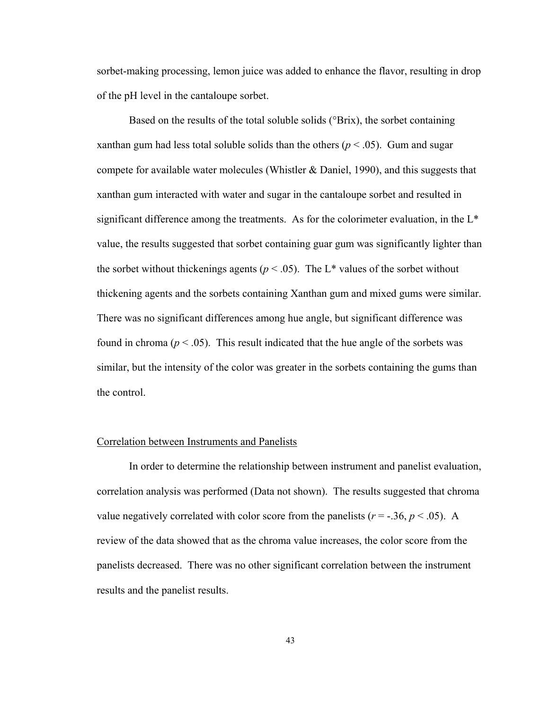sorbet-making processing, lemon juice was added to enhance the flavor, resulting in drop of the pH level in the cantaloupe sorbet.

Based on the results of the total soluble solids (°Brix), the sorbet containing xanthan gum had less total soluble solids than the others ( $p < .05$ ). Gum and sugar compete for available water molecules (Whistler & Daniel, 1990), and this suggests that xanthan gum interacted with water and sugar in the cantaloupe sorbet and resulted in significant difference among the treatments. As for the colorimeter evaluation, in the L\* value, the results suggested that sorbet containing guar gum was significantly lighter than the sorbet without thickenings agents ( $p < .05$ ). The L<sup>\*</sup> values of the sorbet without thickening agents and the sorbets containing Xanthan gum and mixed gums were similar. There was no significant differences among hue angle, but significant difference was found in chroma ( $p < .05$ ). This result indicated that the hue angle of the sorbets was similar, but the intensity of the color was greater in the sorbets containing the gums than the control.

# Correlation between Instruments and Panelists

In order to determine the relationship between instrument and panelist evaluation, correlation analysis was performed (Data not shown). The results suggested that chroma value negatively correlated with color score from the panelists ( $r = -0.36$ ,  $p < 0.05$ ). A review of the data showed that as the chroma value increases, the color score from the panelists decreased. There was no other significant correlation between the instrument results and the panelist results.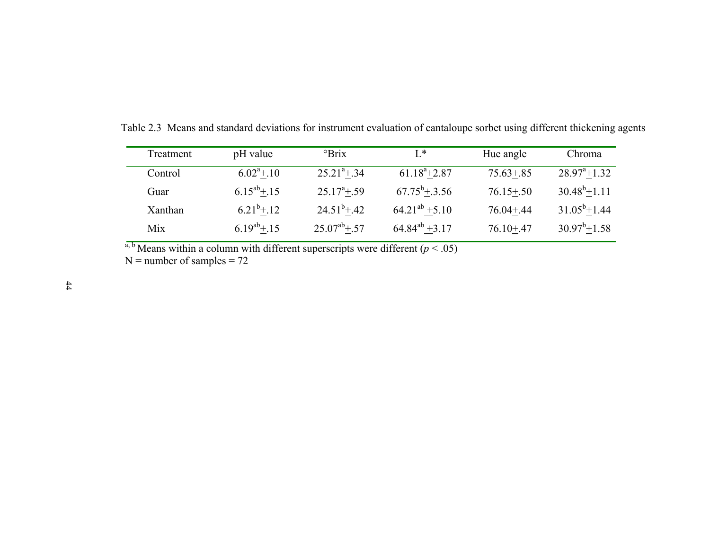| Treatment | pH value                 | $\mathrm{Prix}$        | $\mathbb{L}^*$          | Hue angle     | Chroma           |
|-----------|--------------------------|------------------------|-------------------------|---------------|------------------|
| Control   | $6.02^{\mathrm{a}} + 10$ | $25.21^{\degree}$ +.34 | $61.18^{a} + 2.87$      | $75.63 + .85$ | $28.97^{a}+1.32$ |
| Guar      | $6.15^{ab} + .15$        | $25.17^{\circ}+0.59$   | $67.75^{\rm b} + .3.56$ | $76.15 + .50$ | $30.48^b + 1.11$ |
| Xanthan   | $6.21^{b}$ +.12          | $24.51^{b}+.42$        | $64.21^{ab} + 5.10$     | $76.04 + .44$ | $31.05^b + 1.44$ |
| Mix       | $6.19^{ab}+.15$          | $25.07^{ab}+.57$       | $64.84^{ab} + 3.17$     | $76.10 + 47$  | $30.97^b + 1.58$ |

Table 2.3 Means and standard deviations for instrument evaluation of cantaloupe sorbet using different thickening agents

a, b Means within a column with different superscripts were different  $(p < .05)$ 

 $N =$  number of samples = 72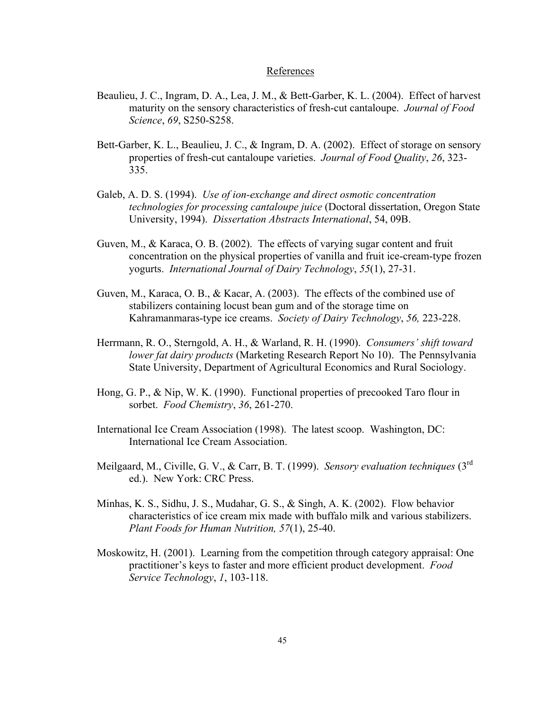#### References

- Beaulieu, J. C., Ingram, D. A., Lea, J. M., & Bett-Garber, K. L. (2004). Effect of harvest maturity on the sensory characteristics of fresh-cut cantaloupe. *Journal of Food Science*, *69*, S250-S258.
- Bett-Garber, K. L., Beaulieu, J. C., & Ingram, D. A. (2002). Effect of storage on sensory properties of fresh-cut cantaloupe varieties. *Journal of Food Quality*, *26*, 323- 335.
- Galeb, A. D. S. (1994). *Use of ion-exchange and direct osmotic concentration technologies for processing cantaloupe juice* (Doctoral dissertation, Oregon State University, 1994). *Dissertation Abstracts International*, 54, 09B.
- Guven, M., & Karaca, O. B. (2002). The effects of varying sugar content and fruit concentration on the physical properties of vanilla and fruit ice-cream-type frozen yogurts. *International Journal of Dairy Technology*, *55*(1), 27-31.
- Guven, M., Karaca, O. B., & Kacar, A. (2003). The effects of the combined use of stabilizers containing locust bean gum and of the storage time on Kahramanmaras-type ice creams. *Society of Dairy Technology*, *56,* 223-228.
- Herrmann, R. O., Sterngold, A. H., & Warland, R. H. (1990). *Consumers' shift toward lower fat dairy products* (Marketing Research Report No 10). The Pennsylvania State University, Department of Agricultural Economics and Rural Sociology.
- Hong, G. P., & Nip, W. K. (1990). Functional properties of precooked Taro flour in sorbet. *Food Chemistry*, *36*, 261-270.
- International Ice Cream Association (1998). The latest scoop. Washington, DC: International Ice Cream Association.
- Meilgaard, M., Civille, G. V., & Carr, B. T. (1999). *Sensory evaluation techniques* (3rd ed.). New York: CRC Press.
- Minhas, K. S., Sidhu, J. S., Mudahar, G. S., & Singh, A. K. (2002). Flow behavior characteristics of ice cream mix made with buffalo milk and various stabilizers. *Plant Foods for Human Nutrition, 57*(1), 25-40.
- Moskowitz, H. (2001). Learning from the competition through category appraisal: One practitioner's keys to faster and more efficient product development. *Food Service Technology*, *1*, 103-118.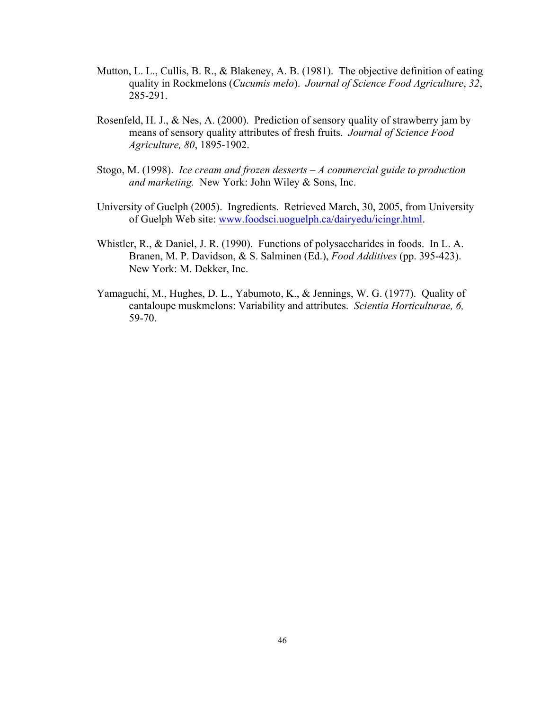- Mutton, L. L., Cullis, B. R., & Blakeney, A. B. (1981). The objective definition of eating quality in Rockmelons (*Cucumis melo*). *Journal of Science Food Agriculture*, *32*, 285-291.
- Rosenfeld, H. J., & Nes, A. (2000). Prediction of sensory quality of strawberry jam by means of sensory quality attributes of fresh fruits. *Journal of Science Food Agriculture, 80*, 1895-1902.
- Stogo, M. (1998). *Ice cream and frozen desserts A commercial guide to production and marketing.* New York: John Wiley & Sons, Inc.
- University of Guelph (2005). Ingredients. Retrieved March, 30, 2005, from University of Guelph Web site: www.foodsci.uoguelph.ca/dairyedu/icingr.html.
- Whistler, R., & Daniel, J. R. (1990). Functions of polysaccharides in foods. In L. A. Branen, M. P. Davidson, & S. Salminen (Ed.), *Food Additives* (pp. 395-423). New York: M. Dekker, Inc.
- Yamaguchi, M., Hughes, D. L., Yabumoto, K., & Jennings, W. G. (1977). Quality of cantaloupe muskmelons: Variability and attributes. *Scientia Horticulturae, 6,* 59-70.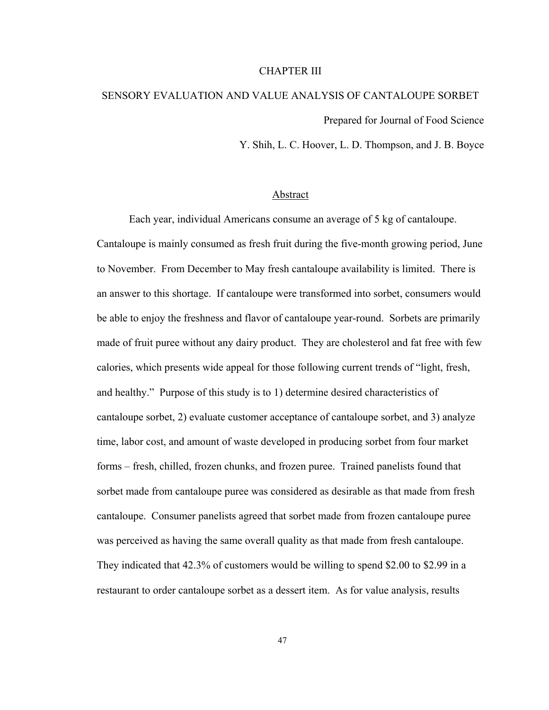#### CHAPTER III

# SENSORY EVALUATION AND VALUE ANALYSIS OF CANTALOUPE SORBET

Prepared for Journal of Food Science

Y. Shih, L. C. Hoover, L. D. Thompson, and J. B. Boyce

#### Abstract

Each year, individual Americans consume an average of 5 kg of cantaloupe. Cantaloupe is mainly consumed as fresh fruit during the five-month growing period, June to November. From December to May fresh cantaloupe availability is limited. There is an answer to this shortage. If cantaloupe were transformed into sorbet, consumers would be able to enjoy the freshness and flavor of cantaloupe year-round. Sorbets are primarily made of fruit puree without any dairy product. They are cholesterol and fat free with few calories, which presents wide appeal for those following current trends of "light, fresh, and healthy." Purpose of this study is to 1) determine desired characteristics of cantaloupe sorbet, 2) evaluate customer acceptance of cantaloupe sorbet, and 3) analyze time, labor cost, and amount of waste developed in producing sorbet from four market forms – fresh, chilled, frozen chunks, and frozen puree. Trained panelists found that sorbet made from cantaloupe puree was considered as desirable as that made from fresh cantaloupe. Consumer panelists agreed that sorbet made from frozen cantaloupe puree was perceived as having the same overall quality as that made from fresh cantaloupe. They indicated that 42.3% of customers would be willing to spend \$2.00 to \$2.99 in a restaurant to order cantaloupe sorbet as a dessert item. As for value analysis, results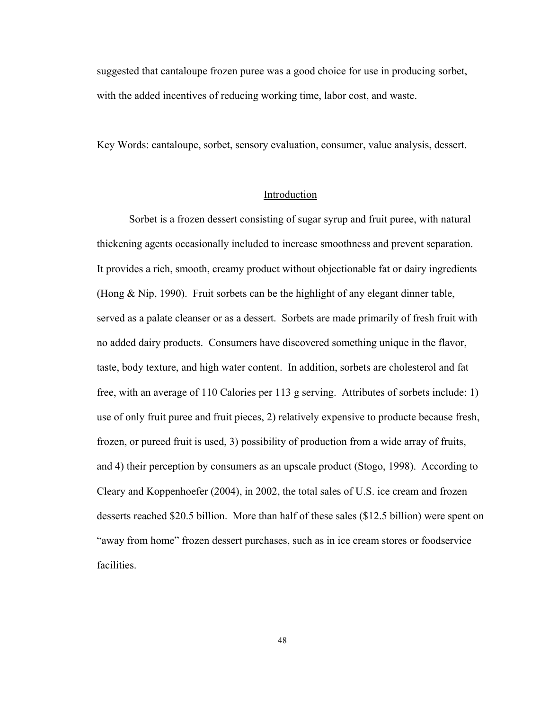suggested that cantaloupe frozen puree was a good choice for use in producing sorbet, with the added incentives of reducing working time, labor cost, and waste.

Key Words: cantaloupe, sorbet, sensory evaluation, consumer, value analysis, dessert.

## Introduction

Sorbet is a frozen dessert consisting of sugar syrup and fruit puree, with natural thickening agents occasionally included to increase smoothness and prevent separation. It provides a rich, smooth, creamy product without objectionable fat or dairy ingredients (Hong  $\&$  Nip, 1990). Fruit sorbets can be the highlight of any elegant dinner table, served as a palate cleanser or as a dessert. Sorbets are made primarily of fresh fruit with no added dairy products. Consumers have discovered something unique in the flavor, taste, body texture, and high water content. In addition, sorbets are cholesterol and fat free, with an average of 110 Calories per 113 g serving. Attributes of sorbets include: 1) use of only fruit puree and fruit pieces, 2) relatively expensive to producte because fresh, frozen, or pureed fruit is used, 3) possibility of production from a wide array of fruits, and 4) their perception by consumers as an upscale product (Stogo, 1998). According to Cleary and Koppenhoefer (2004), in 2002, the total sales of U.S. ice cream and frozen desserts reached \$20.5 billion. More than half of these sales (\$12.5 billion) were spent on "away from home" frozen dessert purchases, such as in ice cream stores or foodservice facilities.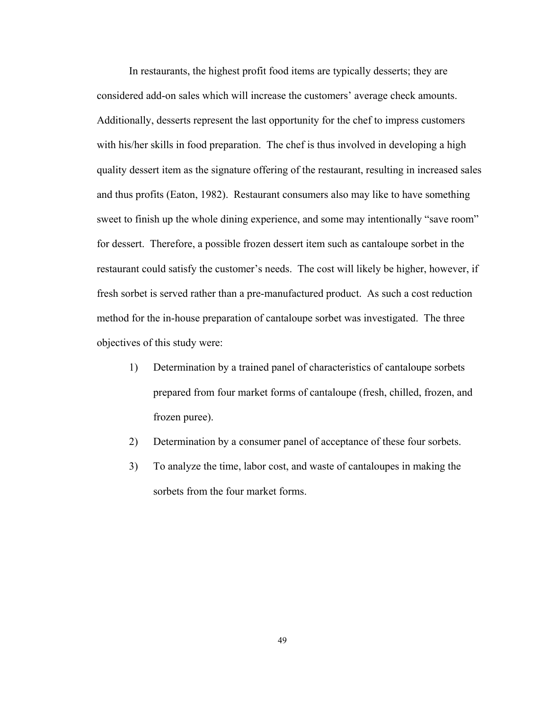In restaurants, the highest profit food items are typically desserts; they are considered add-on sales which will increase the customers' average check amounts. Additionally, desserts represent the last opportunity for the chef to impress customers with his/her skills in food preparation. The chef is thus involved in developing a high quality dessert item as the signature offering of the restaurant, resulting in increased sales and thus profits (Eaton, 1982). Restaurant consumers also may like to have something sweet to finish up the whole dining experience, and some may intentionally "save room" for dessert. Therefore, a possible frozen dessert item such as cantaloupe sorbet in the restaurant could satisfy the customer's needs. The cost will likely be higher, however, if fresh sorbet is served rather than a pre-manufactured product. As such a cost reduction method for the in-house preparation of cantaloupe sorbet was investigated. The three objectives of this study were:

- 1) Determination by a trained panel of characteristics of cantaloupe sorbets prepared from four market forms of cantaloupe (fresh, chilled, frozen, and frozen puree).
- 2) Determination by a consumer panel of acceptance of these four sorbets.
- 3) To analyze the time, labor cost, and waste of cantaloupes in making the sorbets from the four market forms.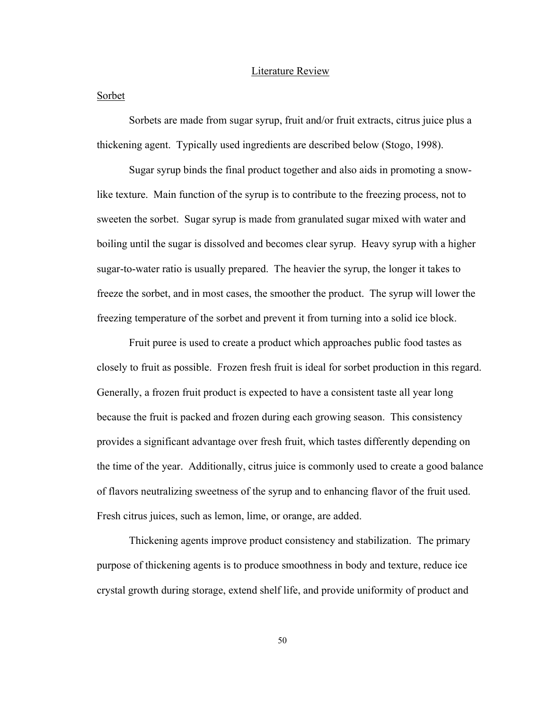#### Literature Review

## Sorbet

Sorbets are made from sugar syrup, fruit and/or fruit extracts, citrus juice plus a thickening agent. Typically used ingredients are described below (Stogo, 1998).

Sugar syrup binds the final product together and also aids in promoting a snowlike texture. Main function of the syrup is to contribute to the freezing process, not to sweeten the sorbet. Sugar syrup is made from granulated sugar mixed with water and boiling until the sugar is dissolved and becomes clear syrup. Heavy syrup with a higher sugar-to-water ratio is usually prepared. The heavier the syrup, the longer it takes to freeze the sorbet, and in most cases, the smoother the product. The syrup will lower the freezing temperature of the sorbet and prevent it from turning into a solid ice block.

Fruit puree is used to create a product which approaches public food tastes as closely to fruit as possible. Frozen fresh fruit is ideal for sorbet production in this regard. Generally, a frozen fruit product is expected to have a consistent taste all year long because the fruit is packed and frozen during each growing season. This consistency provides a significant advantage over fresh fruit, which tastes differently depending on the time of the year. Additionally, citrus juice is commonly used to create a good balance of flavors neutralizing sweetness of the syrup and to enhancing flavor of the fruit used. Fresh citrus juices, such as lemon, lime, or orange, are added.

Thickening agents improve product consistency and stabilization. The primary purpose of thickening agents is to produce smoothness in body and texture, reduce ice crystal growth during storage, extend shelf life, and provide uniformity of product and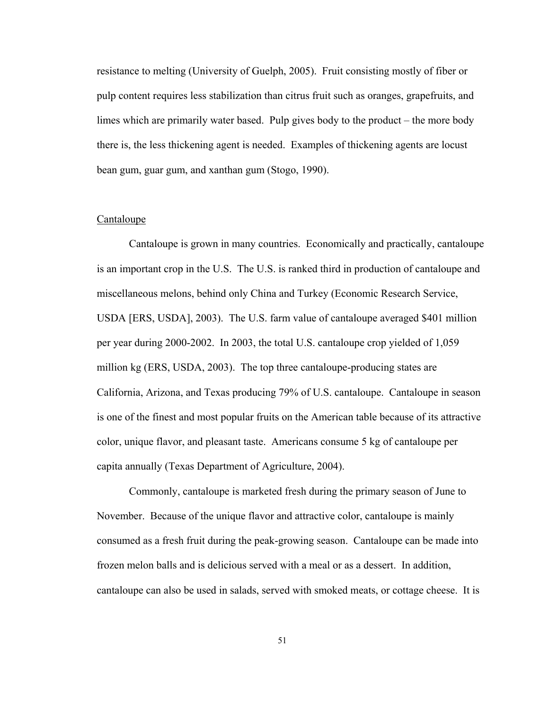resistance to melting (University of Guelph, 2005). Fruit consisting mostly of fiber or pulp content requires less stabilization than citrus fruit such as oranges, grapefruits, and limes which are primarily water based. Pulp gives body to the product – the more body there is, the less thickening agent is needed. Examples of thickening agents are locust bean gum, guar gum, and xanthan gum (Stogo, 1990).

#### Cantaloupe

Cantaloupe is grown in many countries. Economically and practically, cantaloupe is an important crop in the U.S. The U.S. is ranked third in production of cantaloupe and miscellaneous melons, behind only China and Turkey (Economic Research Service, USDA [ERS, USDA], 2003). The U.S. farm value of cantaloupe averaged \$401 million per year during 2000-2002. In 2003, the total U.S. cantaloupe crop yielded of 1,059 million kg (ERS, USDA, 2003). The top three cantaloupe-producing states are California, Arizona, and Texas producing 79% of U.S. cantaloupe. Cantaloupe in season is one of the finest and most popular fruits on the American table because of its attractive color, unique flavor, and pleasant taste. Americans consume 5 kg of cantaloupe per capita annually (Texas Department of Agriculture, 2004).

Commonly, cantaloupe is marketed fresh during the primary season of June to November. Because of the unique flavor and attractive color, cantaloupe is mainly consumed as a fresh fruit during the peak-growing season. Cantaloupe can be made into frozen melon balls and is delicious served with a meal or as a dessert. In addition, cantaloupe can also be used in salads, served with smoked meats, or cottage cheese. It is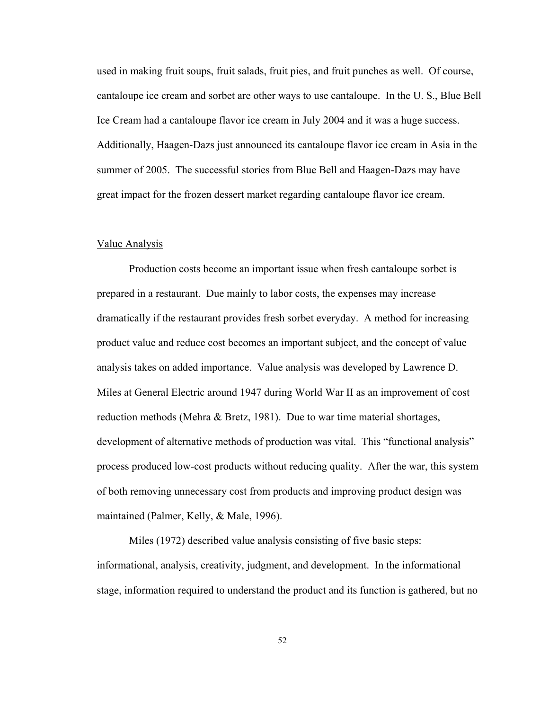used in making fruit soups, fruit salads, fruit pies, and fruit punches as well. Of course, cantaloupe ice cream and sorbet are other ways to use cantaloupe. In the U. S., Blue Bell Ice Cream had a cantaloupe flavor ice cream in July 2004 and it was a huge success. Additionally, Haagen-Dazs just announced its cantaloupe flavor ice cream in Asia in the summer of 2005. The successful stories from Blue Bell and Haagen-Dazs may have great impact for the frozen dessert market regarding cantaloupe flavor ice cream.

#### Value Analysis

Production costs become an important issue when fresh cantaloupe sorbet is prepared in a restaurant. Due mainly to labor costs, the expenses may increase dramatically if the restaurant provides fresh sorbet everyday. A method for increasing product value and reduce cost becomes an important subject, and the concept of value analysis takes on added importance. Value analysis was developed by Lawrence D. Miles at General Electric around 1947 during World War II as an improvement of cost reduction methods (Mehra & Bretz, 1981). Due to war time material shortages, development of alternative methods of production was vital. This "functional analysis" process produced low-cost products without reducing quality. After the war, this system of both removing unnecessary cost from products and improving product design was maintained (Palmer, Kelly, & Male, 1996).

Miles (1972) described value analysis consisting of five basic steps: informational, analysis, creativity, judgment, and development. In the informational stage, information required to understand the product and its function is gathered, but no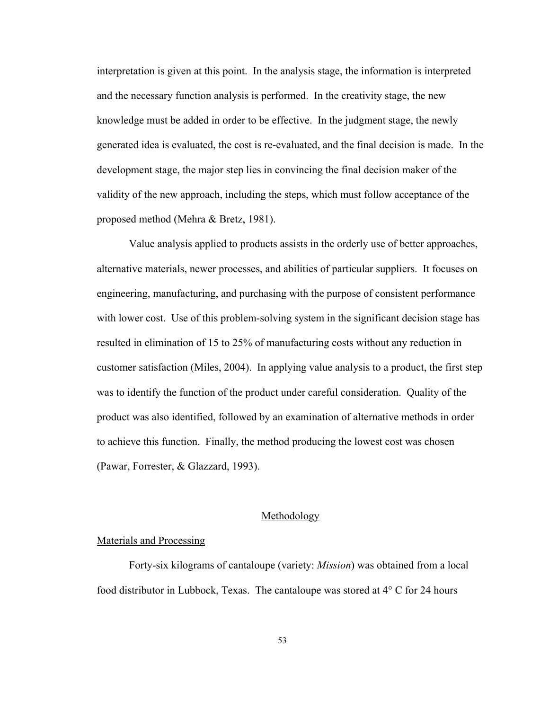interpretation is given at this point. In the analysis stage, the information is interpreted and the necessary function analysis is performed. In the creativity stage, the new knowledge must be added in order to be effective. In the judgment stage, the newly generated idea is evaluated, the cost is re-evaluated, and the final decision is made. In the development stage, the major step lies in convincing the final decision maker of the validity of the new approach, including the steps, which must follow acceptance of the proposed method (Mehra & Bretz, 1981).

Value analysis applied to products assists in the orderly use of better approaches, alternative materials, newer processes, and abilities of particular suppliers. It focuses on engineering, manufacturing, and purchasing with the purpose of consistent performance with lower cost. Use of this problem-solving system in the significant decision stage has resulted in elimination of 15 to 25% of manufacturing costs without any reduction in customer satisfaction (Miles, 2004). In applying value analysis to a product, the first step was to identify the function of the product under careful consideration. Quality of the product was also identified, followed by an examination of alternative methods in order to achieve this function. Finally, the method producing the lowest cost was chosen (Pawar, Forrester, & Glazzard, 1993).

#### Methodology

# Materials and Processing

Forty-six kilograms of cantaloupe (variety: *Mission*) was obtained from a local food distributor in Lubbock, Texas. The cantaloupe was stored at 4° C for 24 hours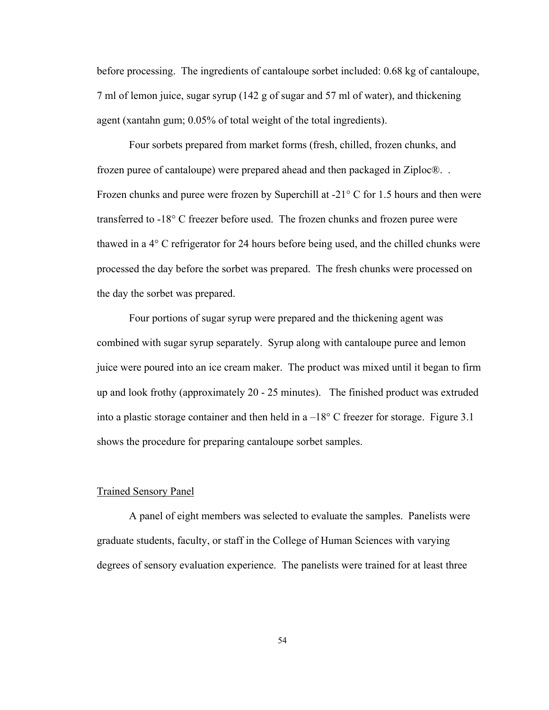before processing. The ingredients of cantaloupe sorbet included: 0.68 kg of cantaloupe, 7 ml of lemon juice, sugar syrup (142 g of sugar and 57 ml of water), and thickening agent (xantahn gum; 0.05% of total weight of the total ingredients).

Four sorbets prepared from market forms (fresh, chilled, frozen chunks, and frozen puree of cantaloupe) were prepared ahead and then packaged in Ziploc®. . Frozen chunks and puree were frozen by Superchill at -21° C for 1.5 hours and then were transferred to -18° C freezer before used. The frozen chunks and frozen puree were thawed in a 4° C refrigerator for 24 hours before being used, and the chilled chunks were processed the day before the sorbet was prepared. The fresh chunks were processed on the day the sorbet was prepared.

Four portions of sugar syrup were prepared and the thickening agent was combined with sugar syrup separately. Syrup along with cantaloupe puree and lemon juice were poured into an ice cream maker. The product was mixed until it began to firm up and look frothy (approximately 20 - 25 minutes). The finished product was extruded into a plastic storage container and then held in  $a-18^{\circ}$  C freezer for storage. Figure 3.1 shows the procedure for preparing cantaloupe sorbet samples.

#### Trained Sensory Panel

A panel of eight members was selected to evaluate the samples. Panelists were graduate students, faculty, or staff in the College of Human Sciences with varying degrees of sensory evaluation experience. The panelists were trained for at least three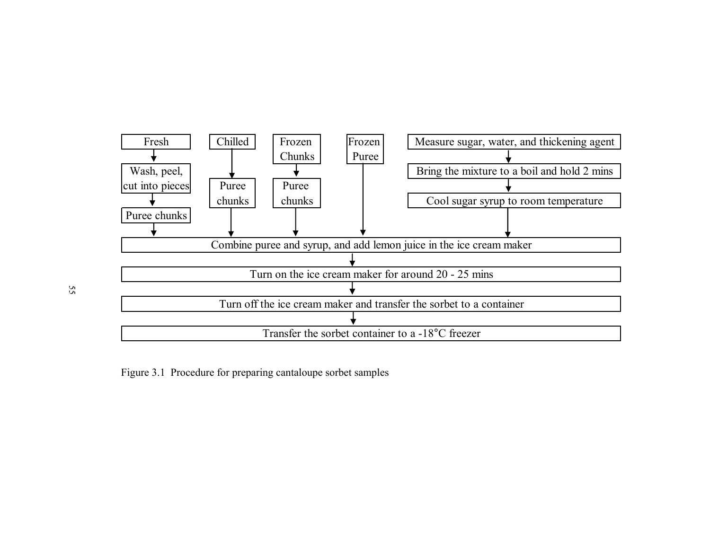

Figure 3.1 Procedure for preparing cantaloupe sorbet samples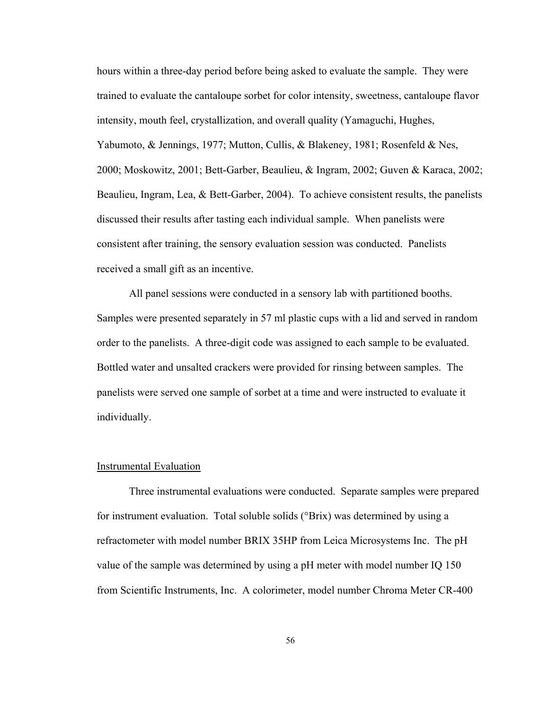hours within a three-day period before being asked to evaluate the sample. They were trained to evaluate the cantaloupe sorbet for color intensity, sweetness, cantaloupe flavor intensity, mouth feel, crystallization, and overall quality (Yamaguchi, Hughes, Yabumoto, & Jennings, 1977; Mutton, Cullis, & Blakeney, 1981; Rosenfeld & Nes, 2000; Moskowitz, 2001; Bett-Garber, Beaulieu, & Ingram, 2002; Guven & Karaca, 2002; Beaulieu, Ingram, Lea, & Bett-Garber, 2004). To achieve consistent results, the panelists discussed their results after tasting each individual sample. When panelists were consistent after training, the sensory evaluation session was conducted. Panelists received a small gift as an incentive.

All panel sessions were conducted in a sensory lab with partitioned booths. Samples were presented separately in 57 ml plastic cups with a lid and served in random order to the panelists. A three-digit code was assigned to each sample to be evaluated. Bottled water and unsalted crackers were provided for rinsing between samples. The panelists were served one sample of sorbet at a time and were instructed to evaluate it individually.

#### Instrumental Evaluation

Three instrumental evaluations were conducted. Separate samples were prepared for instrument evaluation. Total soluble solids (°Brix) was determined by using a refractometer with model number BRIX 35HP from Leica Microsystems Inc. The pH value of the sample was determined by using a pH meter with model number IQ 150 from Scientific Instruments, Inc. A colorimeter, model number Chroma Meter CR-400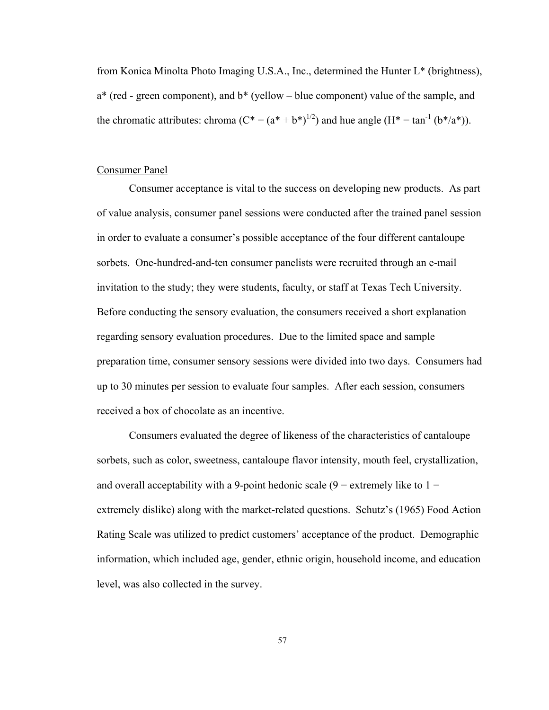from Konica Minolta Photo Imaging U.S.A., Inc., determined the Hunter L\* (brightness),  $a^*$  (red - green component), and  $b^*$  (yellow – blue component) value of the sample, and the chromatic attributes: chroma  $(C^* = (a^* + b^*)^{1/2})$  and hue angle  $(H^* = \tan^{-1} (b^*/a^*))$ .

## Consumer Panel

Consumer acceptance is vital to the success on developing new products. As part of value analysis, consumer panel sessions were conducted after the trained panel session in order to evaluate a consumer's possible acceptance of the four different cantaloupe sorbets. One-hundred-and-ten consumer panelists were recruited through an e-mail invitation to the study; they were students, faculty, or staff at Texas Tech University. Before conducting the sensory evaluation, the consumers received a short explanation regarding sensory evaluation procedures. Due to the limited space and sample preparation time, consumer sensory sessions were divided into two days. Consumers had up to 30 minutes per session to evaluate four samples. After each session, consumers received a box of chocolate as an incentive.

Consumers evaluated the degree of likeness of the characteristics of cantaloupe sorbets, such as color, sweetness, cantaloupe flavor intensity, mouth feel, crystallization, and overall acceptability with a 9-point hedonic scale ( $9$  = extremely like to  $1$  = extremely dislike) along with the market-related questions. Schutz's (1965) Food Action Rating Scale was utilized to predict customers' acceptance of the product. Demographic information, which included age, gender, ethnic origin, household income, and education level, was also collected in the survey.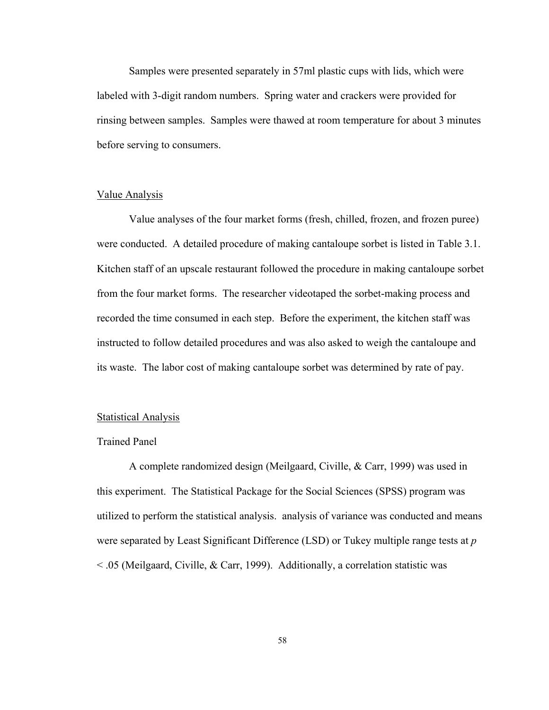Samples were presented separately in 57ml plastic cups with lids, which were labeled with 3-digit random numbers. Spring water and crackers were provided for rinsing between samples. Samples were thawed at room temperature for about 3 minutes before serving to consumers.

# Value Analysis

Value analyses of the four market forms (fresh, chilled, frozen, and frozen puree) were conducted. A detailed procedure of making cantaloupe sorbet is listed in Table 3.1. Kitchen staff of an upscale restaurant followed the procedure in making cantaloupe sorbet from the four market forms. The researcher videotaped the sorbet-making process and recorded the time consumed in each step. Before the experiment, the kitchen staff was instructed to follow detailed procedures and was also asked to weigh the cantaloupe and its waste. The labor cost of making cantaloupe sorbet was determined by rate of pay.

#### Statistical Analysis

# Trained Panel

A complete randomized design (Meilgaard, Civille, & Carr, 1999) was used in this experiment. The Statistical Package for the Social Sciences (SPSS) program was utilized to perform the statistical analysis. analysis of variance was conducted and means were separated by Least Significant Difference (LSD) or Tukey multiple range tests at *p* < .05 (Meilgaard, Civille, & Carr, 1999). Additionally, a correlation statistic was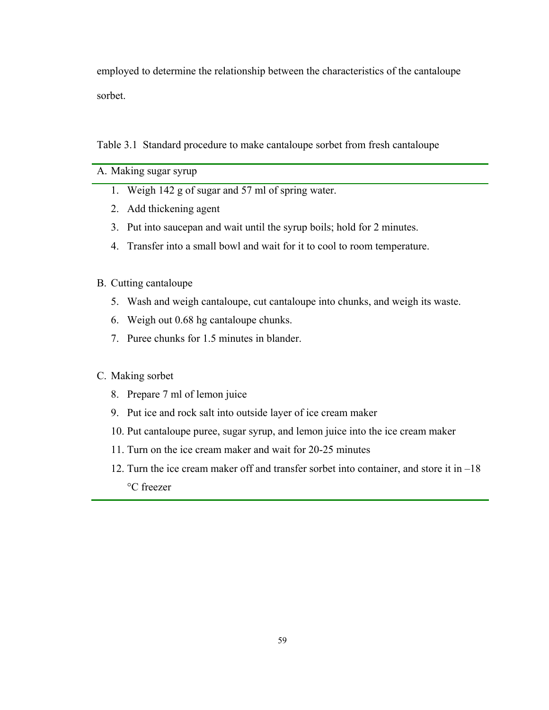employed to determine the relationship between the characteristics of the cantaloupe sorbet.

Table 3.1 Standard procedure to make cantaloupe sorbet from fresh cantaloupe

# A. Making sugar syrup

- 1. Weigh 142 g of sugar and 57 ml of spring water.
- 2. Add thickening agent
- 3. Put into saucepan and wait until the syrup boils; hold for 2 minutes.
- 4. Transfer into a small bowl and wait for it to cool to room temperature.

# B. Cutting cantaloupe

- 5. Wash and weigh cantaloupe, cut cantaloupe into chunks, and weigh its waste.
- 6. Weigh out 0.68 hg cantaloupe chunks.
- 7. Puree chunks for 1.5 minutes in blander.

# C. Making sorbet

- 8. Prepare 7 ml of lemon juice
- 9. Put ice and rock salt into outside layer of ice cream maker
- 10. Put cantaloupe puree, sugar syrup, and lemon juice into the ice cream maker
- 11. Turn on the ice cream maker and wait for 20-25 minutes
- 12. Turn the ice cream maker off and transfer sorbet into container, and store it in –18 °C freezer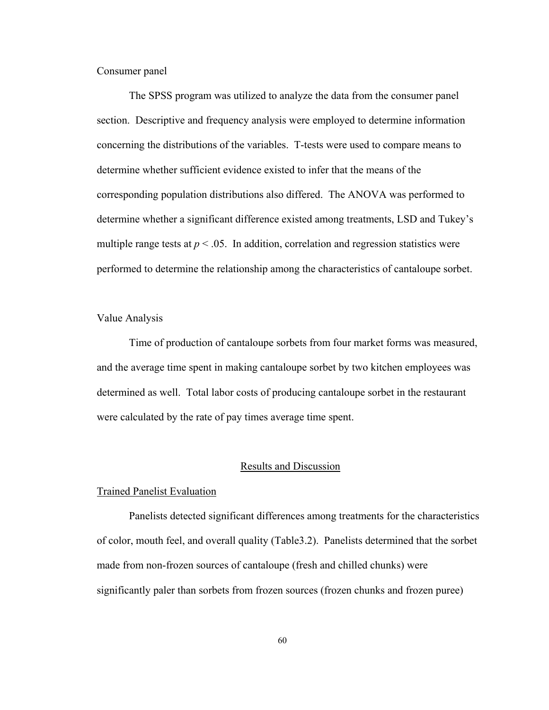Consumer panel

The SPSS program was utilized to analyze the data from the consumer panel section. Descriptive and frequency analysis were employed to determine information concerning the distributions of the variables. T-tests were used to compare means to determine whether sufficient evidence existed to infer that the means of the corresponding population distributions also differed. The ANOVA was performed to determine whether a significant difference existed among treatments, LSD and Tukey's multiple range tests at  $p < .05$ . In addition, correlation and regression statistics were performed to determine the relationship among the characteristics of cantaloupe sorbet.

# Value Analysis

Time of production of cantaloupe sorbets from four market forms was measured, and the average time spent in making cantaloupe sorbet by two kitchen employees was determined as well. Total labor costs of producing cantaloupe sorbet in the restaurant were calculated by the rate of pay times average time spent.

# Results and Discussion

#### Trained Panelist Evaluation

Panelists detected significant differences among treatments for the characteristics of color, mouth feel, and overall quality (Table3.2). Panelists determined that the sorbet made from non-frozen sources of cantaloupe (fresh and chilled chunks) were significantly paler than sorbets from frozen sources (frozen chunks and frozen puree)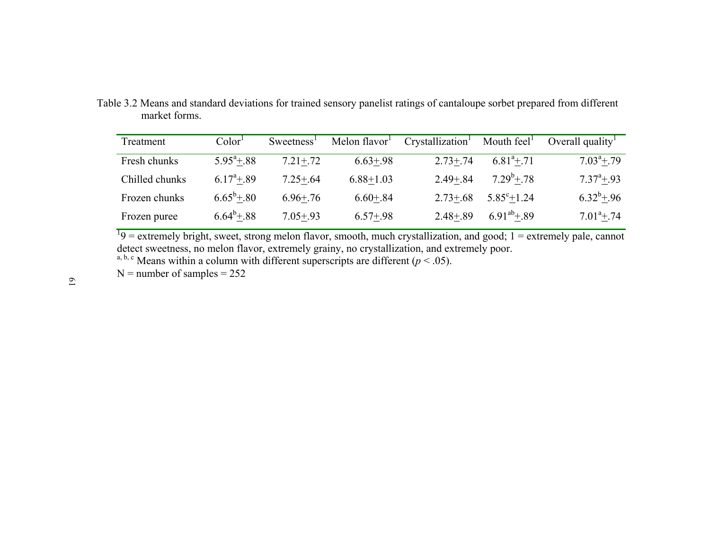| Treatment      | Color <sup>1</sup>  | Sweetness <sup>1</sup> | Melon flavor <sup>1</sup> | Crystallization <sup>1</sup> | Mouth $feelT$       | Overall quality <sup>1</sup> |
|----------------|---------------------|------------------------|---------------------------|------------------------------|---------------------|------------------------------|
| Fresh chunks   | $5.95^{\circ}$ +.88 | $7.21 + .72$           | $6.63 + .98$              | $2.73 + .74$                 | $6.81^{a}+.71$      | $7.03^{\text{a}} + .79$      |
| Chilled chunks | $6.17^{\circ}$ +.89 | $7.25 + .64$           | $6.88 + 1.03$             | $2.49 + .84$                 | $7.29^b$ + .78      | $7.37^{\circ}+0.93$          |
| Frozen chunks  | $6.65^{\rm b}+.80$  | $6.96 + .76$           | $6.60 + .84$              | $2.73 + .68$                 | $5.85^{\circ}+1.24$ | $6.32^{b}+.96$               |
| Frozen puree   | $6.64^b+.88$        | $7.05 + .93$           | $6.57 + .98$              | $2.48 + .89$                 | $6.91^{ab}+.89$     | $7.01^{\text{a}} + .74$      |

Table 3.2 Means and standard deviations for trained sensory panelist ratings of cantaloupe sorbet prepared from different market forms.

 $19$  = extremely bright, sweet, strong melon flavor, smooth, much crystallization, and good; 1 = extremely pale, cannot detect sweetness, no melon flavor, extremely grainy, no crystallization, and extremely poor.

a, b, c Means within a column with different superscripts are different ( $p < .05$ ).

 $N =$  number of samples = 252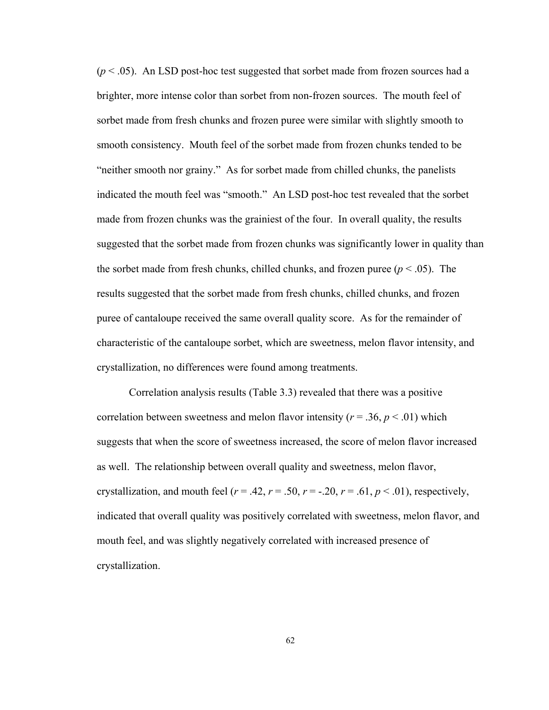$(p < .05)$ . An LSD post-hoc test suggested that sorbet made from frozen sources had a brighter, more intense color than sorbet from non-frozen sources. The mouth feel of sorbet made from fresh chunks and frozen puree were similar with slightly smooth to smooth consistency. Mouth feel of the sorbet made from frozen chunks tended to be "neither smooth nor grainy." As for sorbet made from chilled chunks, the panelists indicated the mouth feel was "smooth." An LSD post-hoc test revealed that the sorbet made from frozen chunks was the grainiest of the four. In overall quality, the results suggested that the sorbet made from frozen chunks was significantly lower in quality than the sorbet made from fresh chunks, chilled chunks, and frozen puree ( $p < .05$ ). The results suggested that the sorbet made from fresh chunks, chilled chunks, and frozen puree of cantaloupe received the same overall quality score. As for the remainder of characteristic of the cantaloupe sorbet, which are sweetness, melon flavor intensity, and crystallization, no differences were found among treatments.

Correlation analysis results (Table 3.3) revealed that there was a positive correlation between sweetness and melon flavor intensity ( $r = .36$ ,  $p < .01$ ) which suggests that when the score of sweetness increased, the score of melon flavor increased as well. The relationship between overall quality and sweetness, melon flavor, crystallization, and mouth feel ( $r = .42$ ,  $r = .50$ ,  $r = -.20$ ,  $r = .61$ ,  $p < .01$ ), respectively, indicated that overall quality was positively correlated with sweetness, melon flavor, and mouth feel, and was slightly negatively correlated with increased presence of crystallization.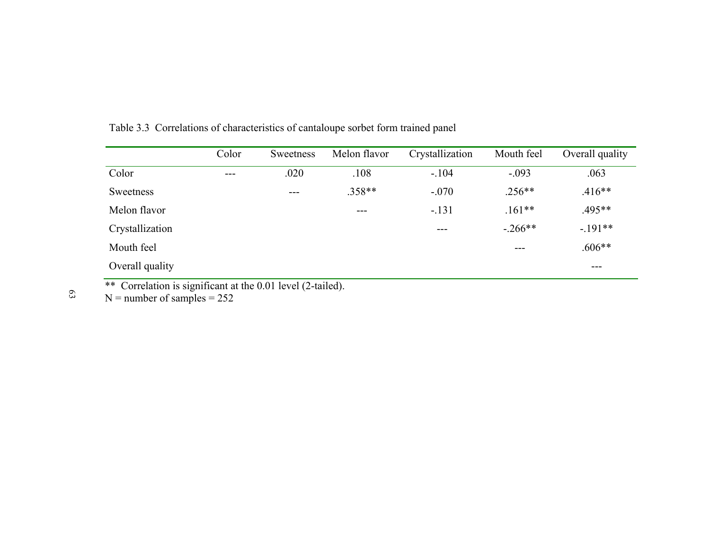|                 | Color   | <b>Sweetness</b> | Melon flavor | Crystallization | Mouth feel | Overall quality |
|-----------------|---------|------------------|--------------|-----------------|------------|-----------------|
| Color           | $- - -$ | .020             | .108         | $-.104$         | $-.093$    | .063            |
| Sweetness       |         | $---$            | $.358**$     | $-.070$         | $.256**$   | $.416**$        |
| Melon flavor    |         |                  | ---          | $-.131$         | $.161**$   | .495**          |
| Crystallization |         |                  |              | $- - -$         | $-.266**$  | $-.191**$       |
| Mouth feel      |         |                  |              |                 | ---        | $.606**$        |
| Overall quality |         |                  |              |                 |            | ---             |

Table 3.3 Correlations of characteristics of cantaloupe sorbet form trained panel

\*\* Correlation is significant at the 0.01 level (2-tailed).

 $N =$  number of samples  $= 252$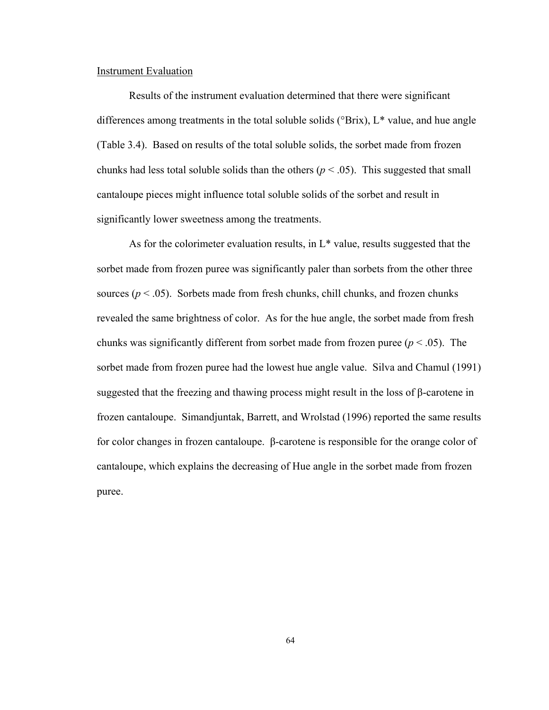#### Instrument Evaluation

Results of the instrument evaluation determined that there were significant differences among treatments in the total soluble solids (°Brix), L\* value, and hue angle (Table 3.4). Based on results of the total soluble solids, the sorbet made from frozen chunks had less total soluble solids than the others ( $p < .05$ ). This suggested that small cantaloupe pieces might influence total soluble solids of the sorbet and result in significantly lower sweetness among the treatments.

As for the colorimeter evaluation results, in L\* value, results suggested that the sorbet made from frozen puree was significantly paler than sorbets from the other three sources ( $p < .05$ ). Sorbets made from fresh chunks, chill chunks, and frozen chunks revealed the same brightness of color. As for the hue angle, the sorbet made from fresh chunks was significantly different from sorbet made from frozen puree ( $p < .05$ ). The sorbet made from frozen puree had the lowest hue angle value. Silva and Chamul (1991) suggested that the freezing and thawing process might result in the loss of  $\beta$ -carotene in frozen cantaloupe. Simandjuntak, Barrett, and Wrolstad (1996) reported the same results for color changes in frozen cantaloupe. β-carotene is responsible for the orange color of cantaloupe, which explains the decreasing of Hue angle in the sorbet made from frozen puree.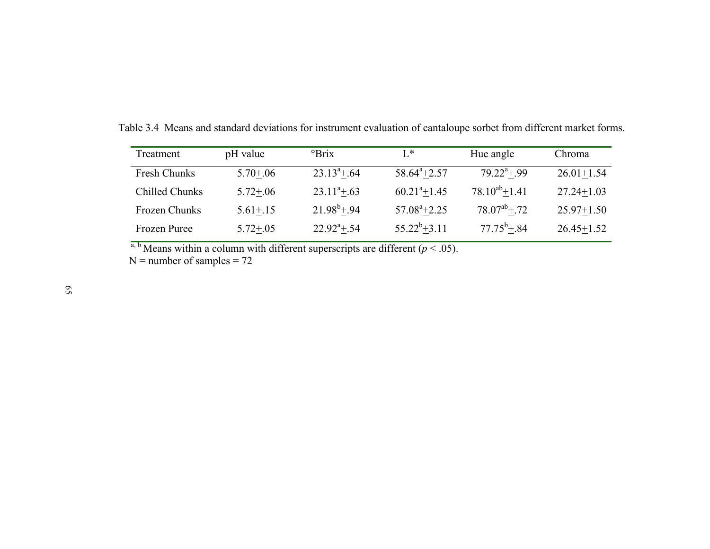| Treatment      | pH value     | <sup>o</sup> Brix          | $I^*$                     | Hue angle             | Chroma         |
|----------------|--------------|----------------------------|---------------------------|-----------------------|----------------|
| Fresh Chunks   | $5.70 + .06$ | $23.13^{a}+.64$            | $58.64^a + 2.57$          | $79.22^{a}+.99$       | $26.01 + 1.54$ |
| Chilled Chunks | $5.72 + .06$ | $23.11^{a}+.63$            | $60.21^{a} + 1.45$        | $78.10^{ab} + 1.41$   | $27.24 + 1.03$ |
| Frozen Chunks  | $5.61 + .15$ | $21.98^b + .94$            | $57.08^{\text{a}} + 2.25$ | $78.07^{ab}$ +.72     | $25.97+1.50$   |
| Frozen Puree   | $5.72 + .05$ | $22.92^{\mathrm{a}} + .54$ | $55.22^b + 3.11$          | $77.75^{\rm b} + .84$ | $26.45 + 1.52$ |

Table 3.4 Means and standard deviations for instrument evaluation of cantaloupe sorbet from different market forms.

a, b Means within a column with different superscripts are different  $(p < .05)$ .

 $N =$  number of samples  $= 72$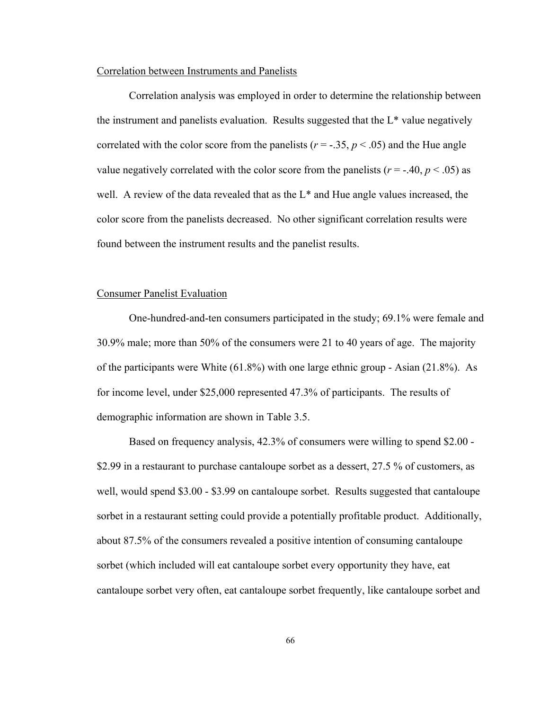## Correlation between Instruments and Panelists

Correlation analysis was employed in order to determine the relationship between the instrument and panelists evaluation. Results suggested that the L\* value negatively correlated with the color score from the panelists ( $r = -0.35$ ,  $p < 0.05$ ) and the Hue angle value negatively correlated with the color score from the panelists ( $r = -140$ ,  $p < 0.05$ ) as well. A review of the data revealed that as the L\* and Hue angle values increased, the color score from the panelists decreased. No other significant correlation results were found between the instrument results and the panelist results.

## Consumer Panelist Evaluation

One-hundred-and-ten consumers participated in the study; 69.1% were female and 30.9% male; more than 50% of the consumers were 21 to 40 years of age. The majority of the participants were White (61.8%) with one large ethnic group - Asian (21.8%). As for income level, under \$25,000 represented 47.3% of participants. The results of demographic information are shown in Table 3.5.

Based on frequency analysis, 42.3% of consumers were willing to spend \$2.00 - \$2.99 in a restaurant to purchase cantaloupe sorbet as a dessert, 27.5 % of customers, as well, would spend \$3.00 - \$3.99 on cantaloupe sorbet. Results suggested that cantaloupe sorbet in a restaurant setting could provide a potentially profitable product. Additionally, about 87.5% of the consumers revealed a positive intention of consuming cantaloupe sorbet (which included will eat cantaloupe sorbet every opportunity they have, eat cantaloupe sorbet very often, eat cantaloupe sorbet frequently, like cantaloupe sorbet and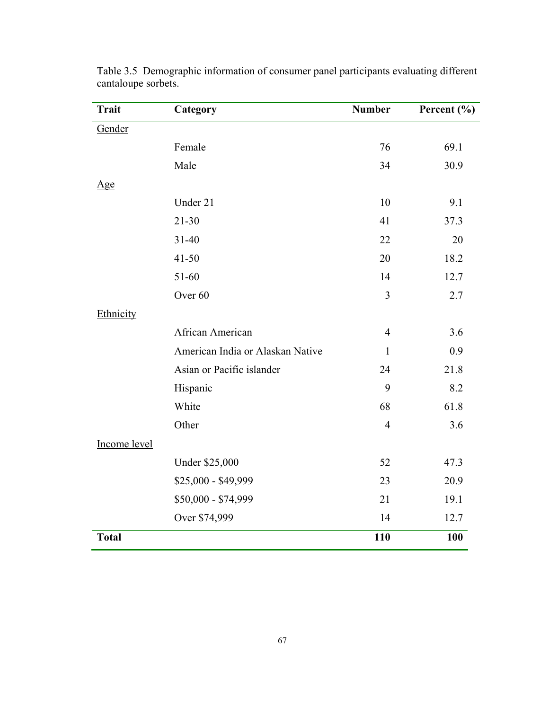| <b>Trait</b> | Category                         | <b>Number</b>  | Percent (%) |
|--------------|----------------------------------|----------------|-------------|
| Gender       |                                  |                |             |
|              | Female                           | 76             | 69.1        |
|              | Male                             | 34             | 30.9        |
| Age          |                                  |                |             |
|              | Under 21                         | 10             | 9.1         |
|              | $21 - 30$                        | 41             | 37.3        |
|              | $31 - 40$                        | 22             | 20          |
|              | $41 - 50$                        | 20             | 18.2        |
|              | $51 - 60$                        | 14             | 12.7        |
|              | Over <sub>60</sub>               | 3              | 2.7         |
| Ethnicity    |                                  |                |             |
|              | African American                 | $\overline{4}$ | 3.6         |
|              | American India or Alaskan Native | $\mathbf{1}$   | 0.9         |
|              | Asian or Pacific islander        | 24             | 21.8        |
|              | Hispanic                         | 9              | 8.2         |
|              | White                            | 68             | 61.8        |
|              | Other                            | $\overline{4}$ | 3.6         |
| Income level |                                  |                |             |
|              | <b>Under \$25,000</b>            | 52             | 47.3        |
|              | \$25,000 - \$49,999              | 23             | 20.9        |
|              | \$50,000 - \$74,999              | 21             | 19.1        |
|              | Over \$74,999                    | 14             | 12.7        |
| <b>Total</b> |                                  | 110            | 100         |

Table 3.5 Demographic information of consumer panel participants evaluating different cantaloupe sorbets.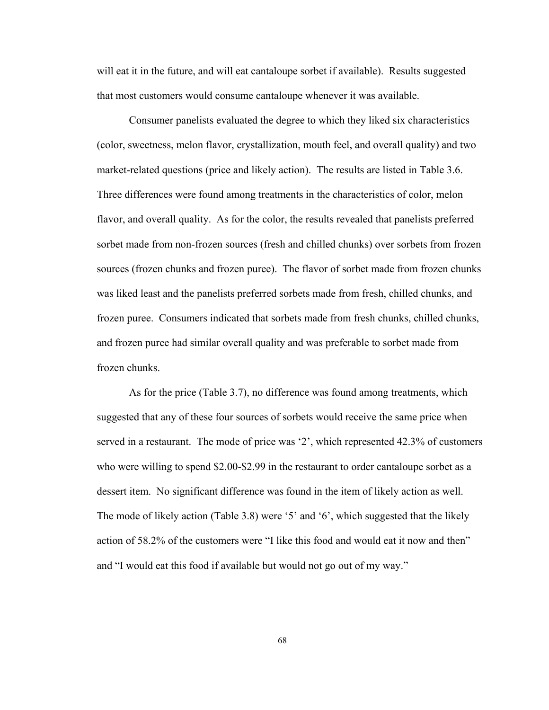will eat it in the future, and will eat cantaloupe sorbet if available). Results suggested that most customers would consume cantaloupe whenever it was available.

Consumer panelists evaluated the degree to which they liked six characteristics (color, sweetness, melon flavor, crystallization, mouth feel, and overall quality) and two market-related questions (price and likely action). The results are listed in Table 3.6. Three differences were found among treatments in the characteristics of color, melon flavor, and overall quality. As for the color, the results revealed that panelists preferred sorbet made from non-frozen sources (fresh and chilled chunks) over sorbets from frozen sources (frozen chunks and frozen puree). The flavor of sorbet made from frozen chunks was liked least and the panelists preferred sorbets made from fresh, chilled chunks, and frozen puree. Consumers indicated that sorbets made from fresh chunks, chilled chunks, and frozen puree had similar overall quality and was preferable to sorbet made from frozen chunks.

As for the price (Table 3.7), no difference was found among treatments, which suggested that any of these four sources of sorbets would receive the same price when served in a restaurant. The mode of price was '2', which represented 42.3% of customers who were willing to spend \$2.00-\$2.99 in the restaurant to order cantaloupe sorbet as a dessert item. No significant difference was found in the item of likely action as well. The mode of likely action (Table 3.8) were '5' and '6', which suggested that the likely action of 58.2% of the customers were "I like this food and would eat it now and then" and "I would eat this food if available but would not go out of my way."

68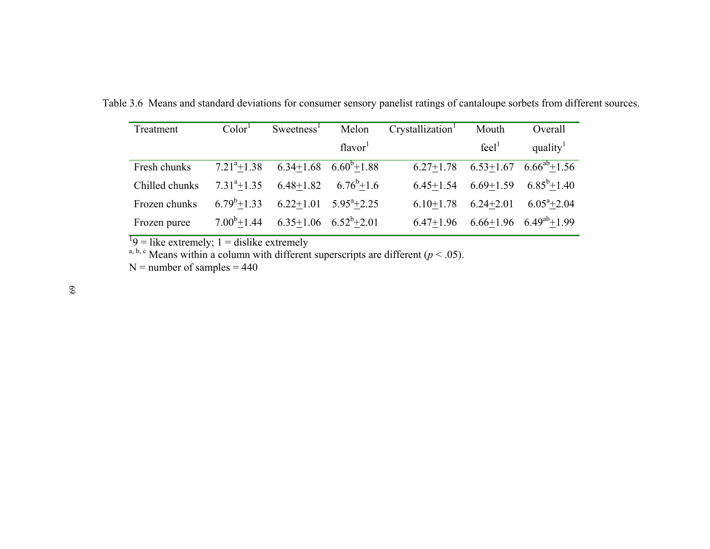$Treatment$   $Color<sup>1</sup>$  Sweetness<sup>1</sup> Melon  $flavor<sup>1</sup>$ Crystallization<sup>1</sup> Mouth  $feel<sup>1</sup>$ Overall quality $1$ Fresh chunks  $7.21^{\circ}+1.38$   $6.34+1.68$   $6.60^{\circ}+1.88$   $6.27+1.78$   $6.53+1.67$  $6.66^{ab}$  + 1.56 Chilled chunks  $7.31^{a}+1.35$   $6.48+1.82$   $6.76^{b}+1.6$   $6.45+1.54$   $6.69+1.59$  $6.85^{b} + 1.40$ Frozen chunks  $6.79^b \text{+} 1.33$   $6.22 \text{+} 1.01$   $5.95^a \text{+} 2.25$   $6.10 \text{+} 1.78$   $6.24 \text{+} 2.01$  $6.05^{\mathrm{a}} + 2.04$ Frozen puree  $7.00^b$  + 1.44  $6.35$  + 1.06  $6.52^b$  + 2.01  $6.47$  + 1.96  $6.66$  + 1.96  $6.49^{ab}$  + 1.99

Table 3.6 Means and standard deviations for consumer sensory panelist ratings of cantaloupe sorbets from different sources.

 $1\overline{9}$  = like extremely; 1 = dislike extremely

a, b, c Means within a column with different superscripts are different ( $p < .05$ ).

 $N =$  number of samples  $= 440$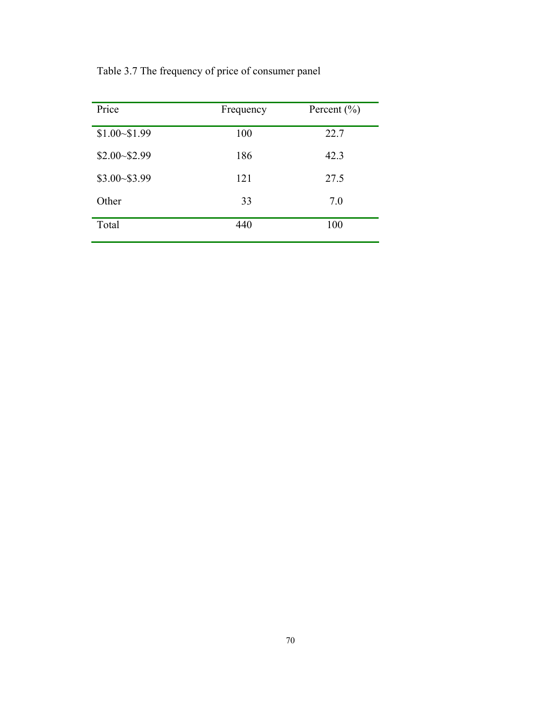|  | Table 3.7 The frequency of price of consumer panel |
|--|----------------------------------------------------|
|  |                                                    |

| Price         | Frequency | Percent $(\% )$ |
|---------------|-----------|-----------------|
| \$1.00~\$1.99 | 100       | 22.7            |
| \$2.00~\$2.99 | 186       | 42.3            |
| \$3.00~\$3.99 | 121       | 27.5            |
| Other         | 33        | 7.0             |
| Total         | 440       | 100             |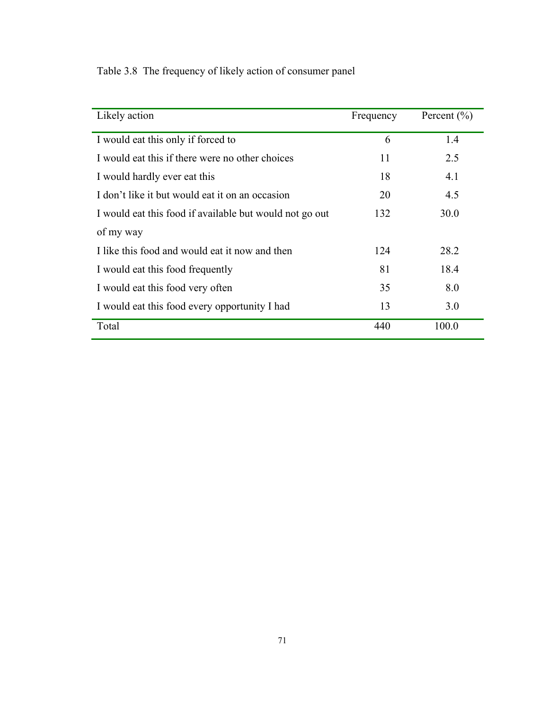Table 3.8 The frequency of likely action of consumer panel

| Likely action                                           | Frequency | Percent $(\% )$ |
|---------------------------------------------------------|-----------|-----------------|
| I would eat this only if forced to                      | 6         | 1.4             |
| I would eat this if there were no other choices         | 11        | 2.5             |
| I would hardly ever eat this                            | 18        | 4.1             |
| I don't like it but would eat it on an occasion         | 20        | 4.5             |
| I would eat this food if available but would not go out | 132       | 30.0            |
| of my way                                               |           |                 |
| I like this food and would eat it now and then          | 124       | 28.2            |
| I would eat this food frequently                        | 81        | 18.4            |
| I would eat this food very often                        | 35        | 8.0             |
| I would eat this food every opportunity I had           | 13        | 3.0             |
| Total                                                   | 440       | 100.0           |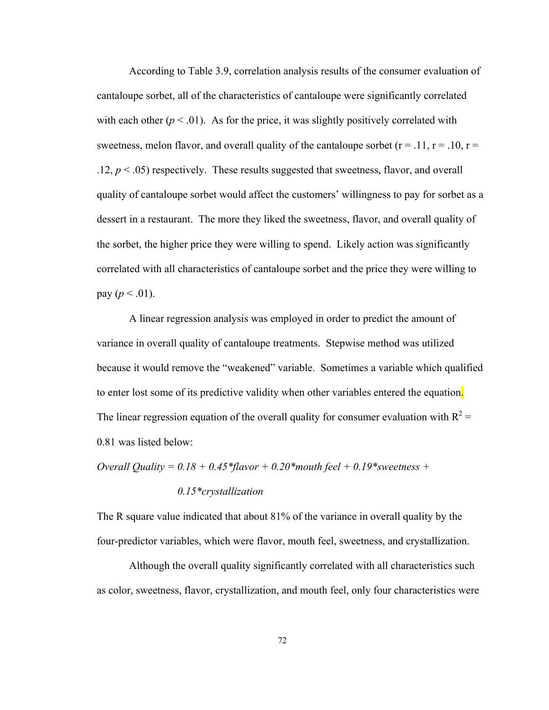According to Table 3.9, correlation analysis results of the consumer evaluation of cantaloupe sorbet, all of the characteristics of cantaloupe were significantly correlated with each other  $(p < .01)$ . As for the price, it was slightly positively correlated with sweetness, melon flavor, and overall quality of the cantaloupe sorbet ( $r = .11$ ,  $r = .10$ ,  $r =$  $.12, p < .05$ ) respectively. These results suggested that sweetness, flavor, and overall quality of cantaloupe sorbet would affect the customers' willingness to pay for sorbet as a dessert in a restaurant. The more they liked the sweetness, flavor, and overall quality of the sorbet, the higher price they were willing to spend. Likely action was significantly correlated with all characteristics of cantaloupe sorbet and the price they were willing to pay  $(p < .01)$ .

A linear regression analysis was employed in order to predict the amount of variance in overall quality of cantaloupe treatments. Stepwise method was utilized because it would remove the "weakened" variable. Sometimes a variable which qualified to enter lost some of its predictive validity when other variables entered the equation. The linear regression equation of the overall quality for consumer evaluation with  $R^2 =$ 0.81 was listed below:

*Overall Quality =*  $0.18 + 0.45*$ *flavor* +  $0.20*$ mouth feel +  $0.19*$ sweetness +

## *0.15\*crystallization*

The R square value indicated that about 81% of the variance in overall quality by the four-predictor variables, which were flavor, mouth feel, sweetness, and crystallization.

Although the overall quality significantly correlated with all characteristics such as color, sweetness, flavor, crystallization, and mouth feel, only four characteristics were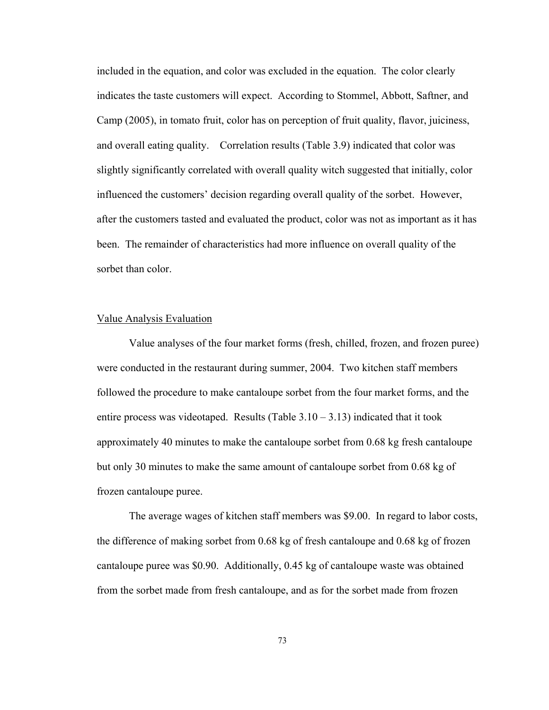included in the equation, and color was excluded in the equation. The color clearly indicates the taste customers will expect. According to Stommel, Abbott, Saftner, and Camp (2005), in tomato fruit, color has on perception of fruit quality, flavor, juiciness, and overall eating quality. Correlation results (Table 3.9) indicated that color was slightly significantly correlated with overall quality witch suggested that initially, color influenced the customers' decision regarding overall quality of the sorbet. However, after the customers tasted and evaluated the product, color was not as important as it has been. The remainder of characteristics had more influence on overall quality of the sorbet than color.

#### Value Analysis Evaluation

Value analyses of the four market forms (fresh, chilled, frozen, and frozen puree) were conducted in the restaurant during summer, 2004. Two kitchen staff members followed the procedure to make cantaloupe sorbet from the four market forms, and the entire process was videotaped. Results (Table  $3.10 - 3.13$ ) indicated that it took approximately 40 minutes to make the cantaloupe sorbet from 0.68 kg fresh cantaloupe but only 30 minutes to make the same amount of cantaloupe sorbet from 0.68 kg of frozen cantaloupe puree.

The average wages of kitchen staff members was \$9.00. In regard to labor costs, the difference of making sorbet from 0.68 kg of fresh cantaloupe and 0.68 kg of frozen cantaloupe puree was \$0.90. Additionally, 0.45 kg of cantaloupe waste was obtained from the sorbet made from fresh cantaloupe, and as for the sorbet made from frozen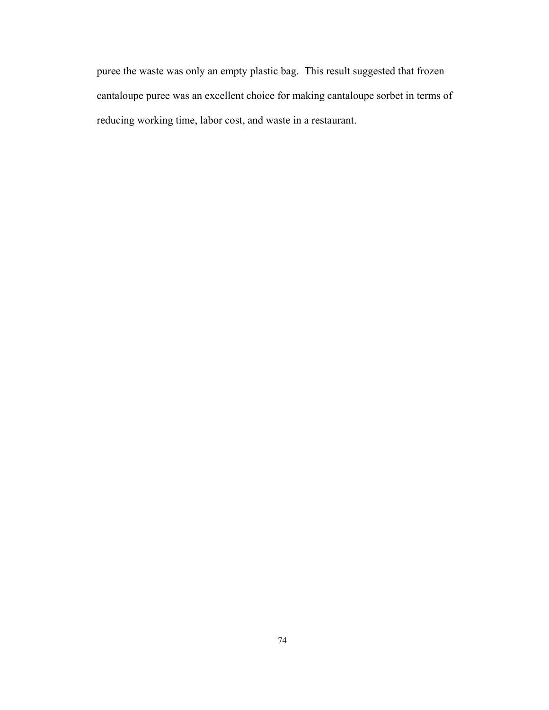puree the waste was only an empty plastic bag. This result suggested that frozen cantaloupe puree was an excellent choice for making cantaloupe sorbet in terms of reducing working time, labor cost, and waste in a restaurant.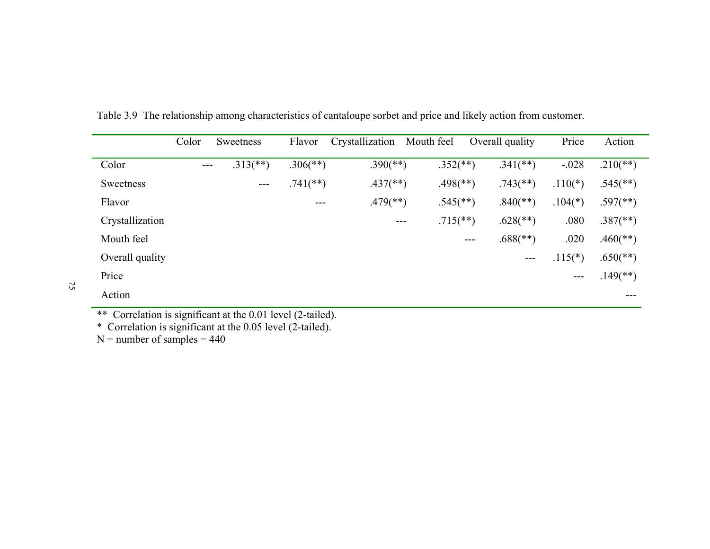|                 | Color | Sweetness              | Flavor      | Crystallization          | Mouth feel               | Overall quality                                                                                                                                                                                                                                                                                                                                                                              | Price     | Action                   |
|-----------------|-------|------------------------|-------------|--------------------------|--------------------------|----------------------------------------------------------------------------------------------------------------------------------------------------------------------------------------------------------------------------------------------------------------------------------------------------------------------------------------------------------------------------------------------|-----------|--------------------------|
| Color           | $---$ | $.313$ <sup>**</sup> ) | $.306$ (**) | $.390$ (**)              | $.352$ (**)              | $.341$ (**)                                                                                                                                                                                                                                                                                                                                                                                  | $-.028$   | $.210(**)$               |
| Sweetness       |       | $---$                  | $.741$ (**) | $.437$ <sup>(**)</sup> ) | $.498$ <sup>(**)</sup> ) | $.743$ <sup>**</sup> )                                                                                                                                                                                                                                                                                                                                                                       | $.110(*)$ | $.545$ <sup>**</sup> )   |
| Flavor          |       |                        | $---$       | $.479$ <sup>**</sup> )   | $.545$ <sup>**</sup> )   | $.840$ (**)                                                                                                                                                                                                                                                                                                                                                                                  | $.104(*)$ | $.597$ <sup>(**)</sup> ) |
| Crystallization |       |                        |             | ---                      | $.715$ <sup>**</sup> )   | $.628$ <sup>**</sup> )                                                                                                                                                                                                                                                                                                                                                                       | .080      | $.387$ <sup>(**)</sup> ) |
| Mouth feel      |       |                        |             |                          |                          | $.688$ <sup>(**)</sup> )<br>$---$                                                                                                                                                                                                                                                                                                                                                            | .020      | $.460$ (**)              |
| Overall quality |       |                        |             |                          |                          | $\frac{1}{2} \frac{1}{2} \frac{1}{2} \frac{1}{2} \frac{1}{2} \frac{1}{2} \frac{1}{2} \frac{1}{2} \frac{1}{2} \frac{1}{2} \frac{1}{2} \frac{1}{2} \frac{1}{2} \frac{1}{2} \frac{1}{2} \frac{1}{2} \frac{1}{2} \frac{1}{2} \frac{1}{2} \frac{1}{2} \frac{1}{2} \frac{1}{2} \frac{1}{2} \frac{1}{2} \frac{1}{2} \frac{1}{2} \frac{1}{2} \frac{1}{2} \frac{1}{2} \frac{1}{2} \frac{1}{2} \frac{$ | $.115(*)$ | $.650$ (**)              |
| Price           |       |                        |             |                          |                          |                                                                                                                                                                                                                                                                                                                                                                                              | $---$     | $.149$ (**)              |
| Action          |       |                        |             |                          |                          |                                                                                                                                                                                                                                                                                                                                                                                              |           | ---                      |

Table 3.9 The relationship among characteristics of cantaloupe sorbet and price and likely action from customer.

\*\* Correlation is significant at the 0.01 level (2-tailed).

\* Correlation is significant at the 0.05 level (2-tailed).

 $N =$  number of samples  $= 440$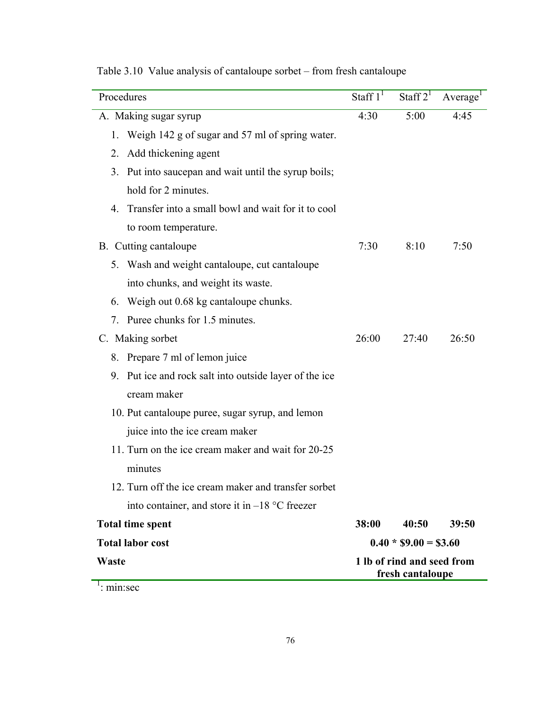| Procedures                                             | Staff $1^T$                                    | Staff $2^1$ | Average <sup>1</sup> |
|--------------------------------------------------------|------------------------------------------------|-------------|----------------------|
| A. Making sugar syrup                                  | 4:30                                           | 5:00        | 4:45                 |
| Weigh 142 g of sugar and 57 ml of spring water.<br>1.  |                                                |             |                      |
| Add thickening agent<br>2.                             |                                                |             |                      |
| 3. Put into saucepan and wait until the syrup boils;   |                                                |             |                      |
| hold for 2 minutes.                                    |                                                |             |                      |
| 4. Transfer into a small bowl and wait for it to cool  |                                                |             |                      |
| to room temperature.                                   |                                                |             |                      |
| B. Cutting cantaloupe                                  | 7:30                                           | 8:10        | 7:50                 |
| 5. Wash and weight cantaloupe, cut cantaloupe          |                                                |             |                      |
| into chunks, and weight its waste.                     |                                                |             |                      |
| Weigh out 0.68 kg cantaloupe chunks.<br>6.             |                                                |             |                      |
| 7. Puree chunks for 1.5 minutes.                       |                                                |             |                      |
| C. Making sorbet                                       | 26:00                                          | 27:40       | 26:50                |
| 8. Prepare 7 ml of lemon juice                         |                                                |             |                      |
| 9. Put ice and rock salt into outside layer of the ice |                                                |             |                      |
| cream maker                                            |                                                |             |                      |
| 10. Put cantaloupe puree, sugar syrup, and lemon       |                                                |             |                      |
| juice into the ice cream maker                         |                                                |             |                      |
| 11. Turn on the ice cream maker and wait for 20-25     |                                                |             |                      |
| minutes                                                |                                                |             |                      |
| 12. Turn off the ice cream maker and transfer sorbet   |                                                |             |                      |
| into container, and store it in $-18$ °C freezer       |                                                |             |                      |
| <b>Total time spent</b>                                | 38:00<br>40:50<br>39:50                        |             |                      |
| <b>Total labor cost</b>                                | $0.40 * $9.00 = $3.60$                         |             |                      |
| Waste                                                  | 1 lb of rind and seed from<br>fresh cantaloupe |             |                      |

Table 3.10 Value analysis of cantaloupe sorbet – from fresh cantaloupe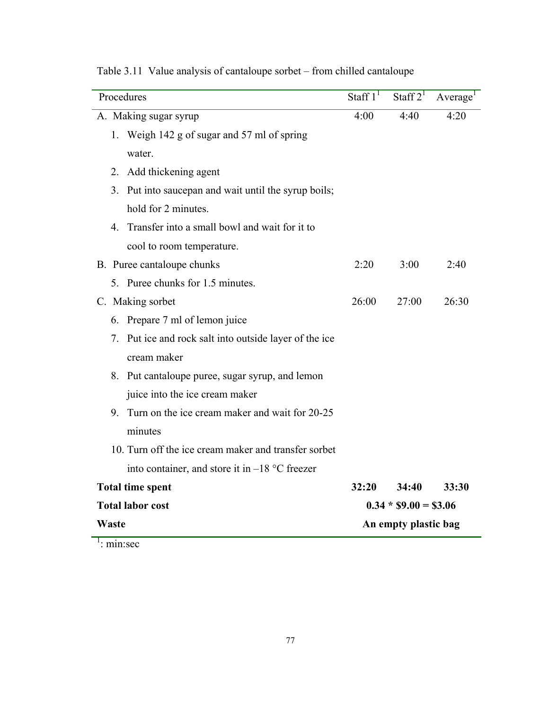| Procedures                                                | Staff $11$ | Staff $2^1$            | Average <sup>1</sup> |
|-----------------------------------------------------------|------------|------------------------|----------------------|
| A. Making sugar syrup                                     | 4:00       | 4:40                   | 4:20                 |
| Weigh 142 g of sugar and 57 ml of spring<br>1.            |            |                        |                      |
| water.                                                    |            |                        |                      |
| Add thickening agent<br>2.                                |            |                        |                      |
| Put into saucepan and wait until the syrup boils;<br>3.   |            |                        |                      |
| hold for 2 minutes.                                       |            |                        |                      |
| 4. Transfer into a small bowl and wait for it to          |            |                        |                      |
| cool to room temperature.                                 |            |                        |                      |
| B. Puree cantaloupe chunks                                | 2:20       | 3:00                   | 2:40                 |
| 5. Puree chunks for 1.5 minutes.                          |            |                        |                      |
| C. Making sorbet                                          | 26:00      | 27:00                  | 26:30                |
| Prepare 7 ml of lemon juice<br>6.                         |            |                        |                      |
| Put ice and rock salt into outside layer of the ice<br>7. |            |                        |                      |
| cream maker                                               |            |                        |                      |
| 8. Put cantaloupe puree, sugar syrup, and lemon           |            |                        |                      |
| juice into the ice cream maker                            |            |                        |                      |
| 9. Turn on the ice cream maker and wait for 20-25         |            |                        |                      |
| minutes                                                   |            |                        |                      |
| 10. Turn off the ice cream maker and transfer sorbet      |            |                        |                      |
| into container, and store it in $-18$ °C freezer          |            |                        |                      |
| <b>Total time spent</b>                                   | 32:20      | 34:40                  | 33:30                |
| <b>Total labor cost</b>                                   |            | $0.34 * $9.00 = $3.06$ |                      |
| Waste                                                     |            | An empty plastic bag   |                      |

Table 3.11 Value analysis of cantaloupe sorbet – from chilled cantaloupe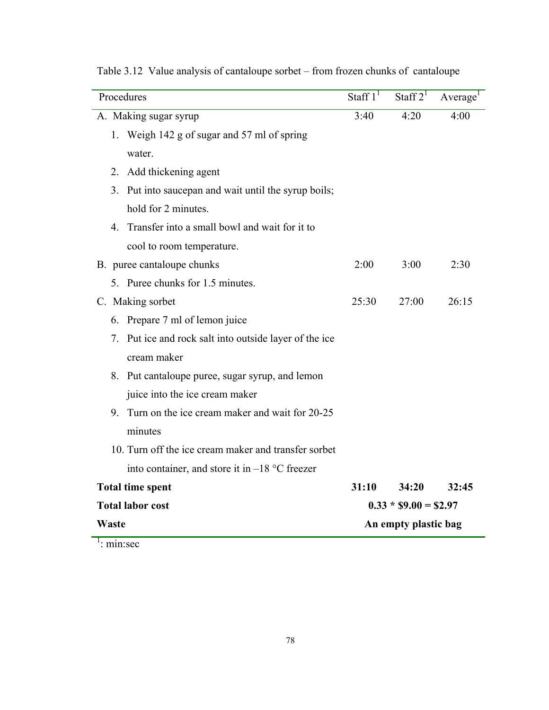| Procedures                                             | Staff $1^T$            | Staff $21$           | Average <sup>1</sup> |  |
|--------------------------------------------------------|------------------------|----------------------|----------------------|--|
| A. Making sugar syrup                                  | 3:40                   | 4:20                 | 4:00                 |  |
| 1. Weigh 142 g of sugar and 57 ml of spring            |                        |                      |                      |  |
| water.                                                 |                        |                      |                      |  |
| Add thickening agent<br>2.                             |                        |                      |                      |  |
| 3. Put into sauce pan and wait until the syrup boils;  |                        |                      |                      |  |
| hold for 2 minutes.                                    |                        |                      |                      |  |
| 4. Transfer into a small bowl and wait for it to       |                        |                      |                      |  |
| cool to room temperature.                              |                        |                      |                      |  |
| B. puree cantaloupe chunks                             | 2:00                   | 3:00                 | 2:30                 |  |
| 5. Puree chunks for 1.5 minutes.                       |                        |                      |                      |  |
| C. Making sorbet                                       | 25:30                  | 27:00                | 26:15                |  |
| 6. Prepare 7 ml of lemon juice                         |                        |                      |                      |  |
| 7. Put ice and rock salt into outside layer of the ice |                        |                      |                      |  |
| cream maker                                            |                        |                      |                      |  |
| 8. Put cantaloupe puree, sugar syrup, and lemon        |                        |                      |                      |  |
| juice into the ice cream maker                         |                        |                      |                      |  |
| 9. Turn on the ice cream maker and wait for 20-25      |                        |                      |                      |  |
| minutes                                                |                        |                      |                      |  |
| 10. Turn off the ice cream maker and transfer sorbet   |                        |                      |                      |  |
| into container, and store it in $-18$ °C freezer       |                        |                      |                      |  |
| <b>Total time spent</b>                                | 31:10                  | 34:20                | 32:45                |  |
| <b>Total labor cost</b>                                | $0.33 * $9.00 = $2.97$ |                      |                      |  |
| Waste                                                  |                        | An empty plastic bag |                      |  |

Table 3.12 Value analysis of cantaloupe sorbet – from frozen chunks of cantaloupe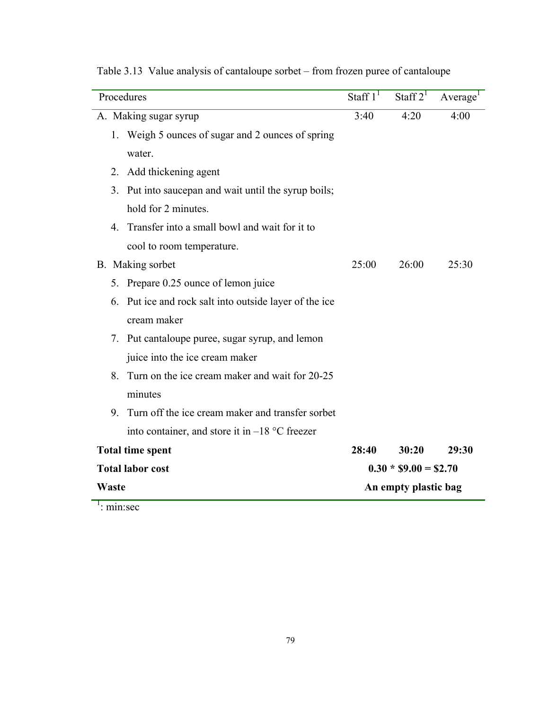| Procedures                                                | Staff $11$     | Staff $21$             | Average <sup>1</sup> |  |  |  |  |
|-----------------------------------------------------------|----------------|------------------------|----------------------|--|--|--|--|
| A. Making sugar syrup                                     | 3:40           | 4:20                   | 4:00                 |  |  |  |  |
| Weigh 5 ounces of sugar and 2 ounces of spring<br>1.      |                |                        |                      |  |  |  |  |
| water.                                                    |                |                        |                      |  |  |  |  |
| Add thickening agent<br>2.                                |                |                        |                      |  |  |  |  |
| Put into saucepan and wait until the syrup boils;<br>3.   |                |                        |                      |  |  |  |  |
| hold for 2 minutes.                                       |                |                        |                      |  |  |  |  |
| 4. Transfer into a small bowl and wait for it to          |                |                        |                      |  |  |  |  |
| cool to room temperature.                                 |                |                        |                      |  |  |  |  |
| B. Making sorbet                                          | 25:00          | 26:00                  | 25:30                |  |  |  |  |
| 5. Prepare 0.25 ounce of lemon juice                      |                |                        |                      |  |  |  |  |
| Put ice and rock salt into outside layer of the ice<br>6. |                |                        |                      |  |  |  |  |
| cream maker                                               |                |                        |                      |  |  |  |  |
| 7. Put cantaloupe puree, sugar syrup, and lemon           |                |                        |                      |  |  |  |  |
| juice into the ice cream maker                            |                |                        |                      |  |  |  |  |
| 8.<br>Turn on the ice cream maker and wait for 20-25      |                |                        |                      |  |  |  |  |
| minutes                                                   |                |                        |                      |  |  |  |  |
| 9. Turn off the ice cream maker and transfer sorbet       |                |                        |                      |  |  |  |  |
| into container, and store it in $-18$ °C freezer          |                |                        |                      |  |  |  |  |
| <b>Total time spent</b>                                   | 30:20<br>28:40 |                        |                      |  |  |  |  |
| <b>Total labor cost</b>                                   |                | $0.30 * $9.00 = $2.70$ |                      |  |  |  |  |
| Waste                                                     |                | An empty plastic bag   |                      |  |  |  |  |

Table 3.13 Value analysis of cantaloupe sorbet – from frozen puree of cantaloupe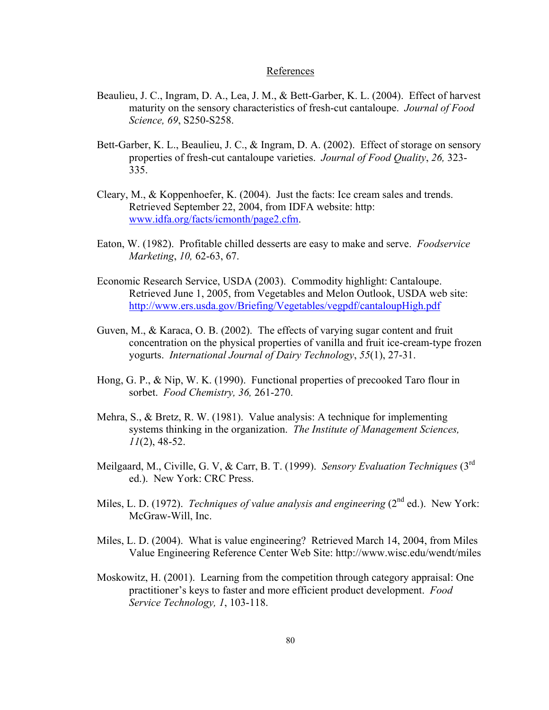#### References

- Beaulieu, J. C., Ingram, D. A., Lea, J. M., & Bett-Garber, K. L. (2004). Effect of harvest maturity on the sensory characteristics of fresh-cut cantaloupe. *Journal of Food Science, 69*, S250-S258.
- Bett-Garber, K. L., Beaulieu, J. C., & Ingram, D. A. (2002). Effect of storage on sensory properties of fresh-cut cantaloupe varieties. *Journal of Food Quality*, *26,* 323- 335.
- Cleary, M., & Koppenhoefer, K. (2004). Just the facts: Ice cream sales and trends. Retrieved September 22, 2004, from IDFA website: http: www.idfa.org/facts/icmonth/page2.cfm.
- Eaton, W. (1982). Profitable chilled desserts are easy to make and serve. *Foodservice Marketing*, *10,* 62-63, 67.
- Economic Research Service, USDA (2003). Commodity highlight: Cantaloupe. Retrieved June 1, 2005, from Vegetables and Melon Outlook, USDA web site: http://www.ers.usda.gov/Briefing/Vegetables/vegpdf/cantaloupHigh.pdf
- Guven, M., & Karaca, O. B. (2002). The effects of varying sugar content and fruit concentration on the physical properties of vanilla and fruit ice-cream-type frozen yogurts. *International Journal of Dairy Technology*, *55*(1), 27-31.
- Hong, G. P., & Nip, W. K. (1990). Functional properties of precooked Taro flour in sorbet. *Food Chemistry, 36,* 261-270.
- Mehra, S., & Bretz, R. W. (1981). Value analysis: A technique for implementing systems thinking in the organization. *The Institute of Management Sciences, 11*(2), 48-52.
- Meilgaard, M., Civille, G. V, & Carr, B. T. (1999). *Sensory Evaluation Techniques* (3rd ed.). New York: CRC Press.
- Miles, L. D. (1972). *Techniques of value analysis and engineering* (2<sup>nd</sup> ed.). New York: McGraw-Will, Inc.
- Miles, L. D. (2004). What is value engineering? Retrieved March 14, 2004, from Miles Value Engineering Reference Center Web Site: http://www.wisc.edu/wendt/miles
- Moskowitz, H. (2001). Learning from the competition through category appraisal: One practitioner's keys to faster and more efficient product development. *Food Service Technology, 1*, 103-118.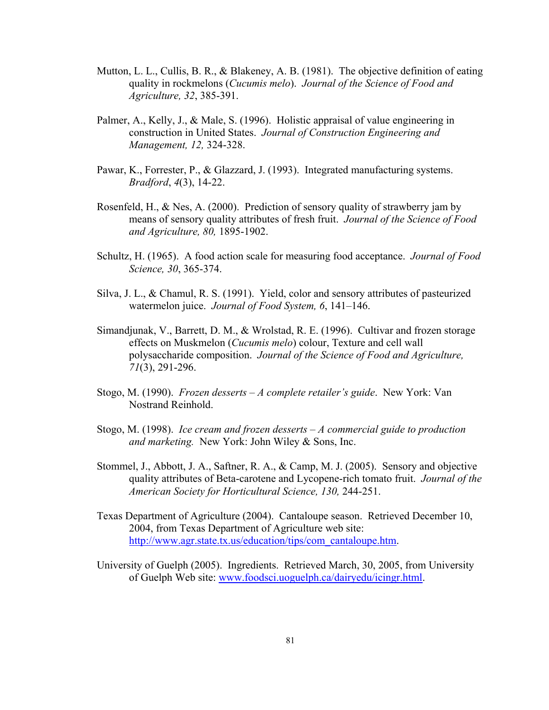- Mutton, L. L., Cullis, B. R., & Blakeney, A. B. (1981). The objective definition of eating quality in rockmelons (*Cucumis melo*). *Journal of the Science of Food and Agriculture, 32*, 385-391.
- Palmer, A., Kelly, J., & Male, S. (1996). Holistic appraisal of value engineering in construction in United States. *Journal of Construction Engineering and Management, 12,* 324-328.
- Pawar, K., Forrester, P., & Glazzard, J. (1993). Integrated manufacturing systems. *Bradford*, *4*(3), 14-22.
- Rosenfeld, H., & Nes, A. (2000). Prediction of sensory quality of strawberry jam by means of sensory quality attributes of fresh fruit. *Journal of the Science of Food and Agriculture, 80,* 1895-1902.
- Schultz, H. (1965). A food action scale for measuring food acceptance. *Journal of Food Science, 30*, 365-374.
- Silva, J. L., & Chamul, R. S. (1991). Yield, color and sensory attributes of pasteurized watermelon juice. *Journal of Food System, 6*, 141–146.
- Simandjunak, V., Barrett, D. M., & Wrolstad, R. E. (1996). Cultivar and frozen storage effects on Muskmelon (*Cucumis melo*) colour, Texture and cell wall polysaccharide composition. *Journal of the Science of Food and Agriculture, 71*(3), 291-296.
- Stogo, M. (1990). *Frozen desserts A complete retailer's guide*. New York: Van Nostrand Reinhold.
- Stogo, M. (1998). *Ice cream and frozen desserts A commercial guide to production and marketing.* New York: John Wiley & Sons, Inc.
- Stommel, J., Abbott, J. A., Saftner, R. A., & Camp, M. J. (2005). Sensory and objective quality attributes of Beta-carotene and Lycopene-rich tomato fruit. *Journal of the American Society for Horticultural Science, 130,* 244-251.
- Texas Department of Agriculture (2004). Cantaloupe season. Retrieved December 10, 2004, from Texas Department of Agriculture web site: http://www.agr.state.tx.us/education/tips/com\_cantaloupe.htm.
- University of Guelph (2005). Ingredients. Retrieved March, 30, 2005, from University of Guelph Web site: www.foodsci.uoguelph.ca/dairyedu/icingr.html.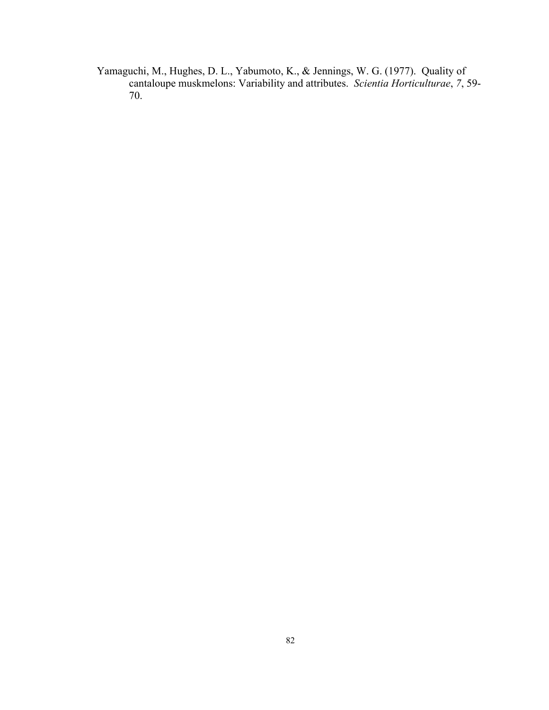Yamaguchi, M., Hughes, D. L., Yabumoto, K., & Jennings, W. G. (1977). Quality of cantaloupe muskmelons: Variability and attributes. *Scientia Horticulturae*, *7*, 59- 70.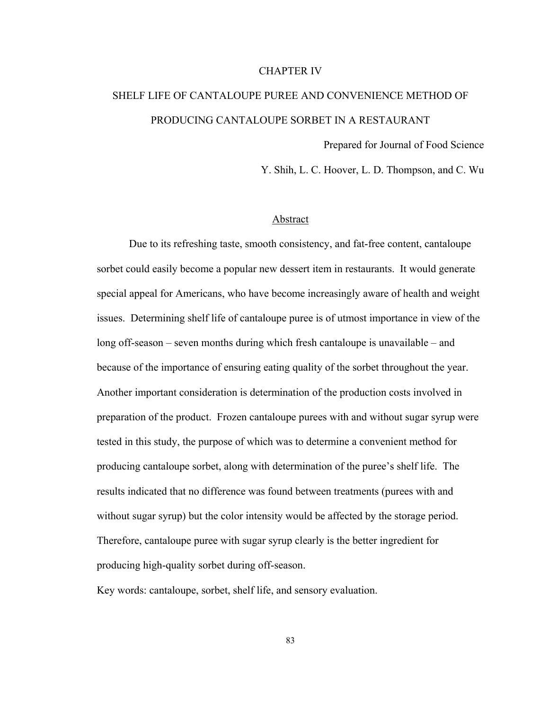#### CHAPTER IV

# SHELF LIFE OF CANTALOUPE PUREE AND CONVENIENCE METHOD OF PRODUCING CANTALOUPE SORBET IN A RESTAURANT

Prepared for Journal of Food Science

Y. Shih, L. C. Hoover, L. D. Thompson, and C. Wu

#### Abstract

Due to its refreshing taste, smooth consistency, and fat-free content, cantaloupe sorbet could easily become a popular new dessert item in restaurants. It would generate special appeal for Americans, who have become increasingly aware of health and weight issues. Determining shelf life of cantaloupe puree is of utmost importance in view of the long off-season – seven months during which fresh cantaloupe is unavailable – and because of the importance of ensuring eating quality of the sorbet throughout the year. Another important consideration is determination of the production costs involved in preparation of the product. Frozen cantaloupe purees with and without sugar syrup were tested in this study, the purpose of which was to determine a convenient method for producing cantaloupe sorbet, along with determination of the puree's shelf life. The results indicated that no difference was found between treatments (purees with and without sugar syrup) but the color intensity would be affected by the storage period. Therefore, cantaloupe puree with sugar syrup clearly is the better ingredient for producing high-quality sorbet during off-season.

Key words: cantaloupe, sorbet, shelf life, and sensory evaluation.

83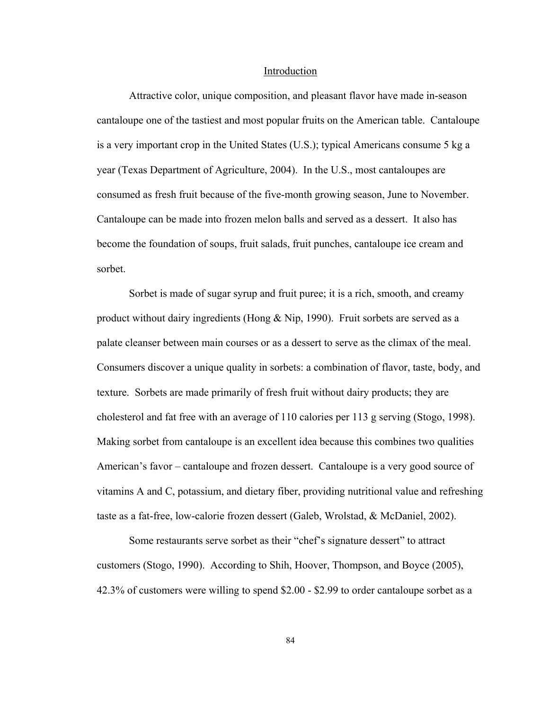#### Introduction

Attractive color, unique composition, and pleasant flavor have made in-season cantaloupe one of the tastiest and most popular fruits on the American table. Cantaloupe is a very important crop in the United States (U.S.); typical Americans consume 5 kg a year (Texas Department of Agriculture, 2004). In the U.S., most cantaloupes are consumed as fresh fruit because of the five-month growing season, June to November. Cantaloupe can be made into frozen melon balls and served as a dessert. It also has become the foundation of soups, fruit salads, fruit punches, cantaloupe ice cream and sorbet.

Sorbet is made of sugar syrup and fruit puree; it is a rich, smooth, and creamy product without dairy ingredients (Hong & Nip, 1990). Fruit sorbets are served as a palate cleanser between main courses or as a dessert to serve as the climax of the meal. Consumers discover a unique quality in sorbets: a combination of flavor, taste, body, and texture. Sorbets are made primarily of fresh fruit without dairy products; they are cholesterol and fat free with an average of 110 calories per 113 g serving (Stogo, 1998). Making sorbet from cantaloupe is an excellent idea because this combines two qualities American's favor – cantaloupe and frozen dessert. Cantaloupe is a very good source of vitamins A and C, potassium, and dietary fiber, providing nutritional value and refreshing taste as a fat-free, low-calorie frozen dessert (Galeb, Wrolstad, & McDaniel, 2002).

Some restaurants serve sorbet as their "chef's signature dessert" to attract customers (Stogo, 1990). According to Shih, Hoover, Thompson, and Boyce (2005), 42.3% of customers were willing to spend \$2.00 - \$2.99 to order cantaloupe sorbet as a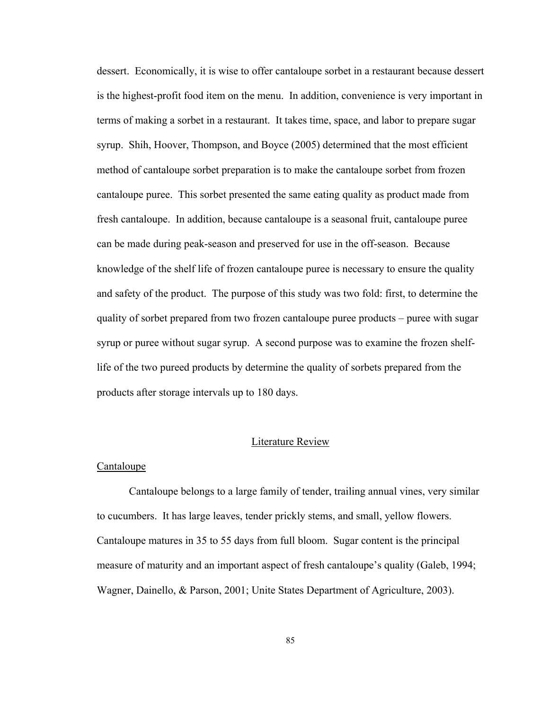dessert. Economically, it is wise to offer cantaloupe sorbet in a restaurant because dessert is the highest-profit food item on the menu. In addition, convenience is very important in terms of making a sorbet in a restaurant. It takes time, space, and labor to prepare sugar syrup. Shih, Hoover, Thompson, and Boyce (2005) determined that the most efficient method of cantaloupe sorbet preparation is to make the cantaloupe sorbet from frozen cantaloupe puree. This sorbet presented the same eating quality as product made from fresh cantaloupe. In addition, because cantaloupe is a seasonal fruit, cantaloupe puree can be made during peak-season and preserved for use in the off-season. Because knowledge of the shelf life of frozen cantaloupe puree is necessary to ensure the quality and safety of the product. The purpose of this study was two fold: first, to determine the quality of sorbet prepared from two frozen cantaloupe puree products – puree with sugar syrup or puree without sugar syrup. A second purpose was to examine the frozen shelflife of the two pureed products by determine the quality of sorbets prepared from the products after storage intervals up to 180 days.

## Literature Review

#### **Cantaloupe**

Cantaloupe belongs to a large family of tender, trailing annual vines, very similar to cucumbers. It has large leaves, tender prickly stems, and small, yellow flowers. Cantaloupe matures in 35 to 55 days from full bloom. Sugar content is the principal measure of maturity and an important aspect of fresh cantaloupe's quality (Galeb, 1994; Wagner, Dainello, & Parson, 2001; Unite States Department of Agriculture, 2003).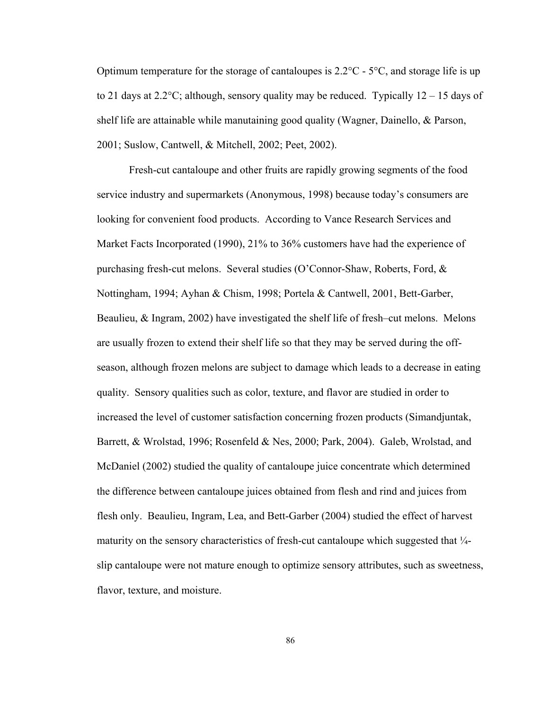Optimum temperature for the storage of cantaloupes is  $2.2^{\circ}\text{C}$  -  $5^{\circ}\text{C}$ , and storage life is up to 21 days at 2.2°C; although, sensory quality may be reduced. Typically  $12 - 15$  days of shelf life are attainable while manutaining good quality (Wagner, Dainello, & Parson, 2001; Suslow, Cantwell, & Mitchell, 2002; Peet, 2002).

Fresh-cut cantaloupe and other fruits are rapidly growing segments of the food service industry and supermarkets (Anonymous, 1998) because today's consumers are looking for convenient food products. According to Vance Research Services and Market Facts Incorporated (1990), 21% to 36% customers have had the experience of purchasing fresh-cut melons. Several studies (O'Connor-Shaw, Roberts, Ford, & Nottingham, 1994; Ayhan & Chism, 1998; Portela & Cantwell, 2001, Bett-Garber, Beaulieu, & Ingram, 2002) have investigated the shelf life of fresh–cut melons. Melons are usually frozen to extend their shelf life so that they may be served during the offseason, although frozen melons are subject to damage which leads to a decrease in eating quality. Sensory qualities such as color, texture, and flavor are studied in order to increased the level of customer satisfaction concerning frozen products (Simandjuntak, Barrett, & Wrolstad, 1996; Rosenfeld & Nes, 2000; Park, 2004). Galeb, Wrolstad, and McDaniel (2002) studied the quality of cantaloupe juice concentrate which determined the difference between cantaloupe juices obtained from flesh and rind and juices from flesh only. Beaulieu, Ingram, Lea, and Bett-Garber (2004) studied the effect of harvest maturity on the sensory characteristics of fresh-cut cantaloupe which suggested that <sup>1</sup>/<sub>4</sub>slip cantaloupe were not mature enough to optimize sensory attributes, such as sweetness, flavor, texture, and moisture.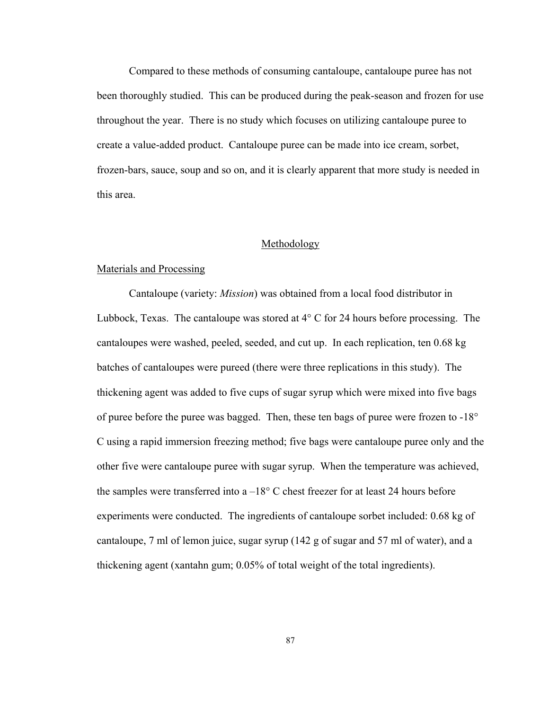Compared to these methods of consuming cantaloupe, cantaloupe puree has not been thoroughly studied. This can be produced during the peak-season and frozen for use throughout the year. There is no study which focuses on utilizing cantaloupe puree to create a value-added product. Cantaloupe puree can be made into ice cream, sorbet, frozen-bars, sauce, soup and so on, and it is clearly apparent that more study is needed in this area.

## Methodology

#### Materials and Processing

Cantaloupe (variety: *Mission*) was obtained from a local food distributor in Lubbock, Texas. The cantaloupe was stored at 4° C for 24 hours before processing. The cantaloupes were washed, peeled, seeded, and cut up. In each replication, ten 0.68 kg batches of cantaloupes were pureed (there were three replications in this study). The thickening agent was added to five cups of sugar syrup which were mixed into five bags of puree before the puree was bagged. Then, these ten bags of puree were frozen to -18° C using a rapid immersion freezing method; five bags were cantaloupe puree only and the other five were cantaloupe puree with sugar syrup. When the temperature was achieved, the samples were transferred into  $a-18^\circ$  C chest freezer for at least 24 hours before experiments were conducted. The ingredients of cantaloupe sorbet included: 0.68 kg of cantaloupe, 7 ml of lemon juice, sugar syrup (142 g of sugar and 57 ml of water), and a thickening agent (xantahn gum; 0.05% of total weight of the total ingredients).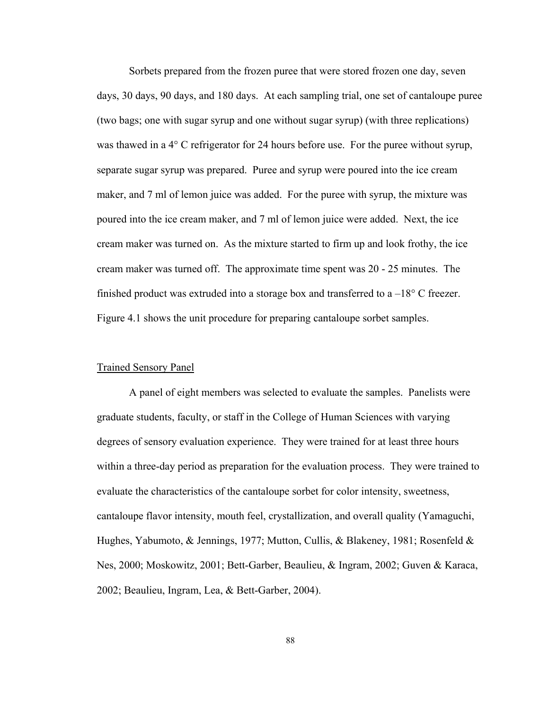Sorbets prepared from the frozen puree that were stored frozen one day, seven days, 30 days, 90 days, and 180 days. At each sampling trial, one set of cantaloupe puree (two bags; one with sugar syrup and one without sugar syrup) (with three replications) was thawed in a 4<sup>o</sup> C refrigerator for 24 hours before use. For the puree without syrup, separate sugar syrup was prepared. Puree and syrup were poured into the ice cream maker, and 7 ml of lemon juice was added. For the puree with syrup, the mixture was poured into the ice cream maker, and 7 ml of lemon juice were added. Next, the ice cream maker was turned on. As the mixture started to firm up and look frothy, the ice cream maker was turned off. The approximate time spent was 20 - 25 minutes. The finished product was extruded into a storage box and transferred to  $a -18^{\circ}$  C freezer. Figure 4.1 shows the unit procedure for preparing cantaloupe sorbet samples.

## Trained Sensory Panel

A panel of eight members was selected to evaluate the samples. Panelists were graduate students, faculty, or staff in the College of Human Sciences with varying degrees of sensory evaluation experience. They were trained for at least three hours within a three-day period as preparation for the evaluation process. They were trained to evaluate the characteristics of the cantaloupe sorbet for color intensity, sweetness, cantaloupe flavor intensity, mouth feel, crystallization, and overall quality (Yamaguchi, Hughes, Yabumoto, & Jennings, 1977; Mutton, Cullis, & Blakeney, 1981; Rosenfeld & Nes, 2000; Moskowitz, 2001; Bett-Garber, Beaulieu, & Ingram, 2002; Guven & Karaca, 2002; Beaulieu, Ingram, Lea, & Bett-Garber, 2004).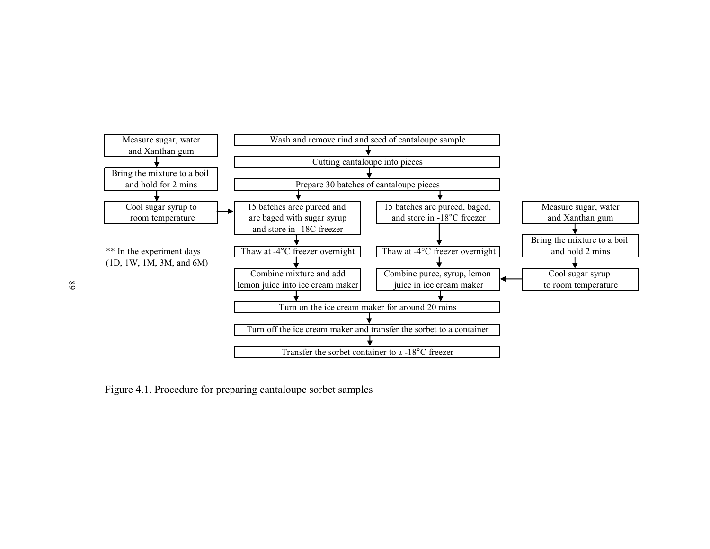

Figure 4.1. Procedure for preparing cantaloupe sorbet samples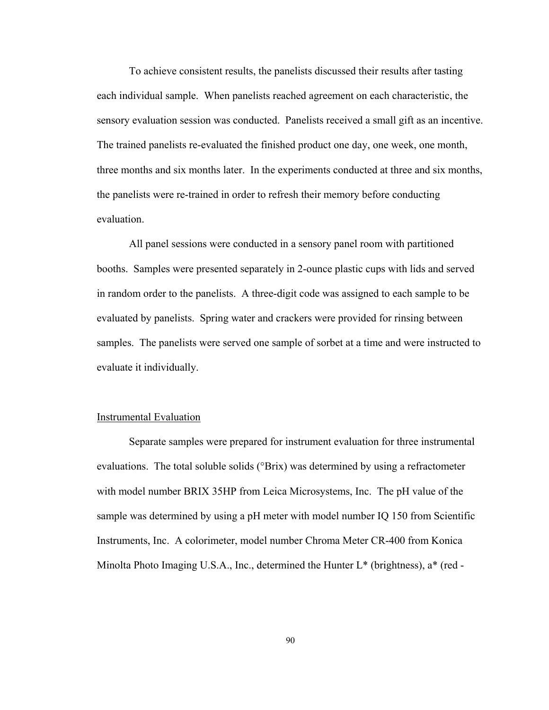To achieve consistent results, the panelists discussed their results after tasting each individual sample. When panelists reached agreement on each characteristic, the sensory evaluation session was conducted. Panelists received a small gift as an incentive. The trained panelists re-evaluated the finished product one day, one week, one month, three months and six months later. In the experiments conducted at three and six months, the panelists were re-trained in order to refresh their memory before conducting evaluation.

All panel sessions were conducted in a sensory panel room with partitioned booths. Samples were presented separately in 2-ounce plastic cups with lids and served in random order to the panelists. A three-digit code was assigned to each sample to be evaluated by panelists. Spring water and crackers were provided for rinsing between samples. The panelists were served one sample of sorbet at a time and were instructed to evaluate it individually.

#### Instrumental Evaluation

Separate samples were prepared for instrument evaluation for three instrumental evaluations. The total soluble solids (°Brix) was determined by using a refractometer with model number BRIX 35HP from Leica Microsystems, Inc. The pH value of the sample was determined by using a pH meter with model number IQ 150 from Scientific Instruments, Inc. A colorimeter, model number Chroma Meter CR-400 from Konica Minolta Photo Imaging U.S.A., Inc., determined the Hunter L\* (brightness), a\* (red -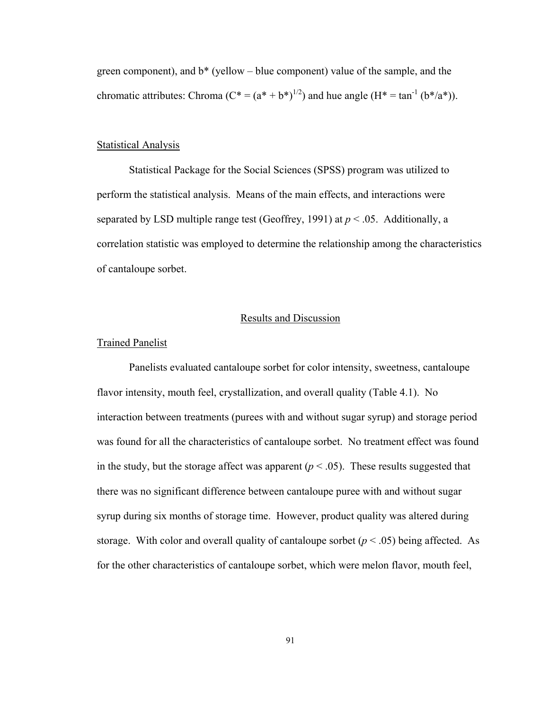green component), and b\* (yellow – blue component) value of the sample, and the chromatic attributes: Chroma  $(C^* = (a^* + b^*)^{1/2})$  and hue angle  $(H^* = \tan^{-1} (b^*/a^*))$ .

## Statistical Analysis

Statistical Package for the Social Sciences (SPSS) program was utilized to perform the statistical analysis. Means of the main effects, and interactions were separated by LSD multiple range test (Geoffrey, 1991) at  $p < .05$ . Additionally, a correlation statistic was employed to determine the relationship among the characteristics of cantaloupe sorbet.

## Results and Discussion

## Trained Panelist

Panelists evaluated cantaloupe sorbet for color intensity, sweetness, cantaloupe flavor intensity, mouth feel, crystallization, and overall quality (Table 4.1). No interaction between treatments (purees with and without sugar syrup) and storage period was found for all the characteristics of cantaloupe sorbet. No treatment effect was found in the study, but the storage affect was apparent  $(p < .05)$ . These results suggested that there was no significant difference between cantaloupe puree with and without sugar syrup during six months of storage time. However, product quality was altered during storage. With color and overall quality of cantaloupe sorbet  $(p < .05)$  being affected. As for the other characteristics of cantaloupe sorbet, which were melon flavor, mouth feel,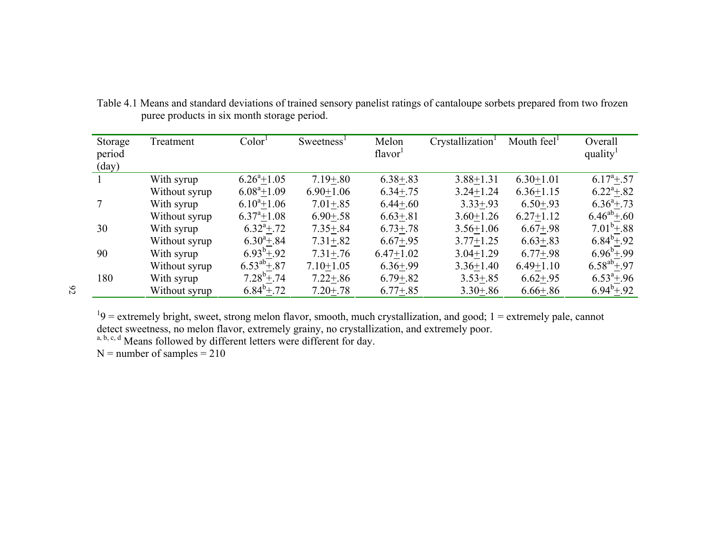| Storage        | Treatment     | Color <sup>1</sup>        | Sweetness <sup>1</sup> | Melon               | Crystallization <sup>1</sup> | Mouth $feelT$ | Overall                   |
|----------------|---------------|---------------------------|------------------------|---------------------|------------------------------|---------------|---------------------------|
| period         |               |                           |                        | flavor <sup>1</sup> |                              |               | quality                   |
| $\text{(day)}$ |               |                           |                        |                     |                              |               |                           |
|                | With syrup    | $6.26^{\circ}+1.05$       | $7.19 + .80$           | $6.38 + .83$        | $3.88 + 1.31$                | $6.30 + 1.01$ | $6.17^{\circ}$ + 57       |
|                | Without syrup | $6.08^{\circ}+1.09$       | $6.90 + 1.06$          | $6.34 + .75$        | $3.24 + 1.24$                | $6.36 + 1.15$ | $6.22^{\mathrm{a}} + .82$ |
| 7              | With syrup    | $6.10^{a} + 1.06$         | $7.01 + .85$           | $6.44 + .60$        | $3.33 + .93$                 | $6.50 + .93$  | $6.36^{\circ}$ +.73       |
|                | Without syrup | $6.37^{\circ}+1.08$       | $6.90 + .58$           | $6.63 + .81$        | $3.60 + 1.26$                | $6.27 + 1.12$ | $6.46^{ab}+.60$           |
| 30             | With syrup    | $6.32^{\mathrm{a}} + .72$ | $7.35 + .84$           | $6.73 + .78$        | $3.56 + 1.06$                | $6.67 + .98$  | $7.01^b + .88$            |
|                | Without syrup | $6.30^{\circ}$ +.84       | $7.31 + .82$           | $6.67 + .95$        | $3.77 + 1.25$                | $6.63 + .83$  | $6.84^b + .92$            |
| 90             | With syrup    | $6.93^{b}+.92$            | $7.31 + .76$           | $6.47 + 1.02$       | $3.04 + 1.29$                | $6.77 + .98$  | $6.96^{\circ}+0.99$       |
|                | Without syrup | $6.53^{ab}+.87$           | $7.10 + 1.05$          | $6.36 + .99$        | $3.36 + 1.40$                | $6.49 + 1.10$ | $6.58^{ab}+.97$           |
| 180            | With syrup    | $7.28^b+.74$              | $7.22 + .86$           | $6.79 + .82$        | $3.53 + .85$                 | $6.62 + .95$  | $6.53^{\text{a}} + .96$   |
|                | Without syrup | $6.84^b+.72$              | $7.20 + .78$           | $6.77 + .85$        | $3.30 + .86$                 | $6.66 + .86$  | $6.94^b + 0.92$           |

Table 4.1 Means and standard deviations of trained sensory panelist ratings of cantaloupe sorbets prepared from two frozen puree products in six month storage period.

 $19$  = extremely bright, sweet, strong melon flavor, smooth, much crystallization, and good; 1 = extremely pale, cannot detect sweetness, no melon flavor, extremely grainy, no crystallization, and extremely poor.

a, b, c, d Means followed by different letters were different for day.

 $N =$  number of samples  $= 210$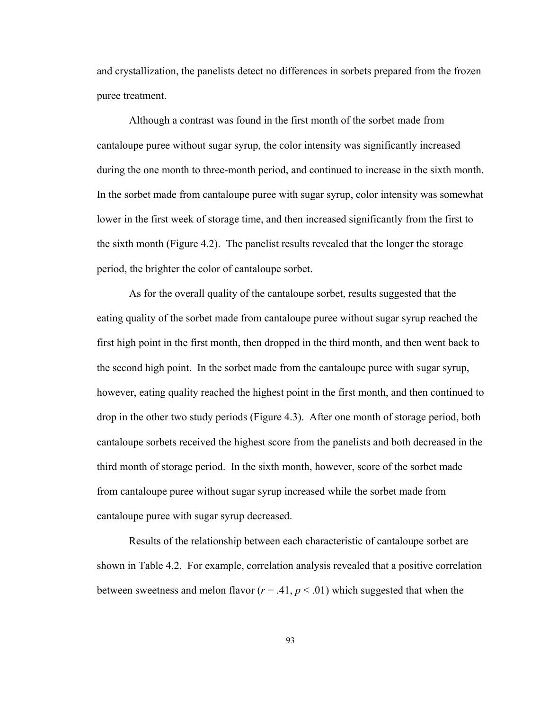and crystallization, the panelists detect no differences in sorbets prepared from the frozen puree treatment.

Although a contrast was found in the first month of the sorbet made from cantaloupe puree without sugar syrup, the color intensity was significantly increased during the one month to three-month period, and continued to increase in the sixth month. In the sorbet made from cantaloupe puree with sugar syrup, color intensity was somewhat lower in the first week of storage time, and then increased significantly from the first to the sixth month (Figure 4.2). The panelist results revealed that the longer the storage period, the brighter the color of cantaloupe sorbet.

As for the overall quality of the cantaloupe sorbet, results suggested that the eating quality of the sorbet made from cantaloupe puree without sugar syrup reached the first high point in the first month, then dropped in the third month, and then went back to the second high point. In the sorbet made from the cantaloupe puree with sugar syrup, however, eating quality reached the highest point in the first month, and then continued to drop in the other two study periods (Figure 4.3). After one month of storage period, both cantaloupe sorbets received the highest score from the panelists and both decreased in the third month of storage period. In the sixth month, however, score of the sorbet made from cantaloupe puree without sugar syrup increased while the sorbet made from cantaloupe puree with sugar syrup decreased.

Results of the relationship between each characteristic of cantaloupe sorbet are shown in Table 4.2. For example, correlation analysis revealed that a positive correlation between sweetness and melon flavor ( $r = .41$ ,  $p < .01$ ) which suggested that when the

93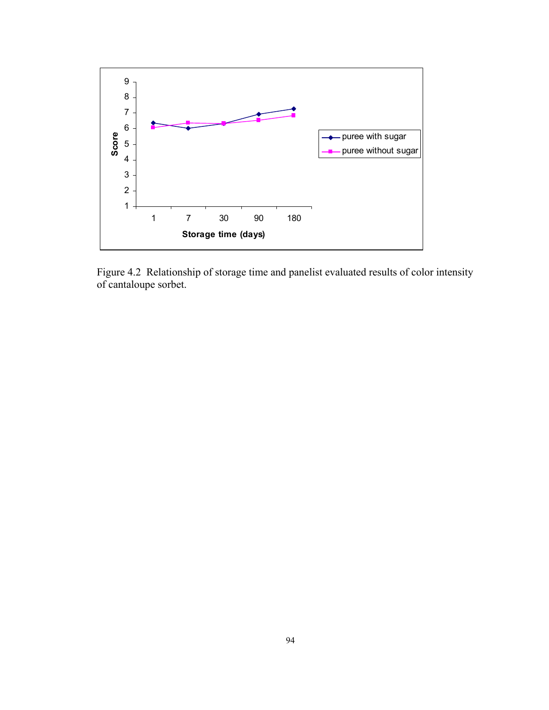

Figure 4.2 Relationship of storage time and panelist evaluated results of color intensity of cantaloupe sorbet.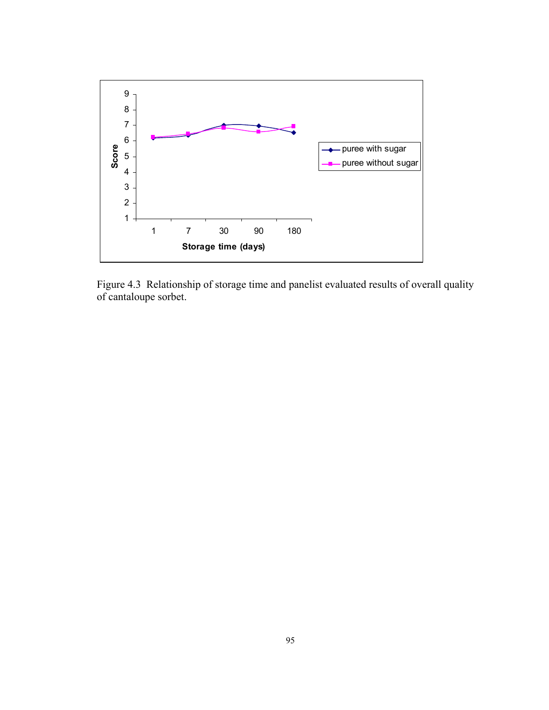

Figure 4.3 Relationship of storage time and panelist evaluated results of overall quality of cantaloupe sorbet.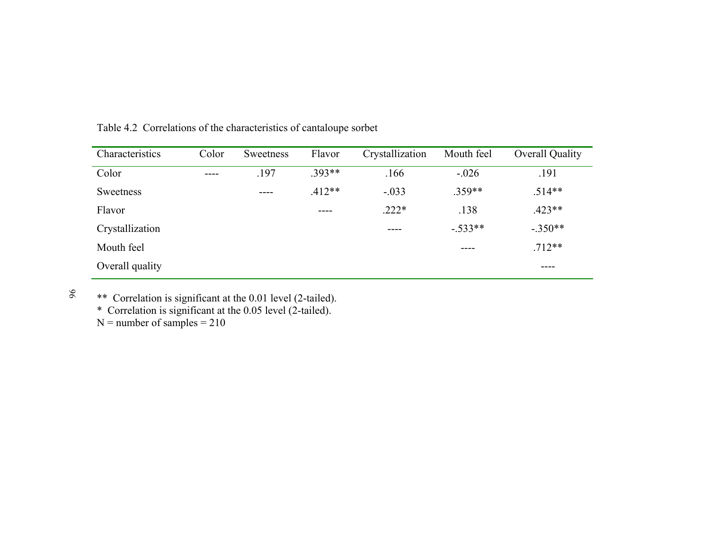| Characteristics | Color | Sweetness | Flavor   | Crystallization | Mouth feel | Overall Quality |
|-----------------|-------|-----------|----------|-----------------|------------|-----------------|
| Color           | ----  | .197      | $.393**$ | .166            | $-.026$    | .191            |
| Sweetness       |       | ----      | $.412**$ | $-.033$         | $.359**$   | $.514**$        |
| Flavor          |       |           | ----     | $.222*$         | .138       | $.423**$        |
| Crystallization |       |           |          | ----            | $-.533**$  | $-.350**$       |
| Mouth feel      |       |           |          |                 | ----       | $.712**$        |
| Overall quality |       |           |          |                 |            | ----            |

Table 4.2 Correlations of the characteristics of cantaloupe sorbet

96

\*\* Correlation is significant at the 0.01 level (2-tailed).

\* Correlation is significant at the 0.05 level (2-tailed).

 $N =$  number of samples  $= 210$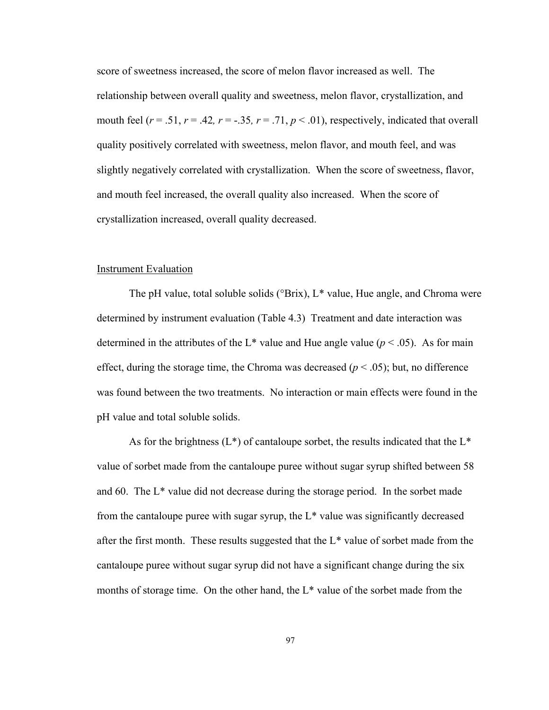score of sweetness increased, the score of melon flavor increased as well. The relationship between overall quality and sweetness, melon flavor, crystallization, and mouth feel ( $r = .51$ ,  $r = .42$ ,  $r = -.35$ ,  $r = .71$ ,  $p < .01$ ), respectively, indicated that overall quality positively correlated with sweetness, melon flavor, and mouth feel, and was slightly negatively correlated with crystallization. When the score of sweetness, flavor, and mouth feel increased, the overall quality also increased. When the score of crystallization increased, overall quality decreased.

## Instrument Evaluation

The pH value, total soluble solids ( $\text{Prix}$ ),  $L^*$  value, Hue angle, and Chroma were determined by instrument evaluation (Table 4.3) Treatment and date interaction was determined in the attributes of the  $L^*$  value and Hue angle value ( $p < .05$ ). As for main effect, during the storage time, the Chroma was decreased  $(p < .05)$ ; but, no difference was found between the two treatments. No interaction or main effects were found in the pH value and total soluble solids.

As for the brightness  $(L^*)$  of cantaloupe sorbet, the results indicated that the  $L^*$ value of sorbet made from the cantaloupe puree without sugar syrup shifted between 58 and 60. The L\* value did not decrease during the storage period. In the sorbet made from the cantaloupe puree with sugar syrup, the L\* value was significantly decreased after the first month. These results suggested that the  $L^*$  value of sorbet made from the cantaloupe puree without sugar syrup did not have a significant change during the six months of storage time. On the other hand, the L\* value of the sorbet made from the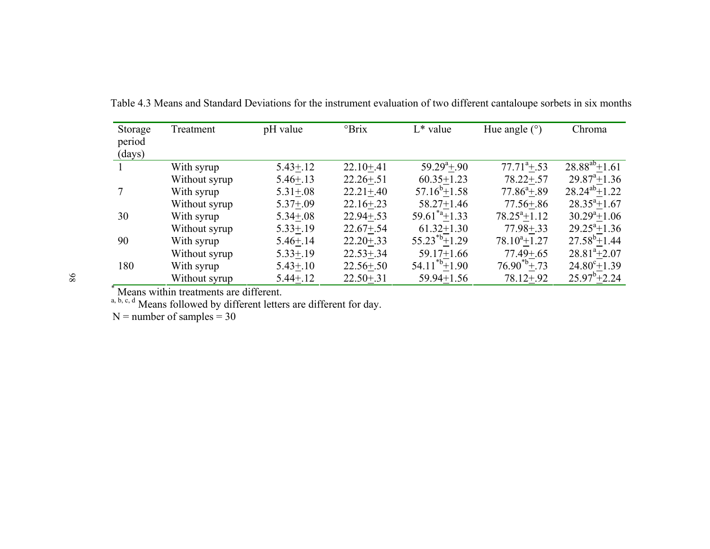| Storage | Treatment     | pH value     | $\mathrm{Prix}$ | $L^*$ value              | Hue angle $(°)$      | Chroma               |
|---------|---------------|--------------|-----------------|--------------------------|----------------------|----------------------|
| period  |               |              |                 |                          |                      |                      |
| (days)  |               |              |                 |                          |                      |                      |
|         | With syrup    | $5.43 + 12$  | $22.10 + .41$   | $59.29^{a}+.90$          | $77.71^{a}+.53$      | $28.88^{ab}+1.61$    |
|         | Without syrup | $5.46 + .13$ | $22.26 + 0.51$  | $60.35 + 1.23$           | $78.22 + .57$        | $29.87^{\circ}+1.36$ |
|         | With syrup    | $5.31 + .08$ | $22.21 + .40$   | $57.16^{b}+1.58$         | $77.86^{\circ}+0.89$ | $28.24^{ab}+1.22$    |
|         | Without syrup | $5.37 + .09$ | $22.16 + 23$    | $58.27 + 1.46$           | $77.56 + .86$        | $28.35^{\circ}+1.67$ |
| 30      | With syrup    | $5.34 + .08$ | $22.94 + 0.53$  | $59.61^{*a}+1.33$        | $78.25^{\circ}+1.12$ | $30.29^{a} + 1.06$   |
|         | Without syrup | $5.33 + .19$ | $22.67 + .54$   | $61.32 + 1.30$           | $77.98 + .33$        | $29.25^{\circ}+1.36$ |
| 90      | With syrup    | $5.46 + .14$ | $22.20 + 33$    | $55.23^{\text{th}}+1.29$ | $78.10^{a} + 1.27$   | $27.58^{b}+1.44$     |
|         | Without syrup | $5.33 + .19$ | $22.53 + .34$   | $59.17 + 1.66$           | $77.49 + 65$         | $28.81^{a}+2.07$     |
| 180     | With syrup    | $5.43 + .10$ | $22.56 + 0.50$  | $54.11^{*b} + 1.90$      | $76.90^{*b}+.73$     | $24.80^{\circ}+1.39$ |
|         | Without syrup | $5.44 + 12$  | $22.50 + .31$   | $59.94 + 1.56$           | $78.12 + .92$        | $25.97^b + 2.24$     |

Table 4.3 Means and Standard Deviations for the instrument evaluation of two different cantaloupe sorbets in six months

\* Means within treatments are different.<br>  $a, b, c, d$  Means followed by different letters are different for day.

 $N =$  number of samples  $= 30$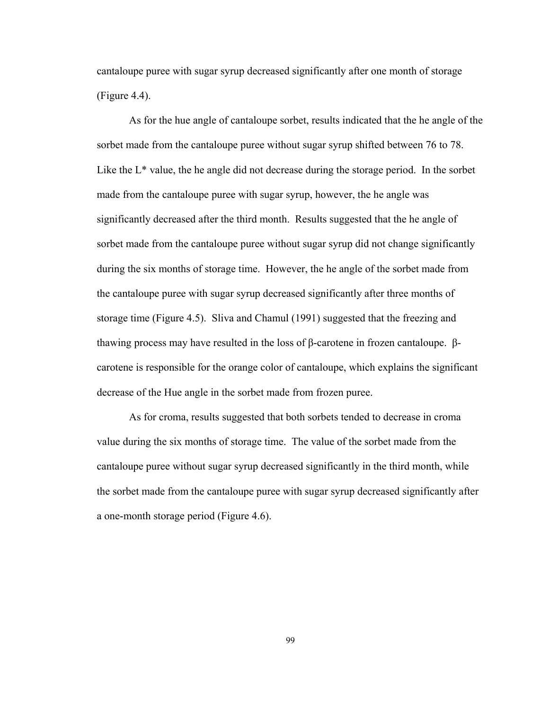cantaloupe puree with sugar syrup decreased significantly after one month of storage (Figure 4.4).

As for the hue angle of cantaloupe sorbet, results indicated that the he angle of the sorbet made from the cantaloupe puree without sugar syrup shifted between 76 to 78. Like the L\* value, the he angle did not decrease during the storage period. In the sorbet made from the cantaloupe puree with sugar syrup, however, the he angle was significantly decreased after the third month. Results suggested that the he angle of sorbet made from the cantaloupe puree without sugar syrup did not change significantly during the six months of storage time. However, the he angle of the sorbet made from the cantaloupe puree with sugar syrup decreased significantly after three months of storage time (Figure 4.5). Sliva and Chamul (1991) suggested that the freezing and thawing process may have resulted in the loss of β-carotene in frozen cantaloupe. βcarotene is responsible for the orange color of cantaloupe, which explains the significant decrease of the Hue angle in the sorbet made from frozen puree.

As for croma, results suggested that both sorbets tended to decrease in croma value during the six months of storage time. The value of the sorbet made from the cantaloupe puree without sugar syrup decreased significantly in the third month, while the sorbet made from the cantaloupe puree with sugar syrup decreased significantly after a one-month storage period (Figure 4.6).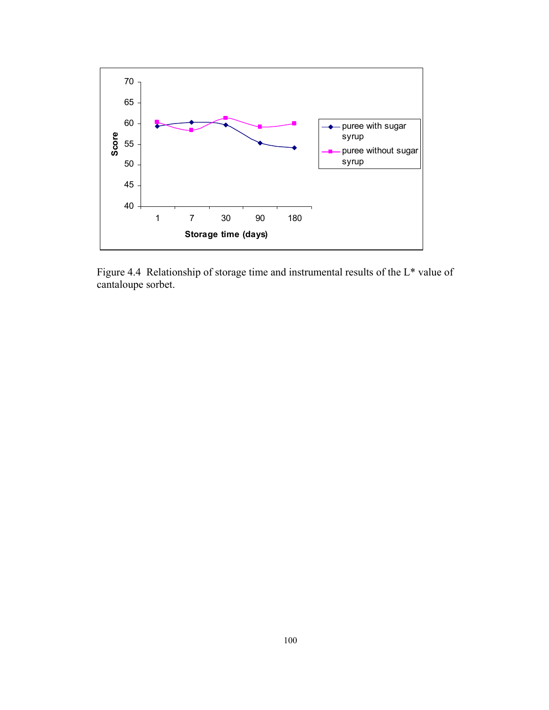

Figure 4.4 Relationship of storage time and instrumental results of the L\* value of cantaloupe sorbet.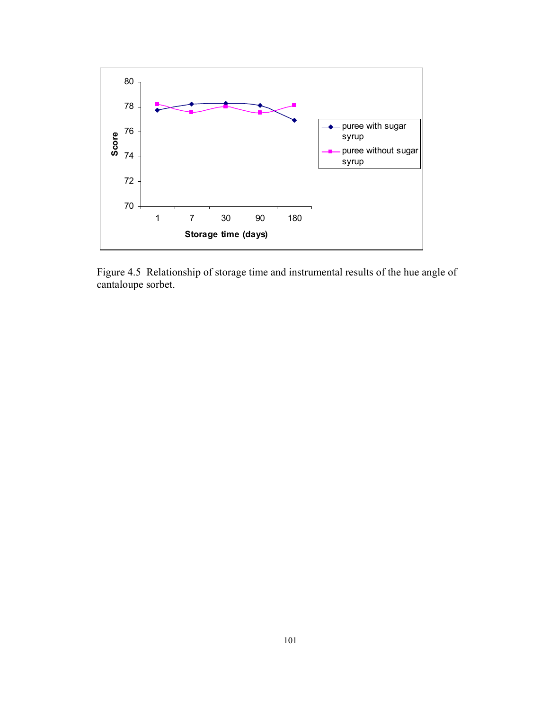

Figure 4.5 Relationship of storage time and instrumental results of the hue angle of cantaloupe sorbet.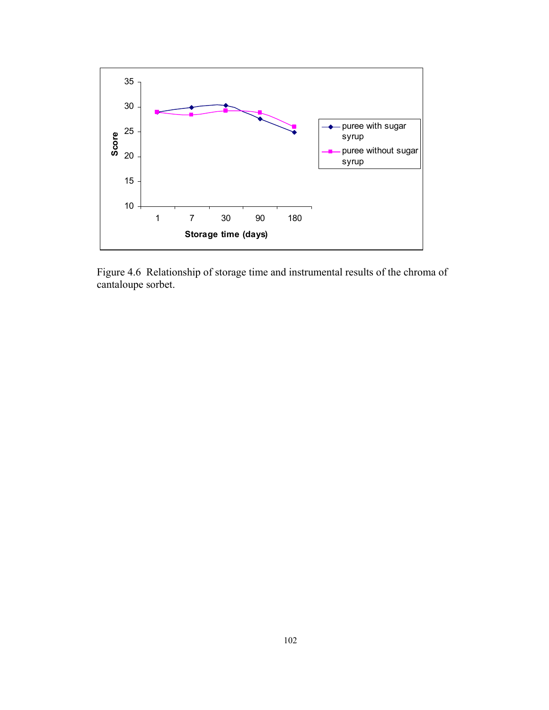

Figure 4.6 Relationship of storage time and instrumental results of the chroma of cantaloupe sorbet.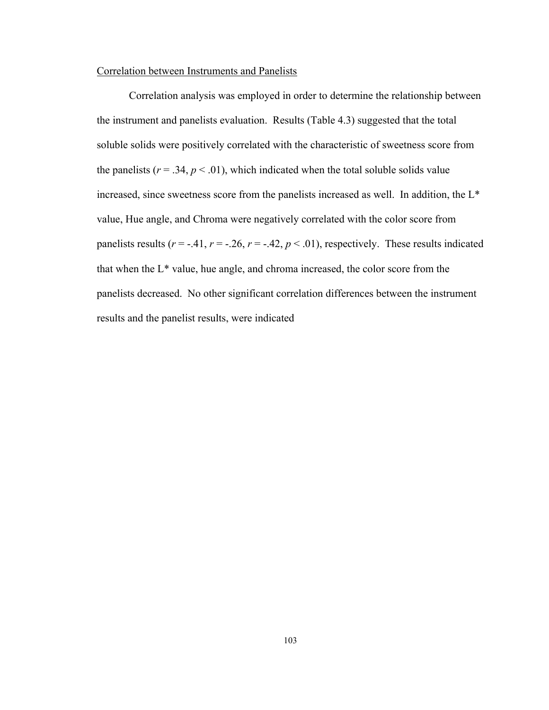### Correlation between Instruments and Panelists

Correlation analysis was employed in order to determine the relationship between the instrument and panelists evaluation. Results (Table 4.3) suggested that the total soluble solids were positively correlated with the characteristic of sweetness score from the panelists  $(r = .34, p < .01)$ , which indicated when the total soluble solids value increased, since sweetness score from the panelists increased as well. In addition, the L\* value, Hue angle, and Chroma were negatively correlated with the color score from panelists results  $(r = -0.41, r = -0.26, r = -0.42, p < 0.01)$ , respectively. These results indicated that when the L\* value, hue angle, and chroma increased, the color score from the panelists decreased. No other significant correlation differences between the instrument results and the panelist results, were indicated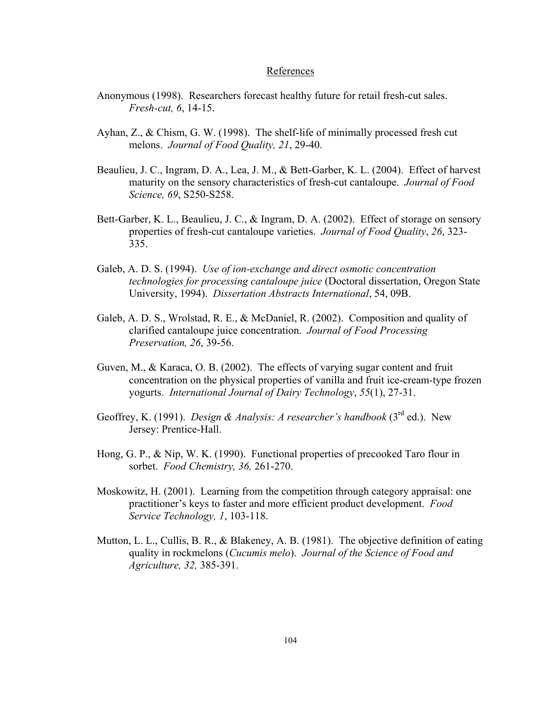#### References

- Anonymous (1998). Researchers forecast healthy future for retail fresh-cut sales. *Fresh-cut, 6*, 14-15.
- Ayhan, Z., & Chism, G. W. (1998). The shelf-life of minimally processed fresh cut melons. *Journal of Food Quality, 21*, 29-40.
- Beaulieu, J. C., Ingram, D. A., Lea, J. M., & Bett-Garber, K. L. (2004). Effect of harvest maturity on the sensory characteristics of fresh-cut cantaloupe. *Journal of Food Science, 69*, S250-S258.
- Bett-Garber, K. L., Beaulieu, J. C., & Ingram, D. A. (2002). Effect of storage on sensory properties of fresh-cut cantaloupe varieties. *Journal of Food Quality*, *26*, 323- 335.
- Galeb, A. D. S. (1994). *Use of ion-exchange and direct osmotic concentration technologies for processing cantaloupe juice* (Doctoral dissertation, Oregon State University, 1994). *Dissertation Abstracts International*, 54, 09B.
- Galeb, A. D. S., Wrolstad, R. E., & McDaniel, R. (2002). Composition and quality of clarified cantaloupe juice concentration. *Journal of Food Processing Preservation, 26*, 39-56.
- Guven, M., & Karaca, O. B. (2002). The effects of varying sugar content and fruit concentration on the physical properties of vanilla and fruit ice-cream-type frozen yogurts. *International Journal of Dairy Technology*, *55*(1), 27-31.
- Geoffrey, K. (1991). *Design & Analysis: A researcher's handbook* (3<sup>rd</sup> ed.). New Jersey: Prentice-Hall.
- Hong, G. P., & Nip, W. K. (1990). Functional properties of precooked Taro flour in sorbet. *Food Chemistry, 36,* 261-270.
- Moskowitz, H. (2001). Learning from the competition through category appraisal: one practitioner's keys to faster and more efficient product development. *Food Service Technology, 1*, 103-118.
- Mutton, L. L., Cullis, B. R., & Blakeney, A. B. (1981). The objective definition of eating quality in rockmelons (*Cucumis melo*). *Journal of the Science of Food and Agriculture, 32,* 385-391.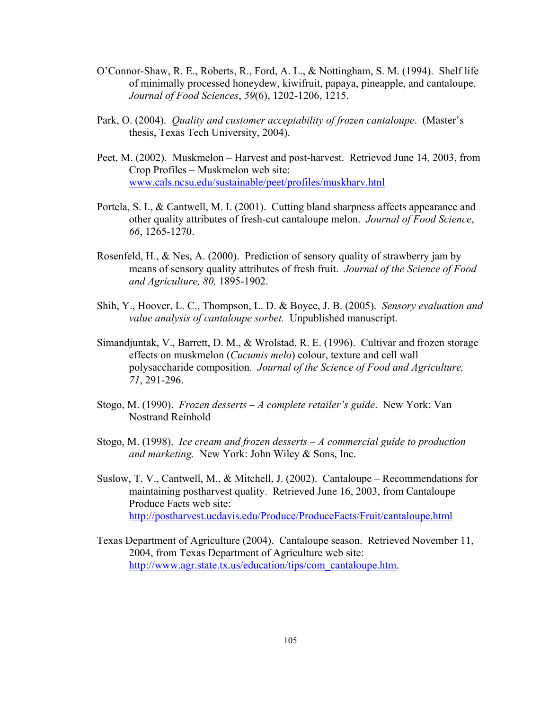- O'Connor-Shaw, R. E., Roberts, R., Ford, A. L., & Nottingham, S. M. (1994). Shelf life of minimally processed honeydew, kiwifruit, papaya, pineapple, and cantaloupe. *Journal of Food Sciences*, *59*(6), 1202-1206, 1215.
- Park, O. (2004). *Quality and customer acceptability of frozen cantaloupe*. (Master's thesis, Texas Tech University, 2004).
- Peet, M. (2002). Muskmelon Harvest and post-harvest. Retrieved June 14, 2003, from Crop Profiles – Muskmelon web site: www.cals.ncsu.edu/sustainable/peet/profiles/muskharv.htnl
- Portela, S. I., & Cantwell, M. I. (2001). Cutting bland sharpness affects appearance and other quality attributes of fresh-cut cantaloupe melon. *Journal of Food Science*, *66*, 1265-1270.
- Rosenfeld, H., & Nes, A. (2000). Prediction of sensory quality of strawberry jam by means of sensory quality attributes of fresh fruit. *Journal of the Science of Food and Agriculture, 80,* 1895-1902.
- Shih, Y., Hoover, L. C., Thompson, L. D. & Boyce, J. B. (2005). *Sensory evaluation and value analysis of cantaloupe sorbet.* Unpublished manuscript.
- Simandjuntak, V., Barrett, D. M., & Wrolstad, R. E. (1996). Cultivar and frozen storage effects on muskmelon (*Cucumis melo*) colour, texture and cell wall polysaccharide composition. *Journal of the Science of Food and Agriculture, 71*, 291-296.
- Stogo, M. (1990). *Frozen desserts A complete retailer's guide*. New York: Van Nostrand Reinhold
- Stogo, M. (1998). *Ice cream and frozen desserts A commercial guide to production and marketing.* New York: John Wiley & Sons, Inc.
- Suslow, T. V., Cantwell, M., & Mitchell, J. (2002). Cantaloupe Recommendations for maintaining postharvest quality. Retrieved June 16, 2003, from Cantaloupe Produce Facts web site: http://postharvest.ucdavis.edu/Produce/ProduceFacts/Fruit/cantaloupe.html
- Texas Department of Agriculture (2004). Cantaloupe season. Retrieved November 11, 2004, from Texas Department of Agriculture web site: http://www.agr.state.tx.us/education/tips/com\_cantaloupe.htm.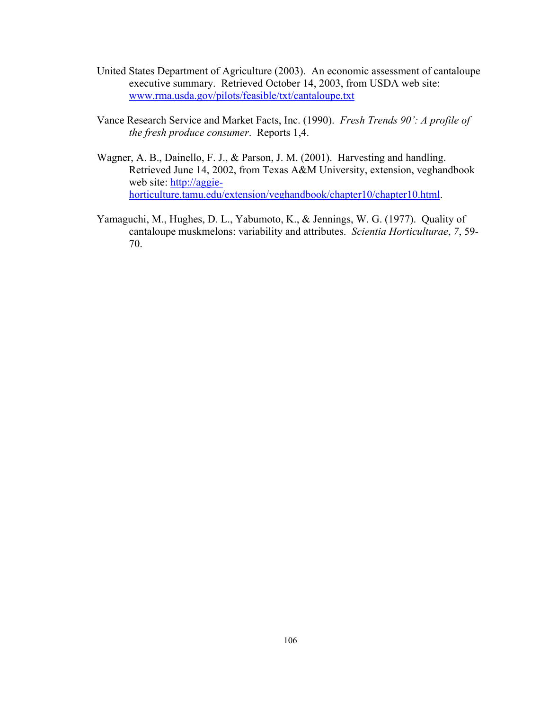- United States Department of Agriculture (2003). An economic assessment of cantaloupe executive summary. Retrieved October 14, 2003, from USDA web site: www.rma.usda.gov/pilots/feasible/txt/cantaloupe.txt
- Vance Research Service and Market Facts, Inc. (1990). *Fresh Trends 90': A profile of the fresh produce consumer*. Reports 1,4.
- Wagner, A. B., Dainello, F. J., & Parson, J. M. (2001). Harvesting and handling. Retrieved June 14, 2002, from Texas A&M University, extension, veghandbook web site: http://aggiehorticulture.tamu.edu/extension/veghandbook/chapter10/chapter10.html.
- Yamaguchi, M., Hughes, D. L., Yabumoto, K., & Jennings, W. G. (1977). Quality of cantaloupe muskmelons: variability and attributes. *Scientia Horticulturae*, *7*, 59- 70.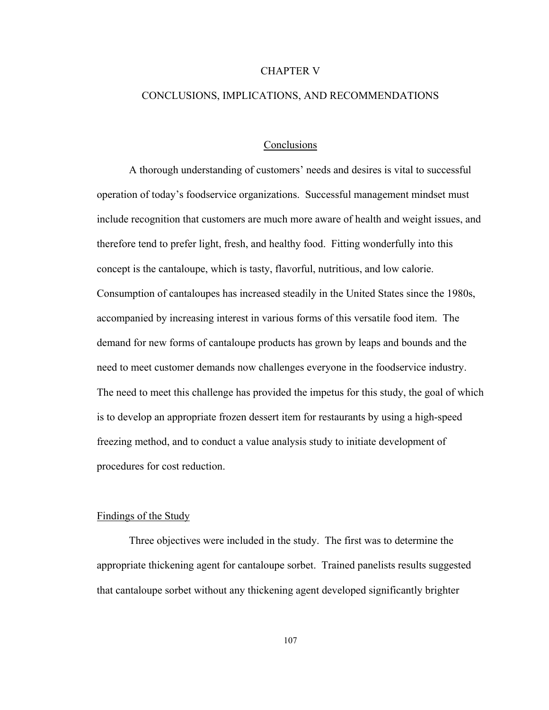### CHAPTER V

## CONCLUSIONS, IMPLICATIONS, AND RECOMMENDATIONS

## **Conclusions**

A thorough understanding of customers' needs and desires is vital to successful operation of today's foodservice organizations. Successful management mindset must include recognition that customers are much more aware of health and weight issues, and therefore tend to prefer light, fresh, and healthy food. Fitting wonderfully into this concept is the cantaloupe, which is tasty, flavorful, nutritious, and low calorie. Consumption of cantaloupes has increased steadily in the United States since the 1980s, accompanied by increasing interest in various forms of this versatile food item. The demand for new forms of cantaloupe products has grown by leaps and bounds and the need to meet customer demands now challenges everyone in the foodservice industry. The need to meet this challenge has provided the impetus for this study, the goal of which is to develop an appropriate frozen dessert item for restaurants by using a high-speed freezing method, and to conduct a value analysis study to initiate development of procedures for cost reduction.

## Findings of the Study

Three objectives were included in the study. The first was to determine the appropriate thickening agent for cantaloupe sorbet. Trained panelists results suggested that cantaloupe sorbet without any thickening agent developed significantly brighter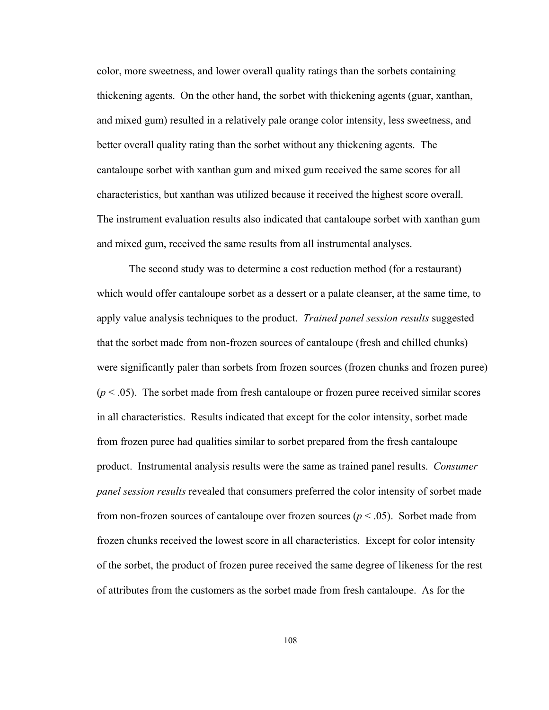color, more sweetness, and lower overall quality ratings than the sorbets containing thickening agents. On the other hand, the sorbet with thickening agents (guar, xanthan, and mixed gum) resulted in a relatively pale orange color intensity, less sweetness, and better overall quality rating than the sorbet without any thickening agents. The cantaloupe sorbet with xanthan gum and mixed gum received the same scores for all characteristics, but xanthan was utilized because it received the highest score overall. The instrument evaluation results also indicated that cantaloupe sorbet with xanthan gum and mixed gum, received the same results from all instrumental analyses.

The second study was to determine a cost reduction method (for a restaurant) which would offer cantaloupe sorbet as a dessert or a palate cleanser, at the same time, to apply value analysis techniques to the product. *Trained panel session results* suggested that the sorbet made from non-frozen sources of cantaloupe (fresh and chilled chunks) were significantly paler than sorbets from frozen sources (frozen chunks and frozen puree)  $(p < .05)$ . The sorbet made from fresh cantaloupe or frozen puree received similar scores in all characteristics. Results indicated that except for the color intensity, sorbet made from frozen puree had qualities similar to sorbet prepared from the fresh cantaloupe product. Instrumental analysis results were the same as trained panel results. *Consumer panel session results* revealed that consumers preferred the color intensity of sorbet made from non-frozen sources of cantaloupe over frozen sources ( $p < .05$ ). Sorbet made from frozen chunks received the lowest score in all characteristics. Except for color intensity of the sorbet, the product of frozen puree received the same degree of likeness for the rest of attributes from the customers as the sorbet made from fresh cantaloupe. As for the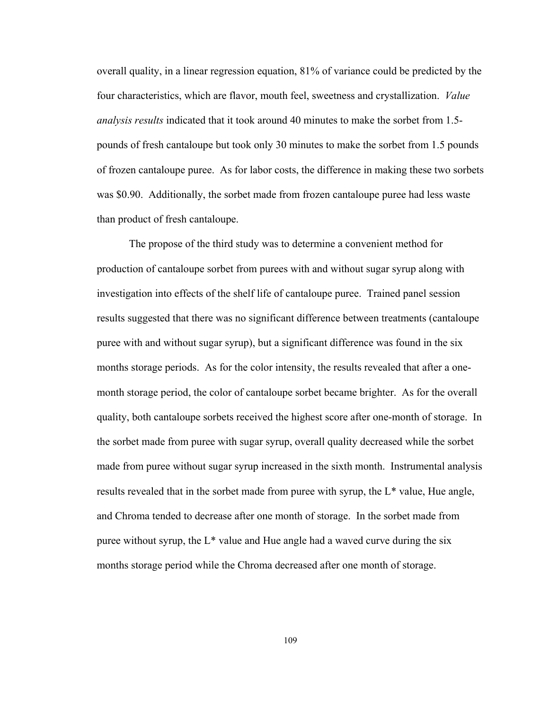overall quality, in a linear regression equation, 81% of variance could be predicted by the four characteristics, which are flavor, mouth feel, sweetness and crystallization. *Value analysis results* indicated that it took around 40 minutes to make the sorbet from 1.5 pounds of fresh cantaloupe but took only 30 minutes to make the sorbet from 1.5 pounds of frozen cantaloupe puree. As for labor costs, the difference in making these two sorbets was \$0.90. Additionally, the sorbet made from frozen cantaloupe puree had less waste than product of fresh cantaloupe.

The propose of the third study was to determine a convenient method for production of cantaloupe sorbet from purees with and without sugar syrup along with investigation into effects of the shelf life of cantaloupe puree. Trained panel session results suggested that there was no significant difference between treatments (cantaloupe puree with and without sugar syrup), but a significant difference was found in the six months storage periods. As for the color intensity, the results revealed that after a onemonth storage period, the color of cantaloupe sorbet became brighter. As for the overall quality, both cantaloupe sorbets received the highest score after one-month of storage. In the sorbet made from puree with sugar syrup, overall quality decreased while the sorbet made from puree without sugar syrup increased in the sixth month. Instrumental analysis results revealed that in the sorbet made from puree with syrup, the  $L^*$  value, Hue angle, and Chroma tended to decrease after one month of storage. In the sorbet made from puree without syrup, the L\* value and Hue angle had a waved curve during the six months storage period while the Chroma decreased after one month of storage.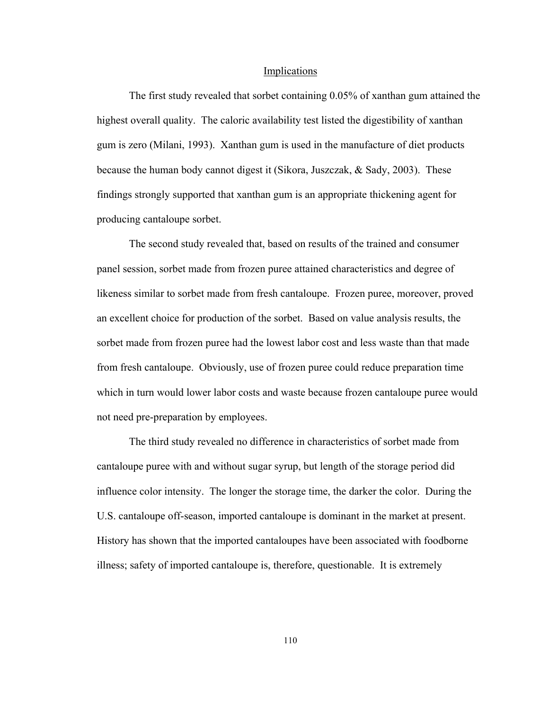#### Implications

The first study revealed that sorbet containing 0.05% of xanthan gum attained the highest overall quality. The caloric availability test listed the digestibility of xanthan gum is zero (Milani, 1993). Xanthan gum is used in the manufacture of diet products because the human body cannot digest it (Sikora, Juszczak, & Sady, 2003). These findings strongly supported that xanthan gum is an appropriate thickening agent for producing cantaloupe sorbet.

The second study revealed that, based on results of the trained and consumer panel session, sorbet made from frozen puree attained characteristics and degree of likeness similar to sorbet made from fresh cantaloupe. Frozen puree, moreover, proved an excellent choice for production of the sorbet. Based on value analysis results, the sorbet made from frozen puree had the lowest labor cost and less waste than that made from fresh cantaloupe. Obviously, use of frozen puree could reduce preparation time which in turn would lower labor costs and waste because frozen cantaloupe puree would not need pre-preparation by employees.

The third study revealed no difference in characteristics of sorbet made from cantaloupe puree with and without sugar syrup, but length of the storage period did influence color intensity. The longer the storage time, the darker the color. During the U.S. cantaloupe off-season, imported cantaloupe is dominant in the market at present. History has shown that the imported cantaloupes have been associated with foodborne illness; safety of imported cantaloupe is, therefore, questionable. It is extremely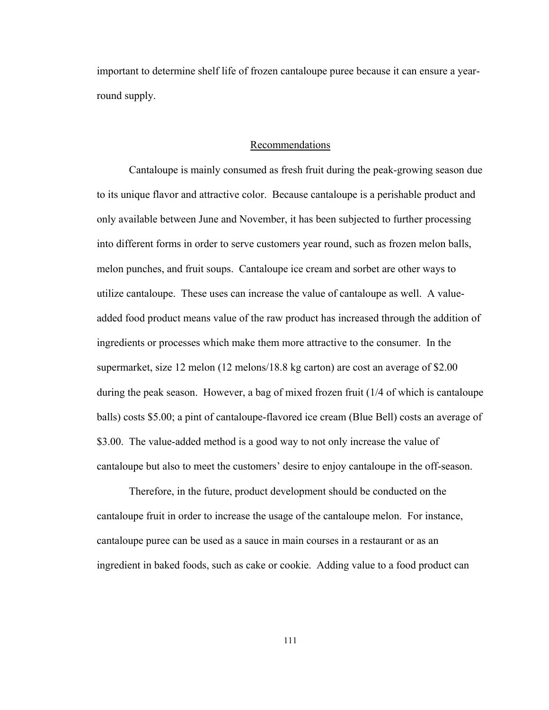important to determine shelf life of frozen cantaloupe puree because it can ensure a yearround supply.

### Recommendations

Cantaloupe is mainly consumed as fresh fruit during the peak-growing season due to its unique flavor and attractive color. Because cantaloupe is a perishable product and only available between June and November, it has been subjected to further processing into different forms in order to serve customers year round, such as frozen melon balls, melon punches, and fruit soups. Cantaloupe ice cream and sorbet are other ways to utilize cantaloupe. These uses can increase the value of cantaloupe as well. A valueadded food product means value of the raw product has increased through the addition of ingredients or processes which make them more attractive to the consumer. In the supermarket, size 12 melon (12 melons/18.8 kg carton) are cost an average of \$2.00 during the peak season. However, a bag of mixed frozen fruit (1/4 of which is cantaloupe balls) costs \$5.00; a pint of cantaloupe-flavored ice cream (Blue Bell) costs an average of \$3.00. The value-added method is a good way to not only increase the value of cantaloupe but also to meet the customers' desire to enjoy cantaloupe in the off-season.

Therefore, in the future, product development should be conducted on the cantaloupe fruit in order to increase the usage of the cantaloupe melon. For instance, cantaloupe puree can be used as a sauce in main courses in a restaurant or as an ingredient in baked foods, such as cake or cookie. Adding value to a food product can

111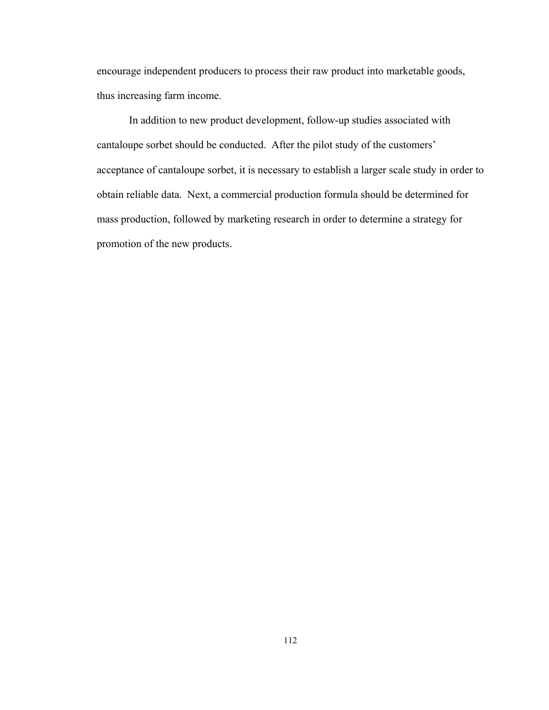encourage independent producers to process their raw product into marketable goods, thus increasing farm income.

In addition to new product development, follow-up studies associated with cantaloupe sorbet should be conducted. After the pilot study of the customers' acceptance of cantaloupe sorbet, it is necessary to establish a larger scale study in order to obtain reliable data. Next, a commercial production formula should be determined for mass production, followed by marketing research in order to determine a strategy for promotion of the new products.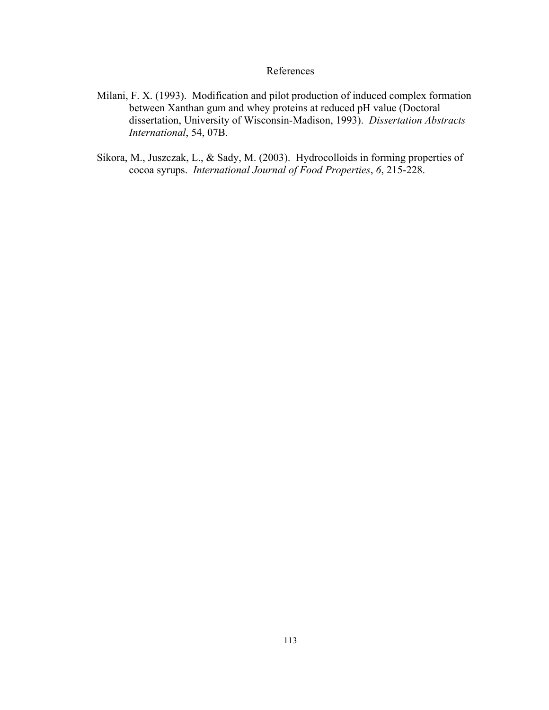## **References**

- Milani, F. X. (1993). Modification and pilot production of induced complex formation between Xanthan gum and whey proteins at reduced pH value (Doctoral dissertation, University of Wisconsin-Madison, 1993). *Dissertation Abstracts International*, 54, 07B.
- Sikora, M., Juszczak, L., & Sady, M. (2003). Hydrocolloids in forming properties of cocoa syrups. *International Journal of Food Properties*, *6*, 215-228.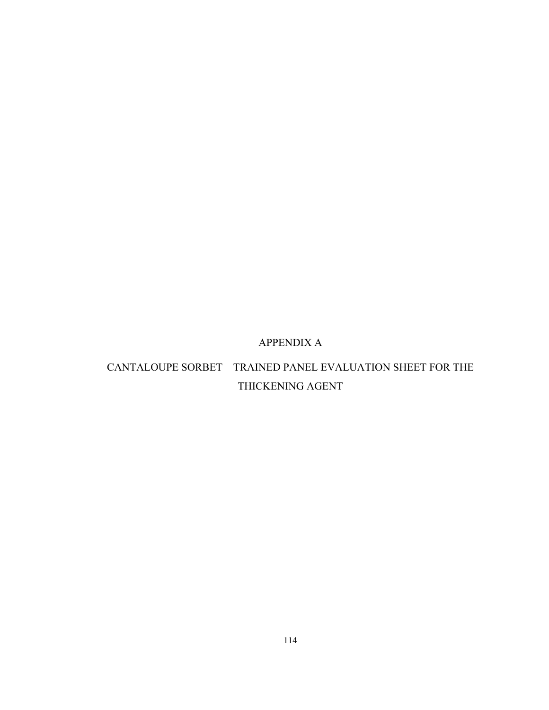# APPENDIX A

# CANTALOUPE SORBET – TRAINED PANEL EVALUATION SHEET FOR THE THICKENING AGENT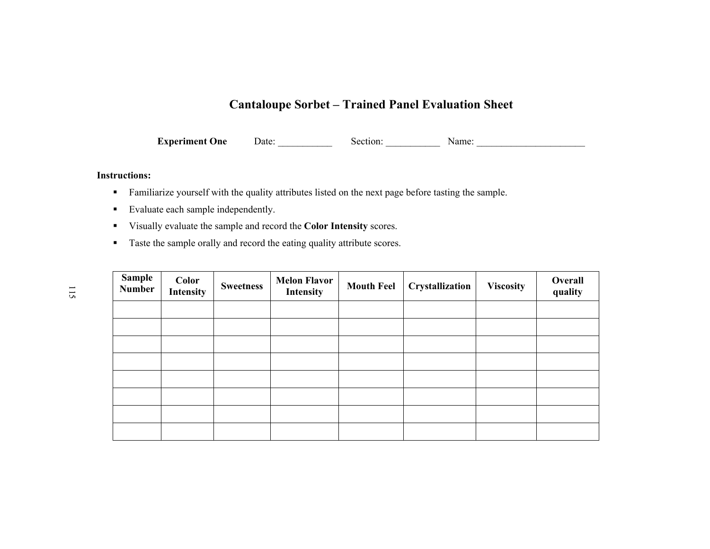# **Cantaloupe Sorbet – Trained Panel Evaluation Sheet**

**Experiment One** Date: <u>Date:</u> Section: Name: Name:

#### **Instructions:**

- **Familiarize yourself with the quality attributes listed on the next page before tasting the sample.**
- Evaluate each sample independently.
- Visually evaluate the sample and record the **Color Intensity** scores.
- **Taste the sample orally and record the eating quality attribute scores.**

| <b>Sample</b><br><b>Number</b> | Color<br>Intensity | <b>Sweetness</b> | <b>Melon Flavor</b><br>Intensity | <b>Mouth Feel</b> | Crystallization | <b>Viscosity</b> | Overall<br>quality |
|--------------------------------|--------------------|------------------|----------------------------------|-------------------|-----------------|------------------|--------------------|
|                                |                    |                  |                                  |                   |                 |                  |                    |
|                                |                    |                  |                                  |                   |                 |                  |                    |
|                                |                    |                  |                                  |                   |                 |                  |                    |
|                                |                    |                  |                                  |                   |                 |                  |                    |
|                                |                    |                  |                                  |                   |                 |                  |                    |
|                                |                    |                  |                                  |                   |                 |                  |                    |
|                                |                    |                  |                                  |                   |                 |                  |                    |
|                                |                    |                  |                                  |                   |                 |                  |                    |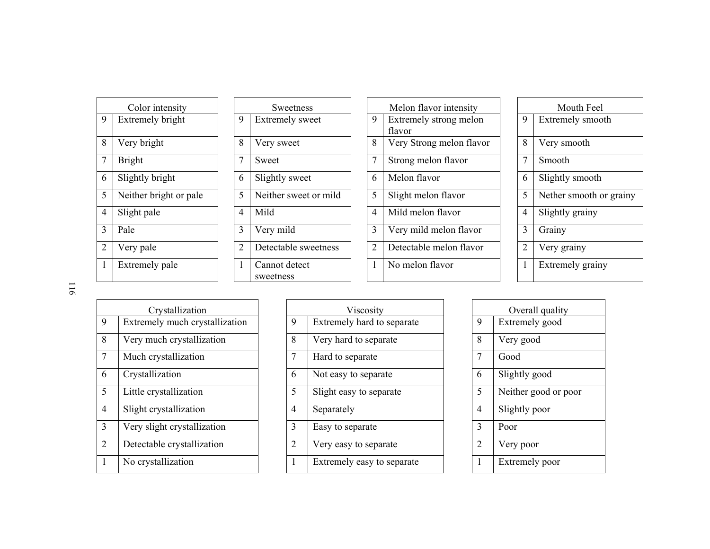|   | Color intensity         |   | Sweetness                  |
|---|-------------------------|---|----------------------------|
| 9 | <b>Extremely bright</b> | 9 | Extremely swe              |
| 8 | Very bright             | 8 | Very sweet                 |
| 7 | <b>Bright</b>           | 7 | Sweet                      |
| 6 | Slightly bright         | 6 | Slightly sweet             |
| 5 | Neither bright or pale  | 5 | Neither sweet              |
| 4 | Slight pale             | 4 | Mild                       |
| 3 | Pale                    | 3 | Very mild                  |
| 2 | Very pale               | 2 | Detectable swe             |
| 1 | Extremely pale          | 1 | Cannot detect<br>sweetness |

|                | Sweetness              |  |  |  |  |  |
|----------------|------------------------|--|--|--|--|--|
| 9              | <b>Extremely</b> sweet |  |  |  |  |  |
| 8              | Very sweet             |  |  |  |  |  |
| 7              | Sweet                  |  |  |  |  |  |
| 6              | Slightly sweet         |  |  |  |  |  |
| 5              | Neither sweet or mild  |  |  |  |  |  |
| 4              | Mild                   |  |  |  |  |  |
| 3              | Very mild              |  |  |  |  |  |
| $\overline{2}$ | Detectable sweetness   |  |  |  |  |  |
| 1              | Cannot detect          |  |  |  |  |  |
|                | sweetness              |  |  |  |  |  |
|                |                        |  |  |  |  |  |

|   | Color intensity        |                | Sweetness                  |                | Melon flavor intensity           |                | Mouth Feel              |
|---|------------------------|----------------|----------------------------|----------------|----------------------------------|----------------|-------------------------|
| 9 | Extremely bright       | 9              | <b>Extremely</b> sweet     | 9              | Extremely strong melon<br>flavor | 9              | Extremely smooth        |
| 8 | Very bright            | 8              | Very sweet                 | 8              | Very Strong melon flavor         | 8              | Very smooth             |
|   | <b>Bright</b>          | 7              | Sweet                      |                | Strong melon flavor              | $\mathcal{I}$  | Smooth                  |
| 6 | Slightly bright        | 6              | Slightly sweet             | 6              | Melon flavor                     | 6              | Slightly smooth         |
| 5 | Neither bright or pale | 5              | Neither sweet or mild      | 5              | Slight melon flavor              | 5              | Nether smooth or grainy |
|   | Slight pale            | 4              | Mild                       | 4              | Mild melon flavor                | 4              | Slightly grainy         |
|   | Pale                   | 3              | Very mild                  | 3              | Very mild melon flavor           | 3              | Grainy                  |
|   | Very pale              | $\overline{2}$ | Detectable sweetness       | $\overline{2}$ | Detectable melon flavor          | $\overline{2}$ | Very grainy             |
|   | Extremely pale         |                | Cannot detect<br>sweetness |                | No melon flavor                  |                | Extremely grainy        |

|                | Mouth Feel              |
|----------------|-------------------------|
| 9              | Extremely smooth        |
| 8              | Very smooth             |
| 7              | Smooth                  |
| 6              | Slightly smooth         |
| 5              | Nether smooth or grainy |
| 4              | Slightly grainy         |
| 3              | Grainy                  |
| $\overline{2}$ | Very grainy             |
| 1              | Extremely grainy        |
|                |                         |

116

|                | Crystallization                |
|----------------|--------------------------------|
| 9              | Extremely much crystallization |
| 8              | Very much crystallization      |
| 7              | Much crystallization           |
| 6              | Crystallization                |
| 5              | Little crystallization         |
| 4              | Slight crystallization         |
| 3              | Very slight crystallization    |
| $\overline{2}$ | Detectable crystallization     |
| 1              | No crystallization             |

|                | Crystallization                |                | Viscosity                  |                | Overall quality      |
|----------------|--------------------------------|----------------|----------------------------|----------------|----------------------|
| 9              | Extremely much crystallization | 9              | Extremely hard to separate | 9              | Extremely good       |
| 8              | Very much crystallization      | 8              | Very hard to separate      | 8              | Very good            |
| $\overline{7}$ | Much crystallization           | 7              | Hard to separate           | $\overline{7}$ | Good                 |
| 6              | Crystallization                | 6              | Not easy to separate       | 6              | Slightly good        |
| 5              | Little crystallization         | 5              | Slight easy to separate    | 5              | Neither good or poor |
| 4              | Slight crystallization         | $\overline{4}$ | Separately                 | $\overline{4}$ | Slightly poor        |
| 3              | Very slight crystallization    | 3              | Easy to separate           | 3              | Poor                 |
| $\overline{2}$ | Detectable crystallization     | 2              | Very easy to separate      | $\overline{2}$ | Very poor            |
|                | No crystallization             |                | Extremely easy to separate | 1              | Extremely poor       |

|                | Overall quality      |  |  |  |  |
|----------------|----------------------|--|--|--|--|
| 9              | Extremely good       |  |  |  |  |
| 8              | Very good            |  |  |  |  |
| 7              | Good                 |  |  |  |  |
| 6              | Slightly good        |  |  |  |  |
| 5              | Neither good or poor |  |  |  |  |
| 4              | Slightly poor        |  |  |  |  |
| 3              | Poor                 |  |  |  |  |
| $\overline{2}$ | Very poor            |  |  |  |  |
|                | Extremely poor       |  |  |  |  |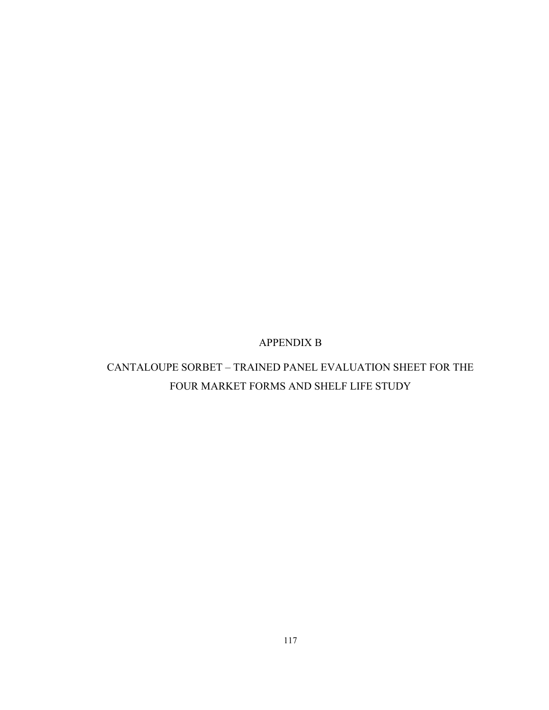# APPENDIX B

# CANTALOUPE SORBET – TRAINED PANEL EVALUATION SHEET FOR THE FOUR MARKET FORMS AND SHELF LIFE STUDY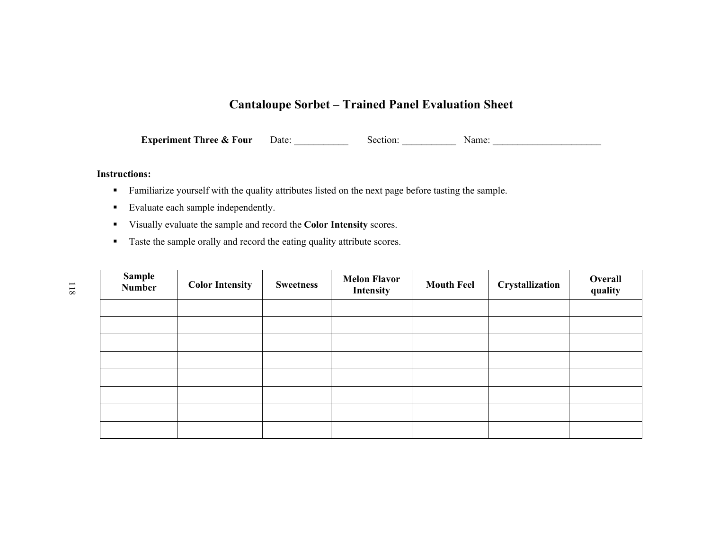# **Cantaloupe Sorbet – Trained Panel Evaluation Sheet**

**Experiment Three & Four** Date: \_\_\_\_\_\_\_\_\_\_\_ Section: \_\_\_\_\_\_\_\_\_\_\_ Name: \_\_\_\_\_\_\_\_\_\_\_\_\_\_\_\_\_\_\_\_\_\_

#### **Instructions:**

- **Familiarize yourself with the quality attributes listed on the next page before tasting the sample.**
- Evaluate each sample independently.
- Visually evaluate the sample and record the **Color Intensity** scores.
- **Taste the sample orally and record the eating quality attribute scores.**

| <b>Sample</b><br><b>Number</b> | <b>Color Intensity</b> | <b>Sweetness</b> | <b>Melon Flavor</b><br>Intensity | <b>Mouth Feel</b> | Crystallization | Overall<br>quality |
|--------------------------------|------------------------|------------------|----------------------------------|-------------------|-----------------|--------------------|
|                                |                        |                  |                                  |                   |                 |                    |
|                                |                        |                  |                                  |                   |                 |                    |
|                                |                        |                  |                                  |                   |                 |                    |
|                                |                        |                  |                                  |                   |                 |                    |
|                                |                        |                  |                                  |                   |                 |                    |
|                                |                        |                  |                                  |                   |                 |                    |
|                                |                        |                  |                                  |                   |                 |                    |
|                                |                        |                  |                                  |                   |                 |                    |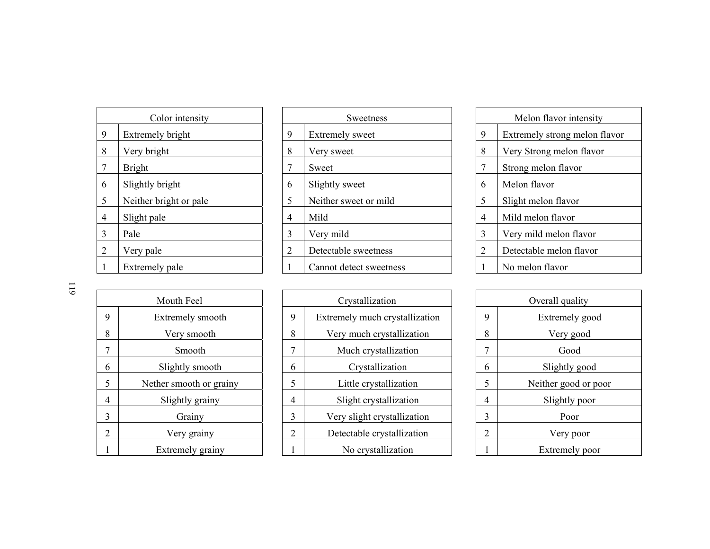|   | Color intensity        |
|---|------------------------|
| 9 | Extremely bright       |
| 8 | Very bright            |
| 7 | <b>Bright</b>          |
| 6 | Slightly bright        |
| 5 | Neither bright or pale |
| 4 | Slight pale            |
| 3 | Pale                   |
| 2 | Very pale              |
| 1 | Extremely pale         |

| Color intensity        |   | <b>Sweetness</b>        |                | Melon flavor intensity        |
|------------------------|---|-------------------------|----------------|-------------------------------|
| Extremely bright       | 9 | <b>Extremely</b> sweet  | 9              | Extremely strong melon flavor |
| Very bright            | 8 | Very sweet              | 8              | Very Strong melon flavor      |
| <b>Bright</b>          | 7 | Sweet                   | 7              | Strong melon flavor           |
| Slightly bright        | 6 | Slightly sweet          | 6              | Melon flavor                  |
| Neither bright or pale | 5 | Neither sweet or mild   | 5              | Slight melon flavor           |
| Slight pale            | 4 | Mild                    | $\overline{4}$ | Mild melon flavor             |
| Pale                   | 3 | Very mild               | 3              | Very mild melon flavor        |
| Very pale              | 2 | Detectable sweetness    | $\overline{2}$ | Detectable melon flavor       |
| Extremely pale         |   | Cannot detect sweetness |                | No melon flavor               |
|                        |   |                         |                |                               |

| Melon flavor intensity |                               |  |  |  |  |
|------------------------|-------------------------------|--|--|--|--|
| 9                      | Extremely strong melon flavor |  |  |  |  |
| 8                      | Very Strong melon flavor      |  |  |  |  |
| 7                      | Strong melon flavor           |  |  |  |  |
| 6                      | Melon flavor                  |  |  |  |  |
| 5                      | Slight melon flavor           |  |  |  |  |
| 4                      | Mild melon flavor             |  |  |  |  |
| 3                      | Very mild melon flavor        |  |  |  |  |
| 2                      | Detectable melon flavor       |  |  |  |  |
|                        | No melon flavor               |  |  |  |  |
|                        |                               |  |  |  |  |

119

| Mouth Feel     |                         |  |  |  |
|----------------|-------------------------|--|--|--|
| 9              | Extremely smooth        |  |  |  |
| 8              | Very smooth             |  |  |  |
| 7              | Smooth                  |  |  |  |
| 6              | Slightly smooth         |  |  |  |
| 5              | Nether smooth or grainy |  |  |  |
| $\overline{4}$ | Slightly grainy         |  |  |  |
| 3              | Grainy                  |  |  |  |
| $\overline{2}$ | Very grainy             |  |  |  |
|                | Extremely grainy        |  |  |  |

| Mouth Feel              |  | Crystallization |                                |  | Overall quality |                      |
|-------------------------|--|-----------------|--------------------------------|--|-----------------|----------------------|
| Extremely smooth        |  | 9               | Extremely much crystallization |  | 9               | Extremely good       |
| Very smooth             |  | 8               | Very much crystallization      |  | 8               | Very good            |
| <b>Smooth</b>           |  | $\mathbf{r}$    | Much crystallization           |  | $\mathbf{r}$    | Good                 |
| Slightly smooth         |  | 6               | Crystallization                |  | 6               | Slightly good        |
| Nether smooth or grainy |  | 5               | Little crystallization         |  | 5               | Neither good or poor |
| Slightly grainy         |  | 4               | Slight crystallization         |  | 4               | Slightly poor        |
| Grainy                  |  | $\overline{3}$  | Very slight crystallization    |  | 3               | Poor                 |
| Very grainy             |  | $\overline{2}$  | Detectable crystallization     |  | 2               | Very poor            |
| Extremely grainy        |  |                 | No crystallization             |  |                 | Extremely poor       |
|                         |  |                 |                                |  |                 |                      |

| Overall quality |                      |  |  |  |
|-----------------|----------------------|--|--|--|
| 9               | Extremely good       |  |  |  |
| 8               | Very good            |  |  |  |
| 7               | Good                 |  |  |  |
| 6               | Slightly good        |  |  |  |
| 5               | Neither good or poor |  |  |  |
| 4               | Slightly poor        |  |  |  |
| 3               | Poor                 |  |  |  |
| $\overline{2}$  | Very poor            |  |  |  |
|                 | Extremely poor       |  |  |  |
|                 |                      |  |  |  |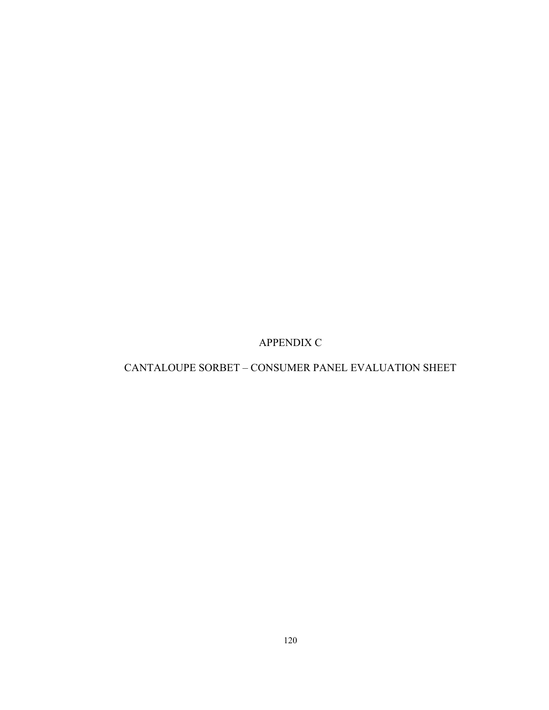APPENDIX C

CANTALOUPE SORBET – CONSUMER PANEL EVALUATION SHEET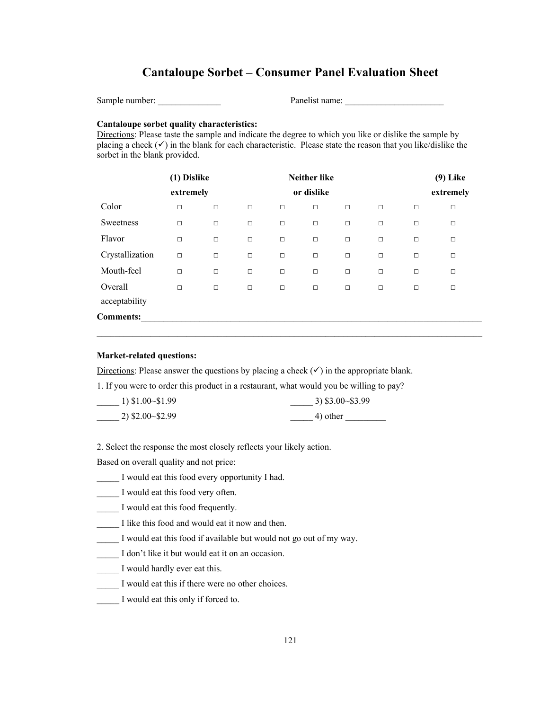# **Cantaloupe Sorbet – Consumer Panel Evaluation Sheet**

Sample number: \_\_\_\_\_\_\_\_\_\_\_\_\_\_ Panelist name: \_\_\_\_\_\_\_\_\_\_\_\_\_\_\_\_\_\_\_\_\_\_

#### **Cantaloupe sorbet quality characteristics:**

Directions: Please taste the sample and indicate the degree to which you like or dislike the sample by placing a check  $(\checkmark)$  in the blank for each characteristic. Please state the reason that you like/dislike the sorbet in the blank provided.

|                  | (1) Dislike |        |        |        | <b>Neither like</b> |        |        |        | $(9)$ Like |
|------------------|-------------|--------|--------|--------|---------------------|--------|--------|--------|------------|
|                  | extremely   |        |        |        | or dislike          |        |        |        | extremely  |
| Color            | $\Box$      | $\Box$ | $\Box$ | $\Box$ | $\Box$              | $\Box$ | $\Box$ | $\Box$ | $\Box$     |
| Sweetness        | $\Box$      | $\Box$ | $\Box$ | $\Box$ | $\Box$              | $\Box$ | $\Box$ | $\Box$ | $\Box$     |
| Flavor           | $\Box$      | $\Box$ | $\Box$ | $\Box$ | $\Box$              | $\Box$ | $\Box$ | $\Box$ | $\Box$     |
| Crystallization  | $\Box$      | $\Box$ | $\Box$ | $\Box$ | $\Box$              | $\Box$ | $\Box$ | $\Box$ | $\Box$     |
| Mouth-feel       | $\Box$      | $\Box$ | $\Box$ | $\Box$ | $\Box$              | $\Box$ | $\Box$ | $\Box$ | $\Box$     |
| Overall          | $\Box$      | $\Box$ | $\Box$ | $\Box$ | $\Box$              | $\Box$ | $\Box$ | $\Box$ | $\Box$     |
| acceptability    |             |        |        |        |                     |        |        |        |            |
| <b>Comments:</b> |             |        |        |        |                     |        |        |        |            |

 $\mathcal{L}_\mathcal{L} = \{ \mathcal{L}_\mathcal{L} = \{ \mathcal{L}_\mathcal{L} = \{ \mathcal{L}_\mathcal{L} = \{ \mathcal{L}_\mathcal{L} = \{ \mathcal{L}_\mathcal{L} = \{ \mathcal{L}_\mathcal{L} = \{ \mathcal{L}_\mathcal{L} = \{ \mathcal{L}_\mathcal{L} = \{ \mathcal{L}_\mathcal{L} = \{ \mathcal{L}_\mathcal{L} = \{ \mathcal{L}_\mathcal{L} = \{ \mathcal{L}_\mathcal{L} = \{ \mathcal{L}_\mathcal{L} = \{ \mathcal{L}_\mathcal{$ 

### **Market-related questions:**

Directions: Please answer the questions by placing a check  $(\checkmark)$  in the appropriate blank.

1. If you were to order this product in a restaurant, what would you be willing to pay?

| $1)$ \$1.00~\$1.99 | $3)$ \$3.00~\$3.99 |
|--------------------|--------------------|
| $2)$ \$2.00~\$2.99 | 4) other           |

2. Select the response the most closely reflects your likely action.

Based on overall quality and not price:

- \_\_\_\_\_ I would eat this food every opportunity I had.
- \_\_\_\_\_ I would eat this food very often.
- \_\_\_\_\_ I would eat this food frequently.
- \_\_\_\_\_ I like this food and would eat it now and then.
- I would eat this food if available but would not go out of my way.
- \_\_\_\_\_ I don't like it but would eat it on an occasion.
- \_\_\_\_\_ I would hardly ever eat this.
- \_\_\_\_\_ I would eat this if there were no other choices.
- \_\_\_\_\_ I would eat this only if forced to.